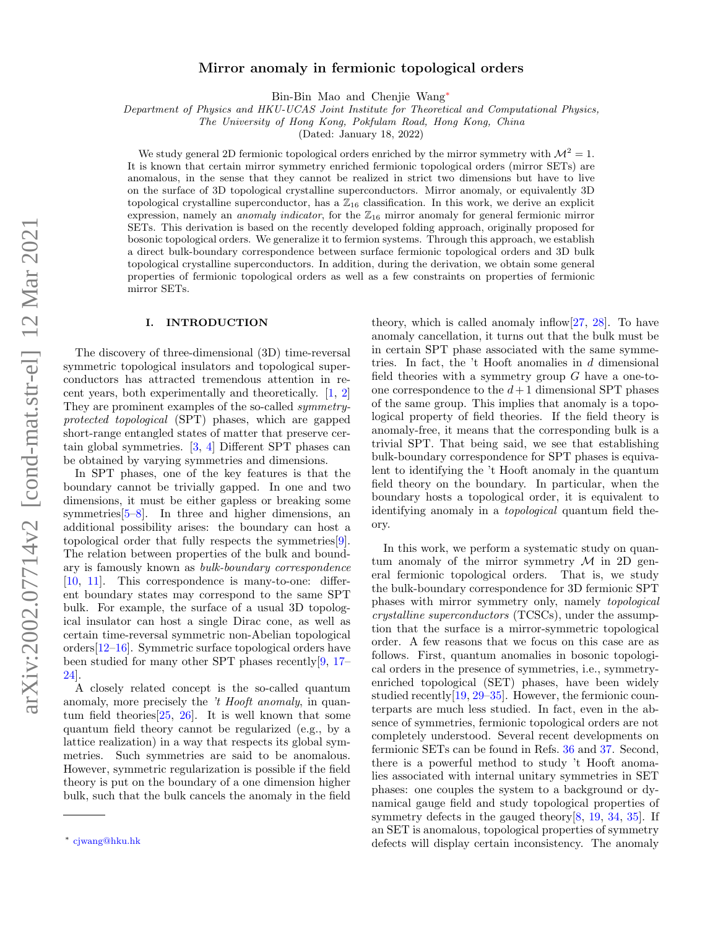### Mirror anomaly in fermionic topological orders

Bin-Bin Mao and Chenjie Wang[∗](#page-0-0)

Department of Physics and HKU-UCAS Joint Institute for Theoretical and Computational Physics,

The University of Hong Kong, Pokfulam Road, Hong Kong, China

(Dated: January 18, 2022)

We study general 2D fermionic topological orders enriched by the mirror symmetry with  $\mathcal{M}^2 = 1$ . It is known that certain mirror symmetry enriched fermionic topological orders (mirror SETs) are anomalous, in the sense that they cannot be realized in strict two dimensions but have to live on the surface of 3D topological crystalline superconductors. Mirror anomaly, or equivalently 3D topological crystalline superconductor, has a  $\mathbb{Z}_{16}$  classification. In this work, we derive an explicit expression, namely an *anomaly indicator*, for the  $\mathbb{Z}_{16}$  mirror anomaly for general fermionic mirror SETs. This derivation is based on the recently developed folding approach, originally proposed for bosonic topological orders. We generalize it to fermion systems. Through this approach, we establish a direct bulk-boundary correspondence between surface fermionic topological orders and 3D bulk topological crystalline superconductors. In addition, during the derivation, we obtain some general properties of fermionic topological orders as well as a few constraints on properties of fermionic mirror SETs.

### I. INTRODUCTION

The discovery of three-dimensional (3D) time-reversal symmetric topological insulators and topological superconductors has attracted tremendous attention in recent years, both experimentally and theoretically. [\[1,](#page-21-0) [2\]](#page-21-1) They are prominent examples of the so-called symmetryprotected topological (SPT) phases, which are gapped short-range entangled states of matter that preserve certain global symmetries. [\[3,](#page-21-2) [4\]](#page-21-3) Different SPT phases can be obtained by varying symmetries and dimensions.

In SPT phases, one of the key features is that the boundary cannot be trivially gapped. In one and two dimensions, it must be either gapless or breaking some symmetries $[5-8]$  $[5-8]$ . In three and higher dimensions, an additional possibility arises: the boundary can host a topological order that fully respects the symmetries[\[9\]](#page-21-6). The relation between properties of the bulk and boundary is famously known as bulk-boundary correspondence [\[10,](#page-22-0) [11\]](#page-22-1). This correspondence is many-to-one: different boundary states may correspond to the same SPT bulk. For example, the surface of a usual 3D topological insulator can host a single Dirac cone, as well as certain time-reversal symmetric non-Abelian topological orders[\[12](#page-22-2)[–16\]](#page-22-3). Symmetric surface topological orders have been studied for many other SPT phases recently[\[9,](#page-21-6) [17–](#page-22-4) [24\]](#page-22-5).

A closely related concept is the so-called quantum anomaly, more precisely the 't Hooft anomaly, in quantum field theories  $[25, 26]$  $[25, 26]$  $[25, 26]$ . It is well known that some quantum field theory cannot be regularized (e.g., by a lattice realization) in a way that respects its global symmetries. Such symmetries are said to be anomalous. However, symmetric regularization is possible if the field theory is put on the boundary of a one dimension higher bulk, such that the bulk cancels the anomaly in the field

theory, which is called anomaly inflow $[27, 28]$  $[27, 28]$  $[27, 28]$ . To have anomaly cancellation, it turns out that the bulk must be in certain SPT phase associated with the same symmetries. In fact, the 't Hooft anomalies in d dimensional field theories with a symmetry group  $G$  have a one-toone correspondence to the  $d+1$  dimensional SPT phases of the same group. This implies that anomaly is a topological property of field theories. If the field theory is anomaly-free, it means that the corresponding bulk is a trivial SPT. That being said, we see that establishing bulk-boundary correspondence for SPT phases is equivalent to identifying the 't Hooft anomaly in the quantum field theory on the boundary. In particular, when the boundary hosts a topological order, it is equivalent to identifying anomaly in a *topological* quantum field theory.

In this work, we perform a systematic study on quantum anomaly of the mirror symmetry  $\mathcal M$  in 2D general fermionic topological orders. That is, we study the bulk-boundary correspondence for 3D fermionic SPT phases with mirror symmetry only, namely topological crystalline superconductors (TCSCs), under the assumption that the surface is a mirror-symmetric topological order. A few reasons that we focus on this case are as follows. First, quantum anomalies in bosonic topological orders in the presence of symmetries, i.e., symmetryenriched topological (SET) phases, have been widely studied recently[\[19,](#page-22-10) [29–](#page-22-11)[35\]](#page-22-12). However, the fermionic counterparts are much less studied. In fact, even in the absence of symmetries, fermionic topological orders are not completely understood. Several recent developments on fermionic SETs can be found in Refs. [36](#page-22-13) and [37.](#page-22-14) Second, there is a powerful method to study 't Hooft anomalies associated with internal unitary symmetries in SET phases: one couples the system to a background or dynamical gauge field and study topological properties of symmetry defects in the gauged theory  $[8, 19, 34, 35]$  $[8, 19, 34, 35]$  $[8, 19, 34, 35]$  $[8, 19, 34, 35]$  $[8, 19, 34, 35]$  $[8, 19, 34, 35]$  $[8, 19, 34, 35]$ . If an SET is anomalous, topological properties of symmetry defects will display certain inconsistency. The anomaly

<span id="page-0-0"></span><sup>∗</sup> [cjwang@hku.hk](mailto:cjwang@hku.hk)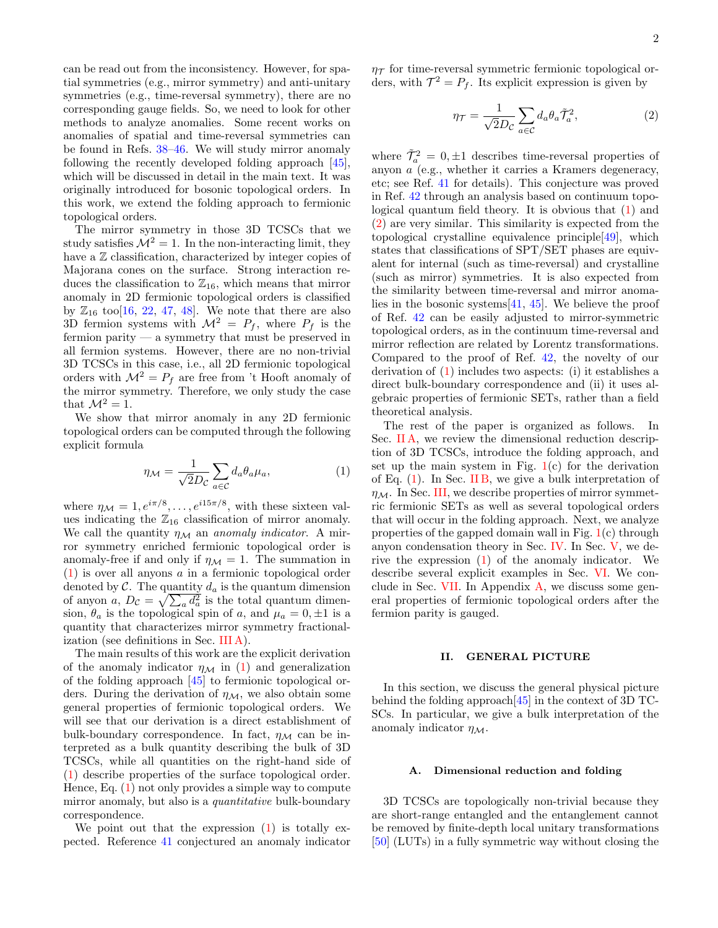can be read out from the inconsistency. However, for spatial symmetries (e.g., mirror symmetry) and anti-unitary symmetries (e.g., time-reversal symmetry), there are no corresponding gauge fields. So, we need to look for other methods to analyze anomalies. Some recent works on anomalies of spatial and time-reversal symmetries can be found in Refs. [38](#page-22-16)[–46.](#page-22-17) We will study mirror anomaly following the recently developed folding approach [\[45\]](#page-22-18), which will be discussed in detail in the main text. It was originally introduced for bosonic topological orders. In this work, we extend the folding approach to fermionic topological orders.

The mirror symmetry in those 3D TCSCs that we study satisfies  $\mathcal{M}^2 = 1$ . In the non-interacting limit, they have a  $\mathbb Z$  classification, characterized by integer copies of Majorana cones on the surface. Strong interaction reduces the classification to  $\mathbb{Z}_{16}$ , which means that mirror anomaly in 2D fermionic topological orders is classified by  $\mathbb{Z}_{16}$  too[\[16,](#page-22-3) [22,](#page-22-19) [47,](#page-22-20) [48\]](#page-22-21). We note that there are also 3D fermion systems with  $\mathcal{M}^2 = P_f$ , where  $P_f$  is the fermion parity — a symmetry that must be preserved in all fermion systems. However, there are no non-trivial 3D TCSCs in this case, i.e., all 2D fermionic topological orders with  $\mathcal{M}^2 = P_f$  are free from 't Hooft anomaly of the mirror symmetry. Therefore, we only study the case that  $\mathcal{M}^2 = 1$ .

We show that mirror anomaly in any 2D fermionic topological orders can be computed through the following explicit formula

<span id="page-1-0"></span>
$$
\eta_{\mathcal{M}} = \frac{1}{\sqrt{2}D_c} \sum_{a \in \mathcal{C}} d_a \theta_a \mu_a,\tag{1}
$$

where  $\eta_{\mathcal{M}} = 1, e^{i\pi/8}, \dots, e^{i15\pi/8}$ , with these sixteen values indicating the  $\mathbb{Z}_{16}$  classification of mirror anomaly. We call the quantity  $\eta_{\mathcal{M}}$  an anomaly indicator. A mirror symmetry enriched fermionic topological order is anomaly-free if and only if  $\eta_{\mathcal{M}} = 1$ . The summation in [\(1\)](#page-1-0) is over all anyons a in a fermionic topological order denoted by  $\mathcal{C}$ . The quantity  $d_a$  is the quantum dimension of anyon a,  $D_{\mathcal{C}} = \sqrt{\sum_a d_a^2}$  is the total quantum dimension,  $\theta_a$  is the topological spin of a, and  $\mu_a = 0, \pm 1$  is a quantity that characterizes mirror symmetry fractionalization (see definitions in Sec. [III A\)](#page-4-0).

The main results of this work are the explicit derivation of the anomaly indicator  $\eta_{\mathcal{M}}$  in [\(1\)](#page-1-0) and generalization of the folding approach [\[45\]](#page-22-18) to fermionic topological orders. During the derivation of  $\eta_{\mathcal{M}}$ , we also obtain some general properties of fermionic topological orders. We will see that our derivation is a direct establishment of bulk-boundary correspondence. In fact,  $\eta_{\mathcal{M}}$  can be interpreted as a bulk quantity describing the bulk of 3D TCSCs, while all quantities on the right-hand side of [\(1\)](#page-1-0) describe properties of the surface topological order. Hence, Eq. [\(1\)](#page-1-0) not only provides a simple way to compute mirror anomaly, but also is a *quantitative* bulk-boundary correspondence.

We point out that the expression  $(1)$  is totally expected. Reference [41](#page-22-22) conjectured an anomaly indicator  $\eta_{\mathcal{T}}$  for time-reversal symmetric fermionic topological orders, with  $\mathcal{T}^2 = P_f$ . Its explicit expression is given by

<span id="page-1-1"></span>
$$
\eta_{\mathcal{T}} = \frac{1}{\sqrt{2}D_{\mathcal{C}}} \sum_{a \in \mathcal{C}} d_a \theta_a \tilde{\mathcal{T}}_a^2,\tag{2}
$$

where  $\tilde{\mathcal{T}}_a^2 = 0, \pm 1$  describes time-reversal properties of anyon a (e.g., whether it carries a Kramers degeneracy, etc; see Ref. [41](#page-22-22) for details). This conjecture was proved in Ref. [42](#page-22-23) through an analysis based on continuum topological quantum field theory. It is obvious that [\(1\)](#page-1-0) and [\(2\)](#page-1-1) are very similar. This similarity is expected from the topological crystalline equivalence principle[\[49\]](#page-22-24), which states that classifications of SPT/SET phases are equivalent for internal (such as time-reversal) and crystalline (such as mirror) symmetries. It is also expected from the similarity between time-reversal and mirror anomalies in the bosonic systems  $[41, 45]$  $[41, 45]$  $[41, 45]$ . We believe the proof of Ref. [42](#page-22-23) can be easily adjusted to mirror-symmetric topological orders, as in the continuum time-reversal and mirror reflection are related by Lorentz transformations. Compared to the proof of Ref. [42,](#page-22-23) the novelty of our derivation of [\(1\)](#page-1-0) includes two aspects: (i) it establishes a direct bulk-boundary correspondence and (ii) it uses algebraic properties of fermionic SETs, rather than a field theoretical analysis.

The rest of the paper is organized as follows. In Sec. IIA, we review the dimensional reduction description of 3D TCSCs, introduce the folding approach, and set up the main system in Fig.  $1(c)$  $1(c)$  for the derivation of Eq.  $(1)$ . In Sec. [II B,](#page-3-0) we give a bulk interpretation of  $\eta_{\mathcal{M}}$ . In Sec. [III,](#page-4-1) we describe properties of mirror symmetric fermionic SETs as well as several topological orders that will occur in the folding approach. Next, we analyze properties of the gapped domain wall in Fig. [1\(](#page-2-0)c) through anyon condensation theory in Sec. [IV.](#page-9-0) In Sec. [V,](#page-16-0) we derive the expression [\(1\)](#page-1-0) of the anomaly indicator. We describe several explicit examples in Sec. [VI.](#page-17-0) We con-clude in Sec. [VII.](#page-19-0) In Appendix  $A$ , we discuss some general properties of fermionic topological orders after the fermion parity is gauged.

### II. GENERAL PICTURE

In this section, we discuss the general physical picture behind the folding approach[\[45\]](#page-22-18) in the context of 3D TC-SCs. In particular, we give a bulk interpretation of the anomaly indicator  $\eta_{\mathcal{M}}$ .

#### <span id="page-1-2"></span>A. Dimensional reduction and folding

3D TCSCs are topologically non-trivial because they are short-range entangled and the entanglement cannot be removed by finite-depth local unitary transformations [\[50\]](#page-22-25) (LUTs) in a fully symmetric way without closing the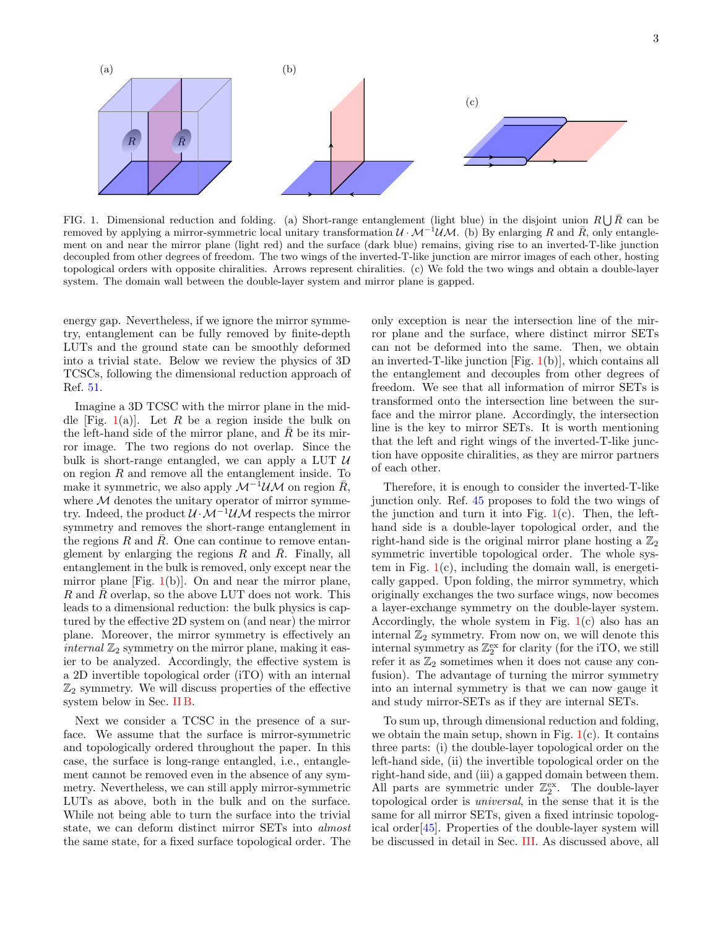

<span id="page-2-0"></span>FIG. 1. Dimensional reduction and folding. (a) Short-range entanglement (light blue) in the disjoint union  $R\bigcup \bar{R}$  can be removed by applying a mirror-symmetric local unitary transformation  $U \cdot M^{-1} U M$ . (b) By enlarging R and R, only entanglement on and near the mirror plane (light red) and the surface (dark blue) remains, giving rise to an inverted-T-like junction decoupled from other degrees of freedom. The two wings of the inverted-T-like junction are mirror images of each other, hosting topological orders with opposite chiralities. Arrows represent chiralities. (c) We fold the two wings and obtain a double-layer system. The domain wall between the double-layer system and mirror plane is gapped.

energy gap. Nevertheless, if we ignore the mirror symmetry, entanglement can be fully removed by finite-depth LUTs and the ground state can be smoothly deformed into a trivial state. Below we review the physics of 3D TCSCs, following the dimensional reduction approach of Ref. [51.](#page-22-26)

Imagine a 3D TCSC with the mirror plane in the mid-dle [Fig. [1\(](#page-2-0)a)]. Let R be a region inside the bulk on the left-hand side of the mirror plane, and  $R$  be its mirror image. The two regions do not overlap. Since the bulk is short-range entangled, we can apply a LUT  $\mathcal U$ on region  $R$  and remove all the entanglement inside. To make it symmetric, we also apply  $\mathcal{M}^{-1}\mathcal{U}\mathcal{M}$  on region  $\bar{R}$ , where  $M$  denotes the unitary operator of mirror symmetry. Indeed, the product  $\mathcal{U} \cdot \mathcal{M}^{-1} \mathcal{U} \mathcal{M}$  respects the mirror symmetry and removes the short-range entanglement in the regions R and  $\overline{R}$ . One can continue to remove entanglement by enlarging the regions  $R$  and  $\overline{R}$ . Finally, all entanglement in the bulk is removed, only except near the mirror plane [Fig.  $1(b)$  $1(b)$ ]. On and near the mirror plane, R and  $\bar{R}$  overlap, so the above LUT does not work. This leads to a dimensional reduction: the bulk physics is captured by the effective 2D system on (and near) the mirror plane. Moreover, the mirror symmetry is effectively an *internal*  $\mathbb{Z}_2$  symmetry on the mirror plane, making it easier to be analyzed. Accordingly, the effective system is a 2D invertible topological order (iTO) with an internal  $\mathbb{Z}_2$  symmetry. We will discuss properties of the effective system below in Sec. [II B.](#page-3-0)

Next we consider a TCSC in the presence of a surface. We assume that the surface is mirror-symmetric and topologically ordered throughout the paper. In this case, the surface is long-range entangled, i.e., entanglement cannot be removed even in the absence of any symmetry. Nevertheless, we can still apply mirror-symmetric LUTs as above, both in the bulk and on the surface. While not being able to turn the surface into the trivial state, we can deform distinct mirror SETs into almost the same state, for a fixed surface topological order. The

only exception is near the intersection line of the mirror plane and the surface, where distinct mirror SETs can not be deformed into the same. Then, we obtain an inverted-T-like junction  $[Fig. 1(b)],$  $[Fig. 1(b)],$  $[Fig. 1(b)],$  which contains all the entanglement and decouples from other degrees of freedom. We see that all information of mirror SETs is transformed onto the intersection line between the surface and the mirror plane. Accordingly, the intersection line is the key to mirror SETs. It is worth mentioning that the left and right wings of the inverted-T-like junction have opposite chiralities, as they are mirror partners of each other.

Therefore, it is enough to consider the inverted-T-like junction only. Ref. [45](#page-22-18) proposes to fold the two wings of the junction and turn it into Fig.  $1(c)$  $1(c)$ . Then, the lefthand side is a double-layer topological order, and the right-hand side is the original mirror plane hosting a  $\mathbb{Z}_2$ symmetric invertible topological order. The whole system in Fig.  $1(c)$  $1(c)$ , including the domain wall, is energetically gapped. Upon folding, the mirror symmetry, which originally exchanges the two surface wings, now becomes a layer-exchange symmetry on the double-layer system. Accordingly, the whole system in Fig.  $1(c)$  $1(c)$  also has an internal  $\mathbb{Z}_2$  symmetry. From now on, we will denote this internal symmetry as  $\mathbb{Z}_2^{\text{ex}}$  for clarity (for the iTO, we still refer it as  $\mathbb{Z}_2$  sometimes when it does not cause any confusion). The advantage of turning the mirror symmetry into an internal symmetry is that we can now gauge it and study mirror-SETs as if they are internal SETs.

To sum up, through dimensional reduction and folding, we obtain the main setup, shown in Fig.  $1(c)$  $1(c)$ . It contains three parts: (i) the double-layer topological order on the left-hand side, (ii) the invertible topological order on the right-hand side, and (iii) a gapped domain between them. All parts are symmetric under  $\mathbb{Z}_2^{\text{ex}}$ . The double-layer topological order is universal, in the sense that it is the same for all mirror SETs, given a fixed intrinsic topological order[\[45\]](#page-22-18). Properties of the double-layer system will be discussed in detail in Sec. [III.](#page-4-1) As discussed above, all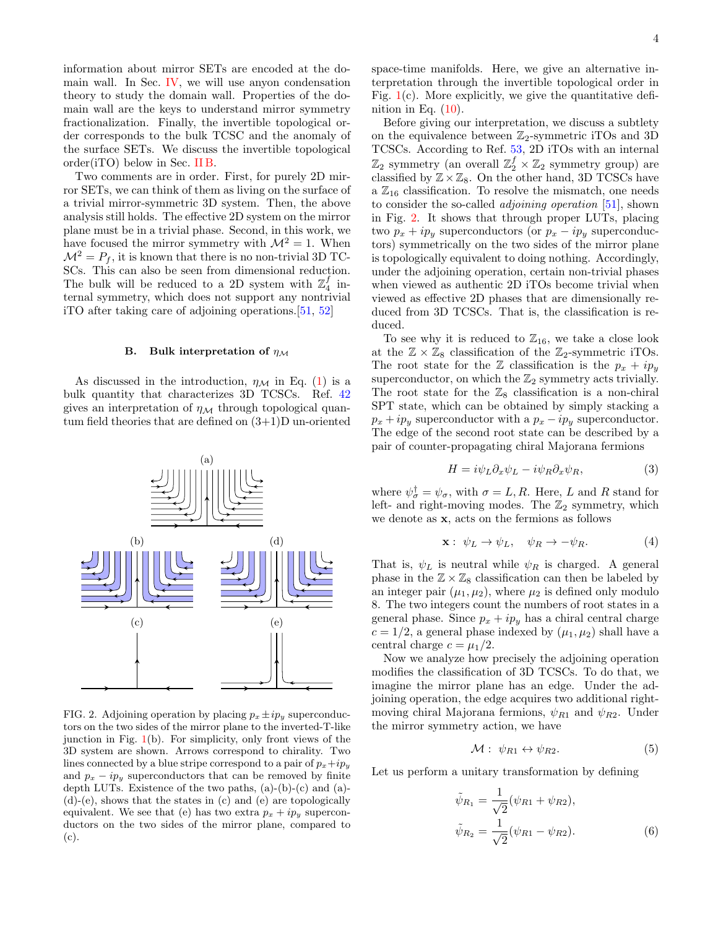information about mirror SETs are encoded at the domain wall. In Sec. [IV,](#page-9-0) we will use anyon condensation theory to study the domain wall. Properties of the domain wall are the keys to understand mirror symmetry fractionalization. Finally, the invertible topological order corresponds to the bulk TCSC and the anomaly of the surface SETs. We discuss the invertible topological order(iTO) below in Sec. [II B.](#page-3-0)

Two comments are in order. First, for purely 2D mirror SETs, we can think of them as living on the surface of a trivial mirror-symmetric 3D system. Then, the above analysis still holds. The effective 2D system on the mirror plane must be in a trivial phase. Second, in this work, we have focused the mirror symmetry with  $\mathcal{M}^2 = 1$ . When  $\mathcal{M}^2 = P_f$ , it is known that there is no non-trivial 3D TC-SCs. This can also be seen from dimensional reduction. The bulk will be reduced to a 2D system with  $\mathbb{Z}_4^f$  internal symmetry, which does not support any nontrivial iTO after taking care of adjoining operations.[\[51,](#page-22-26) [52\]](#page-22-27)

#### <span id="page-3-0"></span>B. Bulk interpretation of  $\eta_{\mathcal{M}}$

As discussed in the introduction,  $\eta_{\mathcal{M}}$  in Eq. [\(1\)](#page-1-0) is a bulk quantity that characterizes 3D TCSCs. Ref. [42](#page-22-23) gives an interpretation of  $\eta_M$  through topological quantum field theories that are defined on (3+1)D un-oriented



<span id="page-3-1"></span>FIG. 2. Adjoining operation by placing  $p_x \pm i p_y$  superconductors on the two sides of the mirror plane to the inverted-T-like junction in Fig.  $1(b)$  $1(b)$ . For simplicity, only front views of the 3D system are shown. Arrows correspond to chirality. Two lines connected by a blue stripe correspond to a pair of  $p_x+ip_y$ and  $p_x - ip_y$  superconductors that can be removed by finite depth LUTs. Existence of the two paths, (a)-(b)-(c) and (a)- (d)-(e), shows that the states in (c) and (e) are topologically equivalent. We see that (e) has two extra  $p_x + ip_y$  superconductors on the two sides of the mirror plane, compared to (c).

space-time manifolds. Here, we give an alternative interpretation through the invertible topological order in Fig.  $1(c)$  $1(c)$ . More explicitly, we give the quantitative definition in Eq.  $(10)$ .

Before giving our interpretation, we discuss a subtlety on the equivalence between  $\mathbb{Z}_2$ -symmetric iTOs and 3D TCSCs. According to Ref. [53,](#page-22-28) 2D iTOs with an internal  $\mathbb{Z}_2$  symmetry (an overall  $\mathbb{Z}_2^f \times \mathbb{Z}_2$  symmetry group) are classified by  $\mathbb{Z}\times\mathbb{Z}_8$ . On the other hand, 3D TCSCs have a  $\mathbb{Z}_{16}$  classification. To resolve the mismatch, one needs to consider the so-called adjoining operation [\[51\]](#page-22-26), shown in Fig. [2.](#page-3-1) It shows that through proper LUTs, placing two  $p_x + ip_y$  superconductors (or  $p_x - ip_y$  superconductors) symmetrically on the two sides of the mirror plane is topologically equivalent to doing nothing. Accordingly, under the adjoining operation, certain non-trivial phases when viewed as authentic 2D iTOs become trivial when viewed as effective 2D phases that are dimensionally reduced from 3D TCSCs. That is, the classification is reduced.

To see why it is reduced to  $\mathbb{Z}_{16}$ , we take a close look at the  $\mathbb{Z} \times \mathbb{Z}_8$  classification of the  $\mathbb{Z}_2$ -symmetric iTOs. The root state for the Z classification is the  $p_x + ip_y$ superconductor, on which the  $\mathbb{Z}_2$  symmetry acts trivially. The root state for the  $\mathbb{Z}_8$  classification is a non-chiral SPT state, which can be obtained by simply stacking a  $p_x + ip_y$  superconductor with a  $p_x - ip_y$  superconductor. The edge of the second root state can be described by a pair of counter-propagating chiral Majorana fermions

$$
H = i\psi_L \partial_x \psi_L - i\psi_R \partial_x \psi_R, \tag{3}
$$

where  $\psi_{\sigma}^{\dagger} = \psi_{\sigma}$ , with  $\sigma = L, R$ . Here, L and R stand for left- and right-moving modes. The  $\mathbb{Z}_2$  symmetry, which we denote as x, acts on the fermions as follows

$$
\mathbf{x}: \ \psi_L \to \psi_L, \quad \psi_R \to -\psi_R. \tag{4}
$$

That is,  $\psi_L$  is neutral while  $\psi_R$  is charged. A general phase in the  $\mathbb{Z} \times \mathbb{Z}_8$  classification can then be labeled by an integer pair  $(\mu_1, \mu_2)$ , where  $\mu_2$  is defined only modulo 8. The two integers count the numbers of root states in a general phase. Since  $p_x + ip_y$  has a chiral central charge  $c = 1/2$ , a general phase indexed by  $(\mu_1, \mu_2)$  shall have a central charge  $c = \mu_1/2$ .

Now we analyze how precisely the adjoining operation modifies the classification of 3D TCSCs. To do that, we imagine the mirror plane has an edge. Under the adjoining operation, the edge acquires two additional rightmoving chiral Majorana fermions,  $\psi_{R1}$  and  $\psi_{R2}$ . Under the mirror symmetry action, we have

$$
\mathcal{M}: \ \psi_{R1} \leftrightarrow \psi_{R2}.\tag{5}
$$

Let us perform a unitary transformation by defining

$$
\tilde{\psi}_{R_1} = \frac{1}{\sqrt{2}} (\psi_{R1} + \psi_{R2}),
$$
  
\n
$$
\tilde{\psi}_{R_2} = \frac{1}{\sqrt{2}} (\psi_{R1} - \psi_{R2}).
$$
\n(6)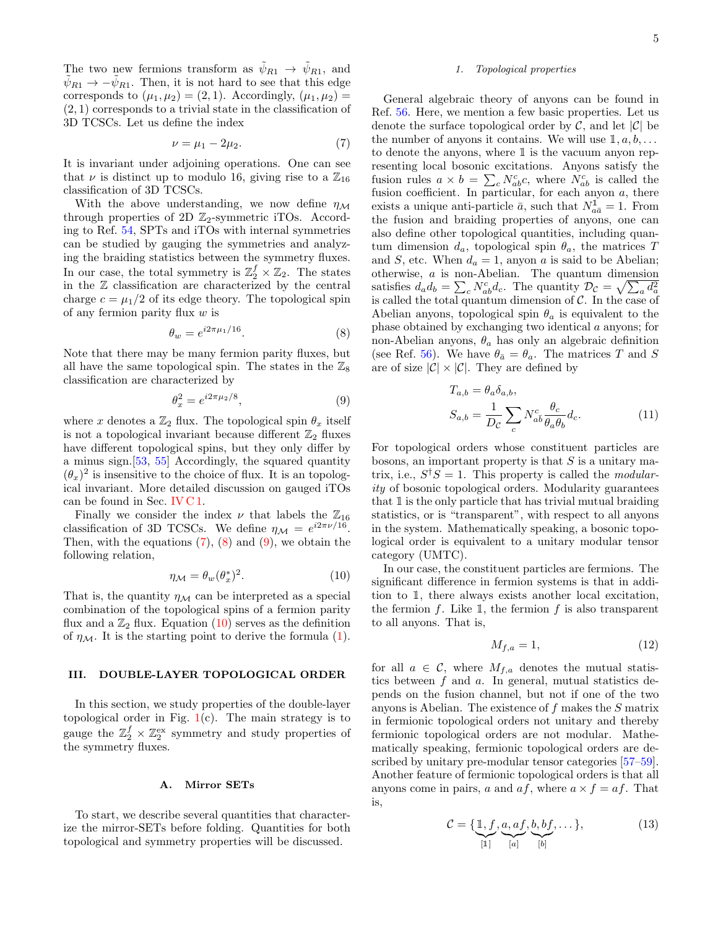The two new fermions transform as  $\psi_{R1} \rightarrow \psi_{R1}$ , and  $\psi_{R1} \rightarrow -\psi_{R1}$ . Then, it is not hard to see that this edge corresponds to  $(\mu_1, \mu_2) = (2, 1)$ . Accordingly,  $(\mu_1, \mu_2) =$  $(2, 1)$  corresponds to a trivial state in the classification of 3D TCSCs. Let us define the index

<span id="page-4-3"></span>
$$
\nu = \mu_1 - 2\mu_2. \tag{7}
$$

It is invariant under adjoining operations. One can see that  $\nu$  is distinct up to modulo 16, giving rise to a  $\mathbb{Z}_{16}$ classification of 3D TCSCs.

With the above understanding, we now define  $\eta_{\mathcal{M}}$ through properties of 2D  $\mathbb{Z}_2$ -symmetric iTOs. According to Ref. [54,](#page-22-29) SPTs and iTOs with internal symmetries can be studied by gauging the symmetries and analyzing the braiding statistics between the symmetry fluxes. In our case, the total symmetry is  $\mathbb{Z}_2^f \times \mathbb{Z}_2$ . The states in the Z classification are characterized by the central charge  $c = \mu_1/2$  of its edge theory. The topological spin of any fermion parity flux  $w$  is

<span id="page-4-4"></span>
$$
\theta_w = e^{i2\pi\mu_1/16}.\tag{8}
$$

Note that there may be many fermion parity fluxes, but all have the same topological spin. The states in the  $\mathbb{Z}_8$ classification are characterized by

<span id="page-4-5"></span>
$$
\theta_x^2 = e^{i2\pi\mu_2/8},\tag{9}
$$

where x denotes a  $\mathbb{Z}_2$  flux. The topological spin  $\theta_x$  itself is not a topological invariant because different  $\mathbb{Z}_2$  fluxes have different topological spins, but they only differ by a minus sign.[\[53,](#page-22-28) [55\]](#page-22-30) Accordingly, the squared quantity  $(\theta_x)^2$  is insensitive to the choice of flux. It is an topological invariant. More detailed discussion on gauged iTOs can be found in Sec. [IV C 1.](#page-12-0)

Finally we consider the index  $\nu$  that labels the  $\mathbb{Z}_{16}$ classification of 3D TCSCs. We define  $\eta_{\mathcal{M}} = e^{i2\pi\nu/16}$ . Then, with the equations  $(7)$ ,  $(8)$  and  $(9)$ , we obtain the following relation,

<span id="page-4-2"></span>
$$
\eta_{\mathcal{M}} = \theta_w(\theta_x^*)^2. \tag{10}
$$

That is, the quantity  $\eta_{\mathcal{M}}$  can be interpreted as a special combination of the topological spins of a fermion parity flux and a  $\mathbb{Z}_2$  flux. Equation [\(10\)](#page-4-2) serves as the definition of  $\eta_{\mathcal{M}}$ . It is the starting point to derive the formula [\(1\)](#page-1-0).

### <span id="page-4-1"></span>III. DOUBLE-LAYER TOPOLOGICAL ORDER

In this section, we study properties of the double-layer topological order in Fig.  $1(c)$  $1(c)$ . The main strategy is to gauge the  $\mathbb{Z}_2^f \times \mathbb{Z}_2^{\text{ex}}$  symmetry and study properties of the symmetry fluxes.

#### <span id="page-4-0"></span>A. Mirror SETs

To start, we describe several quantities that characterize the mirror-SETs before folding. Quantities for both topological and symmetry properties will be discussed.

### 1. Topological properties

General algebraic theory of anyons can be found in Ref. [56.](#page-22-31) Here, we mention a few basic properties. Let us denote the surface topological order by  $\mathcal{C}$ , and let  $|\mathcal{C}|$  be the number of anyons it contains. We will use  $1, a, b, \ldots$ to denote the anyons, where  $1$  is the vacuum anyon representing local bosonic excitations. Anyons satisfy the fusion rules  $a \times b = \sum_{c} N_{ab}^{c} c$ , where  $N_{ab}^{c}$  is called the fusion coefficient. In particular, for each anyon  $a$ , there exists a unique anti-particle  $\bar{a}$ , such that  $N_{a\bar{a}}^{\mathbb{I}} = 1$ . From the fusion and braiding properties of anyons, one can also define other topological quantities, including quantum dimension  $d_a$ , topological spin  $\theta_a$ , the matrices T and S, etc. When  $d_a = 1$ , anyon a is said to be Abelian; otherwise, a is non-Abelian. The quantum dimension satisfies  $d_a d_b = \sum_c N_{ab}^c d_c$ . The quantity  $\mathcal{D}_c = \sqrt{\sum_a d_a^2}$ is called the total quantum dimension of  $\mathcal{C}$ . In the case of Abelian anyons, topological spin  $\theta_a$  is equivalent to the phase obtained by exchanging two identical a anyons; for non-Abelian anyons,  $\theta_a$  has only an algebraic definition (see Ref. [56\)](#page-22-31). We have  $\theta_{\bar{a}} = \theta_a$ . The matrices T and S are of size  $|\mathcal{C}| \times |\mathcal{C}|$ . They are defined by

$$
T_{a,b} = \theta_a \delta_{a,b},
$$
  
\n
$$
S_{a,b} = \frac{1}{D_c} \sum_c N_{ab}^c \frac{\theta_c}{\theta_a \theta_b} d_c.
$$
\n(11)

For topological orders whose constituent particles are bosons, an important property is that  $S$  is a unitary matrix, i.e.,  $S^{\dagger}S = 1$ . This property is called the *modular*ity of bosonic topological orders. Modularity guarantees that 1 is the only particle that has trivial mutual braiding statistics, or is "transparent", with respect to all anyons in the system. Mathematically speaking, a bosonic topological order is equivalent to a unitary modular tensor category (UMTC).

In our case, the constituent particles are fermions. The significant difference in fermion systems is that in addition to 1, there always exists another local excitation, the fermion  $f$ . Like  $\mathbb{1}$ , the fermion  $f$  is also transparent to all anyons. That is,

<span id="page-4-6"></span>
$$
M_{f,a} = 1,\tag{12}
$$

for all  $a \in \mathcal{C}$ , where  $M_{f,a}$  denotes the mutual statistics between  $f$  and  $a$ . In general, mutual statistics depends on the fusion channel, but not if one of the two anyons is Abelian. The existence of f makes the S matrix in fermionic topological orders not unitary and thereby fermionic topological orders are not modular. Mathematically speaking, fermionic topological orders are de-scribed by unitary pre-modular tensor categories [\[57–](#page-22-32)[59\]](#page-22-33). Another feature of fermionic topological orders is that all anyons come in pairs, a and  $af$ , where  $a \times f = af$ . That is,

$$
\mathcal{C} = \{ \underbrace{\mathbb{1}, f}_{[\mathbb{1}]} \underbrace{a, af}_{[a]}, \underbrace{b, bf}_{[b]}, \dots \},
$$
\n(13)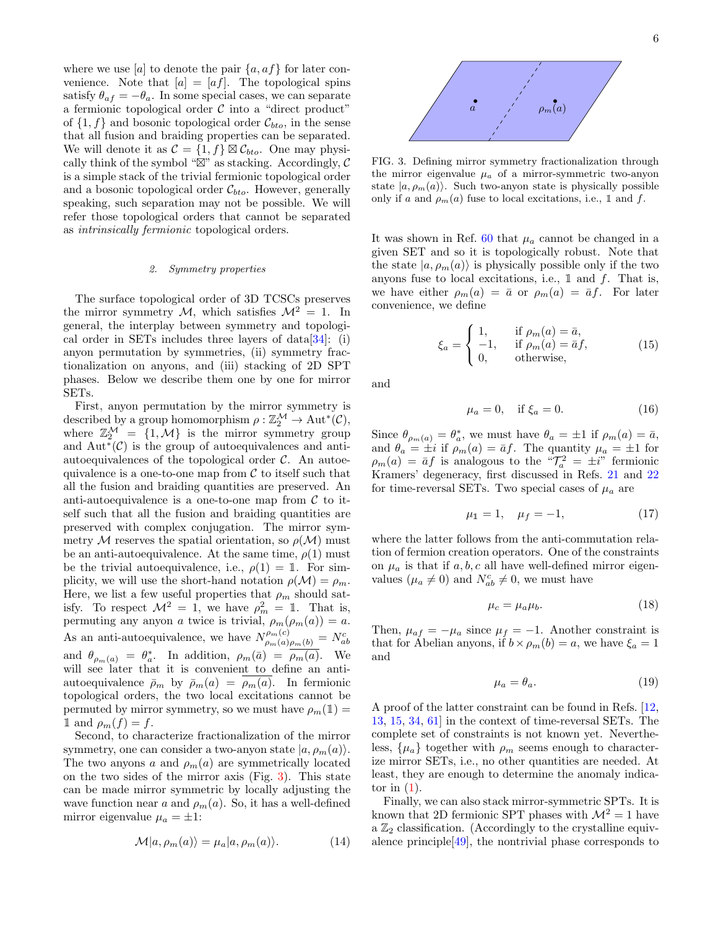where we use [a] to denote the pair  $\{a, af\}$  for later convenience. Note that  $[a] = [af]$ . The topological spins satisfy  $\theta_{af} = -\theta_a$ . In some special cases, we can separate a fermionic topological order  $C$  into a "direct product" of  $\{1, f\}$  and bosonic topological order  $\mathcal{C}_{bto}$ , in the sense that all fusion and braiding properties can be separated. We will denote it as  $\mathcal{C} = \{1, f\} \boxtimes \mathcal{C}_{bto}$ . One may physically think of the symbol " $\mathbb{Z}$ " as stacking. Accordingly, C is a simple stack of the trivial fermionic topological order and a bosonic topological order  $C_{bto}$ . However, generally speaking, such separation may not be possible. We will refer those topological orders that cannot be separated as intrinsically fermionic topological orders.

### 2. Symmetry properties

The surface topological order of 3D TCSCs preserves the mirror symmetry M, which satisfies  $\mathcal{M}^2 = 1$ . In general, the interplay between symmetry and topological order in SETs includes three layers of data[\[34\]](#page-22-15): (i) anyon permutation by symmetries, (ii) symmetry fractionalization on anyons, and (iii) stacking of 2D SPT phases. Below we describe them one by one for mirror SETs.

First, anyon permutation by the mirror symmetry is described by a group homomorphism  $\rho : \mathbb{Z}_2^{\mathcal{M}} \to \text{Aut}^*(\mathcal{C}),$ where  $\mathbb{Z}_2^{\mathcal{M}} = \{1, \mathcal{M}\}\$ is the mirror symmetry group and  $Aut^{\ast}(\mathcal{C})$  is the group of autoequivalences and antiautoequivalences of the topological order  $\mathcal{C}$ . An autoequivalence is a one-to-one map from  $\mathcal C$  to itself such that all the fusion and braiding quantities are preserved. An anti-autoequivalence is a one-to-one map from  $\mathcal C$  to itself such that all the fusion and braiding quantities are preserved with complex conjugation. The mirror symmetry M reserves the spatial orientation, so  $\rho(\mathcal{M})$  must be an anti-autoequivalence. At the same time,  $\rho(1)$  must be the trivial autoequivalence, i.e.,  $\rho(1) = 1$ . For simplicity, we will use the short-hand notation  $\rho(\mathcal{M}) = \rho_m$ . Here, we list a few useful properties that  $\rho_m$  should satisfy. To respect  $\mathcal{M}^2 = 1$ , we have  $\rho_m^2 = 1$ . That is, permuting any anyon a twice is trivial,  $\rho_m(\rho_m(a)) = a$ . As an anti-autoequivalence, we have  $N_{\rho_m(a)\rho_m(b)}^{\rho_m(c)} = N_{ab}^c$ and  $\theta_{\rho_m(a)} = \theta_a^*$ . In addition,  $\rho_m(\bar{a}) = \overline{\rho_m(a)}$ . We will see later that it is convenient to define an antiautoequivalence  $\bar{\rho}_m$  by  $\bar{\rho}_m(a) = \rho_m(a)$ . In fermionic topological orders, the two local excitations cannot be permuted by mirror symmetry, so we must have  $\rho_m(\mathbb{1}) =$ 1 and  $\rho_m(f) = f$ .

Second, to characterize fractionalization of the mirror symmetry, one can consider a two-anyon state  $|a, \rho_m(a)\rangle$ . The two anyons a and  $\rho_m(a)$  are symmetrically located on the two sides of the mirror axis (Fig. [3\)](#page-5-0). This state can be made mirror symmetric by locally adjusting the wave function near a and  $\rho_m(a)$ . So, it has a well-defined mirror eigenvalue  $\mu_a = \pm 1$ :

<span id="page-5-1"></span>
$$
\mathcal{M}|a,\rho_m(a)\rangle = \mu_a|a,\rho_m(a)\rangle. \tag{14}
$$



<span id="page-5-0"></span>FIG. 3. Defining mirror symmetry fractionalization through the mirror eigenvalue  $\mu_a$  of a mirror-symmetric two-anyon state  $|a, \rho_m(a)\rangle$ . Such two-anyon state is physically possible only if a and  $\rho_m(a)$  fuse to local excitations, i.e., 1 and f.

It was shown in Ref. [60](#page-22-34) that  $\mu_a$  cannot be changed in a given SET and so it is topologically robust. Note that the state  $|a, \rho_m(a)\rangle$  is physically possible only if the two anyons fuse to local excitations, i.e.,  $\mathbbm{1}$  and  $f$ . That is, we have either  $\rho_m(a) = \bar{a}$  or  $\rho_m(a) = \bar{a}f$ . For later convenience, we define

<span id="page-5-3"></span>
$$
\xi_a = \begin{cases} 1, & \text{if } \rho_m(a) = \bar{a}, \\ -1, & \text{if } \rho_m(a) = \bar{a}f, \\ 0, & \text{otherwise}, \end{cases}
$$
 (15)

and

<span id="page-5-2"></span>
$$
\mu_a = 0, \quad \text{if } \xi_a = 0. \tag{16}
$$

Since  $\theta_{\rho_m(a)} = \theta_a^*$ , we must have  $\theta_a = \pm 1$  if  $\rho_m(a) = \bar{a}$ , and  $\theta_a = \pm i$  if  $\rho_m(a) = \bar{a}f$ . The quantity  $\mu_a = \pm 1$  for  $\rho_m(a) = \bar{a}f$  is analogous to the " $\mathcal{T}_a^2 = \pm i$ " fermionic Kramers' degeneracy, first discussed in Refs. [21](#page-22-35) and [22](#page-22-19) for time-reversal SETs. Two special cases of  $\mu_a$  are

$$
\mu_1 = 1, \quad \mu_f = -1,\tag{17}
$$

where the latter follows from the anti-commutation relation of fermion creation operators. One of the constraints on  $\mu_a$  is that if  $a, b, c$  all have well-defined mirror eigenvalues  $(\mu_a \neq 0)$  and  $N_{ab}^c \neq 0$ , we must have

$$
\mu_c = \mu_a \mu_b. \tag{18}
$$

Then,  $\mu_{af} = -\mu_a$  since  $\mu_f = -1$ . Another constraint is that for Abelian anyons, if  $b \times \rho_m(b) = a$ , we have  $\xi_a = 1$ and

$$
\mu_a = \theta_a. \tag{19}
$$

A proof of the latter constraint can be found in Refs. [\[12,](#page-22-2) [13,](#page-22-36) [15,](#page-22-37) [34,](#page-22-15) [61\]](#page-22-38) in the context of time-reversal SETs. The complete set of constraints is not known yet. Nevertheless,  $\{\mu_a\}$  together with  $\rho_m$  seems enough to characterize mirror SETs, i.e., no other quantities are needed. At least, they are enough to determine the anomaly indicator in  $(1)$ .

Finally, we can also stack mirror-symmetric SPTs. It is known that 2D fermionic SPT phases with  $\mathcal{M}^2 = 1$  have a  $\mathbb{Z}_2$  classification. (Accordingly to the crystalline equivalence principle[\[49\]](#page-22-24), the nontrivial phase corresponds to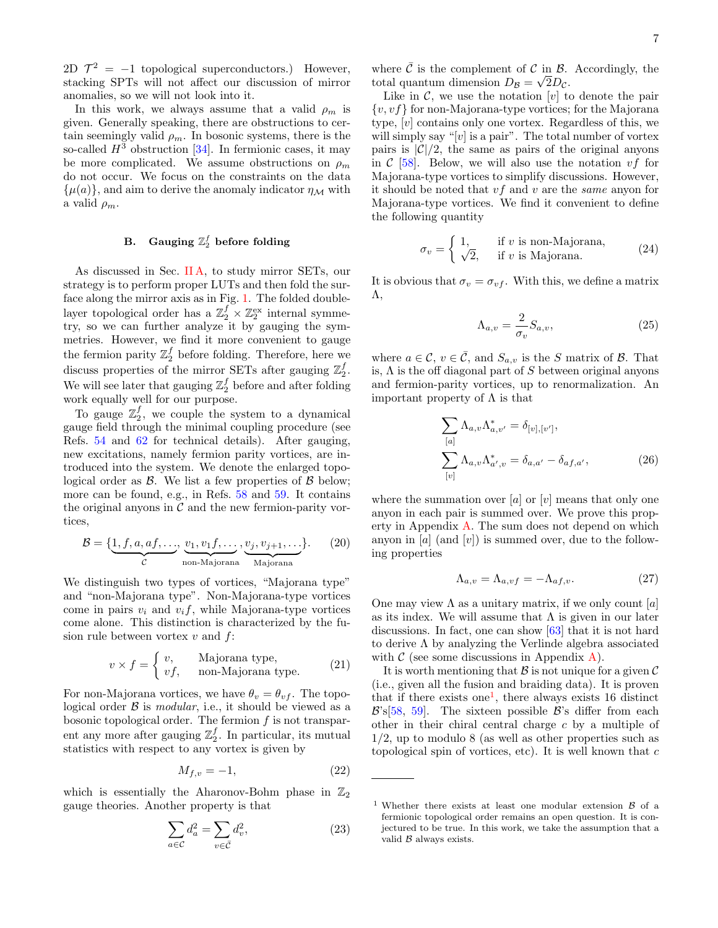2D  $\mathcal{T}^2 = -1$  topological superconductors.) However, stacking SPTs will not affect our discussion of mirror anomalies, so we will not look into it.

In this work, we always assume that a valid  $\rho_m$  is given. Generally speaking, there are obstructions to certain seemingly valid  $\rho_m$ . In bosonic systems, there is the so-called  $H^3$  obstruction [\[34\]](#page-22-15). In fermionic cases, it may be more complicated. We assume obstructions on  $\rho_m$ do not occur. We focus on the constraints on the data  $\{\mu(a)\}\$ , and aim to derive the anomaly indicator  $\eta_{\mathcal{M}}$  with a valid  $\rho_m$ .

# <span id="page-6-5"></span>B. Gauging  $\mathbb{Z}_2^f$  before folding

As discussed in Sec. IIA, to study mirror SETs, our strategy is to perform proper LUTs and then fold the surface along the mirror axis as in Fig. [1.](#page-2-0) The folded doublelayer topological order has a  $\mathbb{Z}_2^f \times \mathbb{Z}_2^{\text{ex}}$  internal symmetry, so we can further analyze it by gauging the symmetries. However, we find it more convenient to gauge the fermion parity  $\mathbb{Z}_2^f$  before folding. Therefore, here we discuss properties of the mirror SETs after gauging  $\mathbb{Z}_2^f$ . We will see later that gauging  $\mathbb{Z}_2^f$  before and after folding work equally well for our purpose.

To gauge  $\mathbb{Z}_2^f$ , we couple the system to a dynamical gauge field through the minimal coupling procedure (see Refs. [54](#page-22-29) and [62](#page-22-39) for technical details). After gauging, new excitations, namely fermion parity vortices, are introduced into the system. We denote the enlarged topological order as  $\beta$ . We list a few properties of  $\beta$  below; more can be found, e.g., in Refs. [58](#page-22-40) and [59.](#page-22-33) It contains the original anyons in  $\mathcal C$  and the new fermion-parity vortices,

$$
\mathcal{B} = \{ \underbrace{1, f, a, af, \dots}_{\mathcal{C}}, \underbrace{v_1, v_1 f, \dots}_{\text{non-Majorana}}, \underbrace{v_j, v_{j+1}, \dots}_{\text{Majorana}} \}.
$$
 (20)

We distinguish two types of vortices, "Majorana type" and "non-Majorana type". Non-Majorana-type vortices come in pairs  $v_i$  and  $v_i f$ , while Majorana-type vortices come alone. This distinction is characterized by the fusion rule between vortex  $v$  and  $f$ :

$$
v \times f = \begin{cases} v, & \text{Majorana type,} \\ vf, & \text{non-Majorana type.} \end{cases} \tag{21}
$$

For non-Majorana vortices, we have  $\theta_v = \theta_{vf}$ . The topological order  $\beta$  is *modular*, i.e., it should be viewed as a bosonic topological order. The fermion  $f$  is not transparent any more after gauging  $\mathbb{Z}_2^f$ . In particular, its mutual statistics with respect to any vortex is given by

<span id="page-6-4"></span>
$$
M_{f,v} = -1,\t\t(22)
$$

which is essentially the Aharonov-Bohm phase in  $\mathbb{Z}_2$ gauge theories. Another property is that

$$
\sum_{a \in \mathcal{C}} d_a^2 = \sum_{v \in \bar{\mathcal{C}}} d_v^2,\tag{23}
$$

where  $\bar{\mathcal{C}}$  is the complement of  $\mathcal{C}$  in  $\mathcal{B}$ . Accordingly, the total quantum dimension  $D_{\mathcal{B}} = \sqrt{2D_{\mathcal{C}}}$ .

Like in  $\mathcal{C}$ , we use the notation [v] to denote the pair  $\{v, vf\}$  for non-Majorana-type vortices; for the Majorana type, [v] contains only one vortex. Regardless of this, we will simply say "[v] is a pair". The total number of vortex pairs is  $|\mathcal{C}|/2$ , the same as pairs of the original anyons in  $C$  [\[58\]](#page-22-40). Below, we will also use the notation  $vf$  for Majorana-type vortices to simplify discussions. However, it should be noted that  $v f$  and  $v$  are the *same* anyon for Majorana-type vortices. We find it convenient to define the following quantity

<span id="page-6-1"></span>
$$
\sigma_v = \begin{cases} 1, & \text{if } v \text{ is non-Majorana,} \\ \sqrt{2}, & \text{if } v \text{ is Majorana.} \end{cases}
$$
 (24)

It is obvious that  $\sigma_v = \sigma_{vf}$ . With this, we define a matrix Λ,

<span id="page-6-2"></span>
$$
\Lambda_{a,v} = \frac{2}{\sigma_v} S_{a,v},\tag{25}
$$

where  $a \in \mathcal{C}$ ,  $v \in \overline{\mathcal{C}}$ , and  $S_{a,v}$  is the S matrix of B. That is,  $\Lambda$  is the off diagonal part of S between original anyons and fermion-parity vortices, up to renormalization. An important property of  $\Lambda$  is that

<span id="page-6-3"></span>
$$
\sum_{[a]} \Lambda_{a,v} \Lambda_{a,v'}^* = \delta_{[v],[v']},
$$
  

$$
\sum_{[v]} \Lambda_{a,v} \Lambda_{a',v}^* = \delta_{a,a'} - \delta_{af,a'},
$$
 (26)

where the summation over  $[a]$  or  $[v]$  means that only one anyon in each pair is summed over. We prove this property in Appendix [A.](#page-20-0) The sum does not depend on which anyon in  $[a]$  (and  $[v]$ ) is summed over, due to the following properties

$$
\Lambda_{a,v} = \Lambda_{a,vf} = -\Lambda_{af,v}.\tag{27}
$$

One may view  $\Lambda$  as a unitary matrix, if we only count [a] as its index. We will assume that  $\Lambda$  is given in our later discussions. In fact, one can show [\[63\]](#page-22-41) that it is not hard to derive  $\Lambda$  by analyzing the Verlinde algebra associated with  $\mathcal C$  (see some discussions in Appendix [A\)](#page-20-0).

It is worth mentioning that  $\mathcal B$  is not unique for a given  $\mathcal C$ (i.e., given all the fusion and braiding data). It is proven that if there exists one<sup>[1](#page-6-0)</sup>, there always exists 16 distinct  $\mathcal{B}$ 's[\[58,](#page-22-40) [59\]](#page-22-33). The sixteen possible  $\mathcal{B}$ 's differ from each other in their chiral central charge c by a multiple of 1/2, up to modulo 8 (as well as other properties such as topological spin of vortices, etc). It is well known that  $c$ 

<span id="page-6-0"></span><sup>&</sup>lt;sup>1</sup> Whether there exists at least one modular extension  $\beta$  of a fermionic topological order remains an open question. It is conjectured to be true. In this work, we take the assumption that a valid  $\beta$  always exists.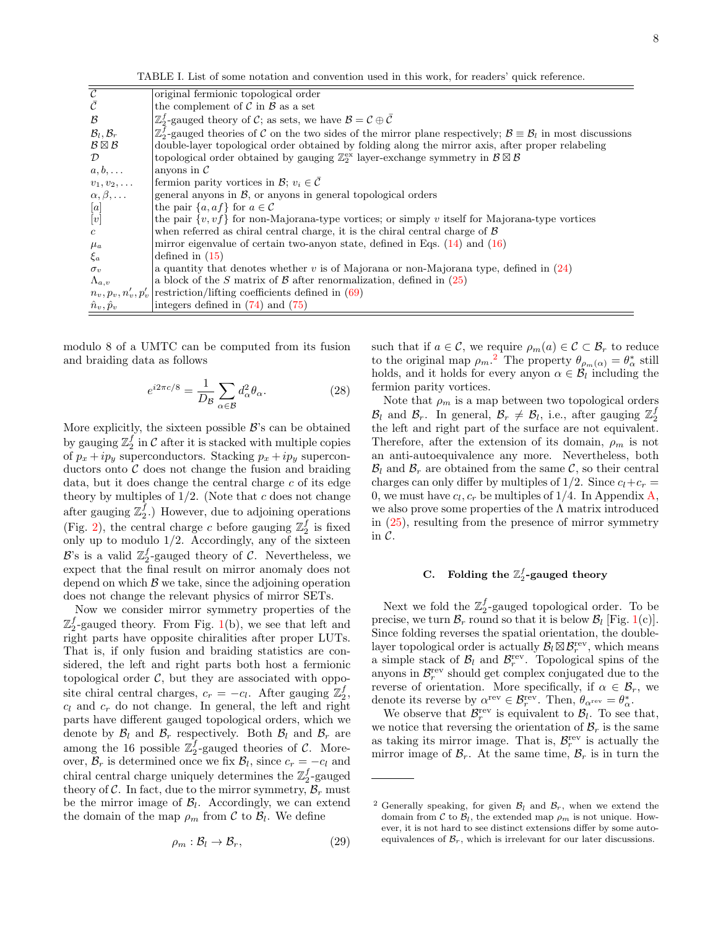TABLE I. List of some notation and convention used in this work, for readers' quick reference.

| $\mathcal{C}$                       | original fermionic topological order                                                                                                             |
|-------------------------------------|--------------------------------------------------------------------------------------------------------------------------------------------------|
| $\bar{C}$                           | the complement of $\mathcal C$ in $\mathcal B$ as a set                                                                                          |
| B                                   | $\mathbb{Z}_2^f$ -gauged theory of C; as sets, we have $\mathcal{B} = \mathcal{C} \oplus \overline{\mathcal{C}}$                                 |
| $\mathcal{B}_l, \mathcal{B}_r$      | $\mathbb{Z}_2^f$ -gauged theories of C on the two sides of the mirror plane respectively; $\mathcal{B} \equiv \mathcal{B}_l$ in most discussions |
| $\mathcal{B} \boxtimes \mathcal{B}$ | double-layer topological order obtained by folding along the mirror axis, after proper relabeling                                                |
| $\mathcal{D}$                       | topological order obtained by gauging $\mathbb{Z}_2^{\text{ex}}$ layer-exchange symmetry in $\mathcal{B} \boxtimes \mathcal{B}$                  |
| $a, b, \ldots$                      | anyons in $\mathcal C$                                                                                                                           |
| $v_1, v_2, \ldots$                  | fermion parity vortices in $\mathcal{B}$ ; $v_i \in \mathcal{C}$                                                                                 |
| $\alpha, \beta, \ldots$             | general anyons in $\mathcal{B}$ , or anyons in general topological orders                                                                        |
| [a]                                 | the pair $\{a, af\}$ for $a \in \mathcal{C}$                                                                                                     |
| [v]                                 | the pair $\{v, vf\}$ for non-Majorana-type vortices; or simply v itself for Majorana-type vortices                                               |
| $\mathfrak{c}$                      | when referred as chiral central charge, it is the chiral central charge of $\beta$                                                               |
| $\mu_a$                             | mirror eigenvalue of certain two-anyon state, defined in Eqs. $(14)$ and $(16)$                                                                  |
| $\xi_a$                             | defined in $(15)$                                                                                                                                |
| $\sigma_v$                          | a quantity that denotes whether v is of Majorana or non-Majorana type, defined in $(24)$                                                         |
| $\Lambda_{a,v}$                     | a block of the S matrix of B after renormalization, defined in $(25)$                                                                            |
| $n_v, p_v, n_v', p_v'$              | restriction/lifting coefficients defined in $(69)$                                                                                               |
| $\hat{n}_v, \hat{p}_v$              | integers defined in $(74)$ and $(75)$                                                                                                            |
|                                     |                                                                                                                                                  |

modulo 8 of a UMTC can be computed from its fusion and braiding data as follows

<span id="page-7-2"></span>
$$
e^{i2\pi c/8} = \frac{1}{D_{\mathcal{B}}} \sum_{\alpha \in \mathcal{B}} d_{\alpha}^2 \theta_{\alpha}.
$$
 (28)

More explicitly, the sixteen possible  $\mathcal{B}$ 's can be obtained by gauging  $\mathbb{Z}_2^f$  in  $\mathcal C$  after it is stacked with multiple copies of  $p_x + ip_y$  superconductors. Stacking  $p_x + ip_y$  superconductors onto  $\mathcal C$  does not change the fusion and braiding data, but it does change the central charge  $c$  of its edge theory by multiples of  $1/2$ . (Note that c does not change after gauging  $\mathbb{Z}_2^f$ .) However, due to adjoining operations (Fig. [2\)](#page-3-1), the central charge  $c$  before gauging  $\mathbb{Z}_2^f$  is fixed only up to modulo  $1/2$ . Accordingly, any of the sixteen  $\mathcal{B}$ 's is a valid  $\mathbb{Z}_2^f$ -gauged theory of C. Nevertheless, we expect that the final result on mirror anomaly does not depend on which  $\beta$  we take, since the adjoining operation does not change the relevant physics of mirror SETs.

Now we consider mirror symmetry properties of the  $\mathbb{Z}_2^f$ -gauged theory. From Fig. [1\(](#page-2-0)b), we see that left and right parts have opposite chiralities after proper LUTs. That is, if only fusion and braiding statistics are considered, the left and right parts both host a fermionic topological order  $C$ , but they are associated with opposite chiral central charges,  $c_r = -c_l$ . After gauging  $\mathbb{Z}_2^f$ ,  $c_l$  and  $c_r$  do not change. In general, the left and right parts have different gauged topological orders, which we denote by  $\mathcal{B}_l$  and  $\mathcal{B}_r$  respectively. Both  $\mathcal{B}_l$  and  $\mathcal{B}_r$  are among the 16 possible  $\mathbb{Z}_2^f$ -gauged theories of C. Moreover,  $\mathcal{B}_r$  is determined once we fix  $\mathcal{B}_l$ , since  $c_r = -c_l$  and chiral central charge uniquely determines the  $\mathbb{Z}_2^f$ -gauged theory of C. In fact, due to the mirror symmetry,  $\mathcal{B}_r$  must be the mirror image of  $\mathcal{B}_l$ . Accordingly, we can extend the domain of the map  $\rho_m$  from C to  $\mathcal{B}_l$ . We define

$$
\rho_m: \mathcal{B}_l \to \mathcal{B}_r,\tag{29}
$$

such that if  $a \in \mathcal{C}$ , we require  $\rho_m(a) \in \mathcal{C} \subset \mathcal{B}_r$  to reduce to the original map  $\rho_m$ .<sup>[2](#page-7-0)</sup> The property  $\theta_{\rho_m(\alpha)} = \theta^*_{\alpha}$  still holds, and it holds for every anyon  $\alpha \in \mathcal{B}_l$  including the fermion parity vortices.

Note that  $\rho_m$  is a map between two topological orders  $\mathcal{B}_l$  and  $\mathcal{B}_r$ . In general,  $\mathcal{B}_r \neq \mathcal{B}_l$ , i.e., after gauging  $\mathbb{Z}_2^f$ the left and right part of the surface are not equivalent. Therefore, after the extension of its domain,  $\rho_m$  is not an anti-autoequivalence any more. Nevertheless, both  $\mathcal{B}_l$  and  $\mathcal{B}_r$  are obtained from the same  $\mathcal{C}$ , so their central charges can only differ by multiples of  $1/2$ . Since  $c_l+c_r =$ 0, we must have  $c_l, c_r$  be multiples of 1/4. In Appendix [A,](#page-20-0) we also prove some properties of the  $\Lambda$  matrix introduced in [\(25\)](#page-6-2), resulting from the presence of mirror symmetry in C.

# <span id="page-7-1"></span>C. Folding the  $\mathbb{Z}_2^f$ -gauged theory

Next we fold the  $\mathbb{Z}_2^f$ -gauged topological order. To be precise, we turn  $\mathcal{B}_r$  round so that it is below  $\mathcal{B}_l$  [Fig. [1\(](#page-2-0)c)]. Since folding reverses the spatial orientation, the doublelayer topological order is actually  $\mathcal{B}_l \boxtimes \mathcal{B}_r^{\text{rev}}$ , which means a simple stack of  $\mathcal{B}_l$  and  $\mathcal{B}_r^{\text{rev}}$ . Topological spins of the anyons in  $\mathcal{B}_r^{\text{rev}}$  should get complex conjugated due to the reverse of orientation. More specifically, if  $\alpha \in \mathcal{B}_r$ , we denote its reverse by  $\alpha^{\text{rev}} \in \mathcal{B}_r^{\text{rev}}$ . Then,  $\theta_{\alpha^{\text{rev}}} = \theta_{\alpha}^*$ .

We observe that  $\mathcal{B}_r^{\text{rev}}$  is equivalent to  $\mathcal{B}_l$ . To see that, we notice that reversing the orientation of  $\mathcal{B}_r$  is the same as taking its mirror image. That is,  $\mathcal{B}_r^{\text{rev}}$  is actually the mirror image of  $\mathcal{B}_r$ . At the same time,  $\mathcal{B}_r$  is in turn the

<span id="page-7-0"></span><sup>&</sup>lt;sup>2</sup> Generally speaking, for given  $\mathcal{B}_l$  and  $\mathcal{B}_r$ , when we extend the domain from  $\mathcal C$  to  $\mathcal B_l$ , the extended map  $\rho_m$  is not unique. However, it is not hard to see distinct extensions differ by some autoequivalences of  $\mathcal{B}_r$ , which is irrelevant for our later discussions.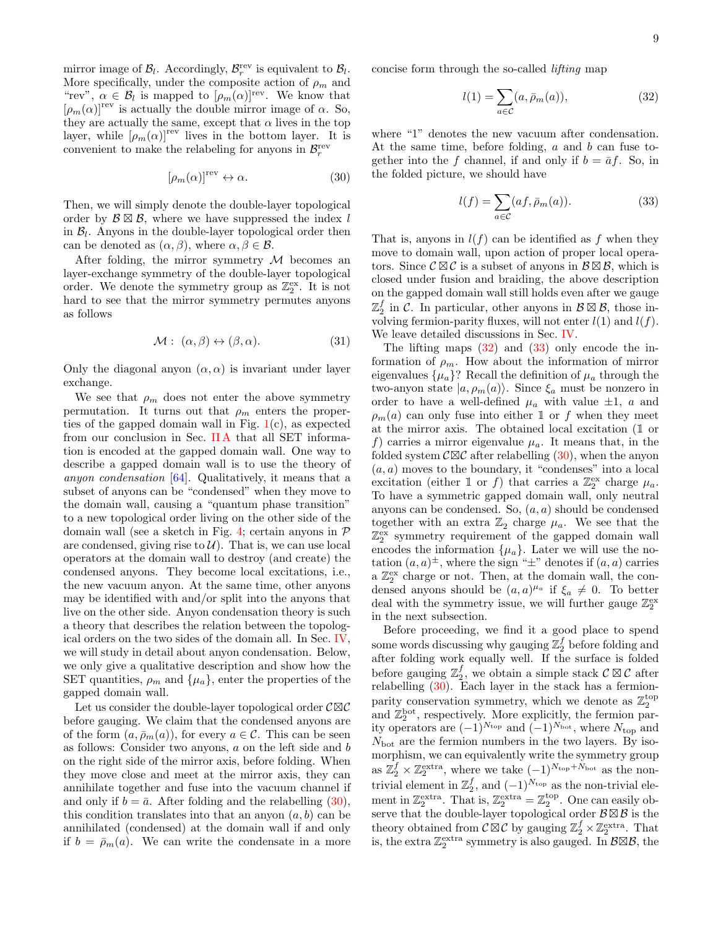mirror image of  $\mathcal{B}_l$ . Accordingly,  $\mathcal{B}_r^{\text{rev}}$  is equivalent to  $\mathcal{B}_l$ . More specifically, under the composite action of  $\rho_m$  and "rev",  $\alpha \in \mathcal{B}_l$  is mapped to  $[\rho_m(\alpha)]^{\text{rev}}$ . We know that  $[\rho_m(\alpha)]^{\text{rev}}$  is actually the double mirror image of  $\alpha$ . So, they are actually the same, except that  $\alpha$  lives in the top layer, while  $[\rho_m(\alpha)]^{\text{rev}}$  lives in the bottom layer. It is convenient to make the relabeling for anyons in  $\mathcal{B}_r^{\text{rev}}$ 

<span id="page-8-0"></span>
$$
[\rho_m(\alpha)]^{\text{rev}} \leftrightarrow \alpha. \tag{30}
$$

Then, we will simply denote the double-layer topological order by  $\mathcal{B} \boxtimes \mathcal{B}$ , where we have suppressed the index l in  $\mathcal{B}_l$ . Anyons in the double-layer topological order then can be denoted as  $(\alpha, \beta)$ , where  $\alpha, \beta \in \mathcal{B}$ .

After folding, the mirror symmetry  $M$  becomes an layer-exchange symmetry of the double-layer topological order. We denote the symmetry group as  $\mathbb{Z}_2^{\text{ex}}$ . It is not hard to see that the mirror symmetry permutes anyons as follows

<span id="page-8-3"></span>
$$
\mathcal{M}: (\alpha, \beta) \leftrightarrow (\beta, \alpha). \tag{31}
$$

Only the diagonal anyon  $(\alpha, \alpha)$  is invariant under layer exchange.

We see that  $\rho_m$  does not enter the above symmetry permutation. It turns out that  $\rho_m$  enters the properties of the gapped domain wall in Fig.  $1(c)$  $1(c)$ , as expected from our conclusion in Sec. IIA that all SET information is encoded at the gapped domain wall. One way to describe a gapped domain wall is to use the theory of anyon condensation [\[64\]](#page-22-42). Qualitatively, it means that a subset of anyons can be "condensed" when they move to the domain wall, causing a "quantum phase transition" to a new topological order living on the other side of the domain wall (see a sketch in Fig. [4;](#page-9-1) certain anyons in  $\mathcal P$ are condensed, giving rise to  $\mathcal{U}$ ). That is, we can use local operators at the domain wall to destroy (and create) the condensed anyons. They become local excitations, i.e., the new vacuum anyon. At the same time, other anyons may be identified with and/or split into the anyons that live on the other side. Anyon condensation theory is such a theory that describes the relation between the topological orders on the two sides of the domain all. In Sec. [IV,](#page-9-0) we will study in detail about anyon condensation. Below, we only give a qualitative description and show how the SET quantities,  $\rho_m$  and  $\{\mu_a\}$ , enter the properties of the gapped domain wall.

Let us consider the double-layer topological order  $C \boxtimes C$ before gauging. We claim that the condensed anyons are of the form  $(a, \bar{p}_m(a))$ , for every  $a \in \mathcal{C}$ . This can be seen as follows: Consider two anyons, a on the left side and b on the right side of the mirror axis, before folding. When they move close and meet at the mirror axis, they can annihilate together and fuse into the vacuum channel if and only if  $b = \bar{a}$ . After folding and the relabelling [\(30\)](#page-8-0), this condition translates into that an anyon  $(a, b)$  can be annihilated (condensed) at the domain wall if and only if  $b = \bar{\rho}_m(a)$ . We can write the condensate in a more

concise form through the so-called lifting map

<span id="page-8-1"></span>
$$
l(1) = \sum_{a \in \mathcal{C}} (a, \bar{p}_m(a)), \tag{32}
$$

where "1" denotes the new vacuum after condensation. At the same time, before folding,  $a$  and  $b$  can fuse together into the f channel, if and only if  $b = \bar{a}f$ . So, in the folded picture, we should have

<span id="page-8-2"></span>
$$
l(f) = \sum_{a \in \mathcal{C}} (af, \bar{p}_m(a)).
$$
 (33)

That is, anyons in  $l(f)$  can be identified as f when they move to domain wall, upon action of proper local operators. Since  $\mathcal{C} \boxtimes \mathcal{C}$  is a subset of anyons in  $\mathcal{B} \boxtimes \mathcal{B}$ , which is closed under fusion and braiding, the above description on the gapped domain wall still holds even after we gauge  $\mathbb{Z}_2^f$  in C. In particular, other anyons in  $\mathcal{B} \boxtimes \mathcal{B}$ , those involving fermion-parity fluxes, will not enter  $l(1)$  and  $l(f)$ . We leave detailed discussions in Sec. [IV.](#page-9-0)

The lifting maps  $(32)$  and  $(33)$  only encode the information of  $\rho_m$ . How about the information of mirror eigenvalues  $\{\mu_a\}$ ? Recall the definition of  $\mu_a$  through the two-anyon state  $|a, \rho_m(a)\rangle$ . Since  $\xi_a$  must be nonzero in order to have a well-defined  $\mu_a$  with value  $\pm 1$ , a and  $\rho_m(a)$  can only fuse into either 1 or f when they meet at the mirror axis. The obtained local excitation (1 or f) carries a mirror eigenvalue  $\mu_a$ . It means that, in the folded system  $\mathcal{C}\boxtimes\mathcal{C}$  after relabelling [\(30\)](#page-8-0), when the anyon  $(a, a)$  moves to the boundary, it "condenses" into a local excitation (either 1 or f) that carries a  $\mathbb{Z}_2^{\text{ex}}$  charge  $\mu_a$ . To have a symmetric gapped domain wall, only neutral anyons can be condensed. So,  $(a, a)$  should be condensed together with an extra  $\mathbb{Z}_2$  charge  $\mu_a$ . We see that the  $\mathbb{Z}_2^{\text{ex}}$  symmetry requirement of the gapped domain wall encodes the information  $\{\mu_a\}$ . Later we will use the notation  $(a, a)^\pm$ , where the sign " $\pm$ " denotes if  $(a, a)$  carries a  $\mathbb{Z}_2^{\text{ex}}$  charge or not. Then, at the domain wall, the condensed anyons should be  $(a, a)^{\mu_a}$  if  $\xi_a \neq 0$ . To better deal with the symmetry issue, we will further gauge  $\mathbb{Z}_2^{\text{ex}}$ in the next subsection.

Before proceeding, we find it a good place to spend some words discussing why gauging  $\mathbb{Z}_2^f$  before folding and after folding work equally well. If the surface is folded before gauging  $\mathbb{Z}_2^f$ , we obtain a simple stack  $\mathcal{C} \boxtimes \mathcal{C}$  after relabelling [\(30\)](#page-8-0). Each layer in the stack has a fermionparity conservation symmetry, which we denote as  $\mathbb{Z}_2^{\text{top}}$ and  $\mathbb{Z}_2^{\text{bot}}$ , respectively. More explicitly, the fermion parity operators are  $(-1)^{N_{\text{top}}}$  and  $(-1)^{N_{\text{bot}}}$ , where  $N_{\text{top}}$  and  $N_{\text{bot}}$  are the fermion numbers in the two layers. By isomorphism, we can equivalently write the symmetry group as  $\mathbb{Z}_2^f \times \mathbb{Z}_2^{\text{extra}}$ , where we take  $(-1)^{N_{\text{top}}+N_{\text{bot}}}$  as the nontrivial element in  $\mathbb{Z}_2^f$ , and  $(-1)^{N_{\text{top}}}$  as the non-trivial element in  $\mathbb{Z}_2^{\text{extra}}$ . That is,  $\mathbb{Z}_2^{\text{extra}} = \mathbb{Z}_2^{\text{top}}$ . One can easily observe that the double-layer topological order  $\mathcal{B} \boxtimes \mathcal{B}$  is the theory obtained from  $\mathcal{C} \boxtimes \mathcal{C}$  by gauging  $\mathbb{Z}_2^f \times \mathbb{Z}_2^{\text{extra}}$ . That is, the extra  $\mathbb{Z}_2^{\text{extra}}$  symmetry is also gauged. In  $\mathcal{B}\boxtimes\mathcal{B}$ , the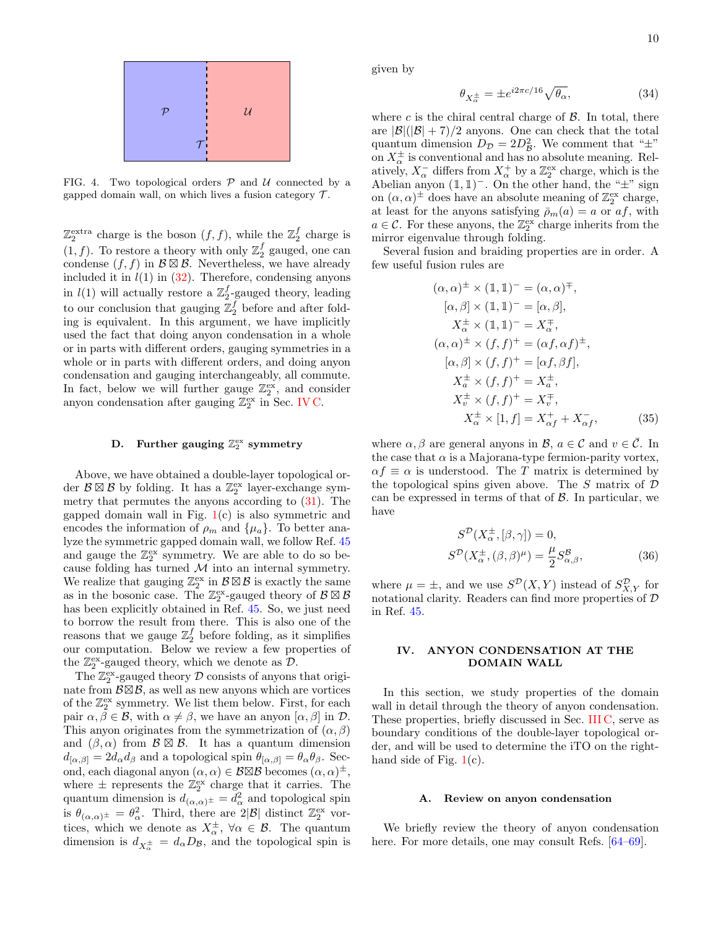

<span id="page-9-1"></span>FIG. 4. Two topological orders  $P$  and  $U$  connected by a gapped domain wall, on which lives a fusion category  $\mathcal{T}$ .

 $\mathbb{Z}_2^{\text{extra}}$  charge is the boson  $(f, f)$ , while the  $\mathbb{Z}_2^f$  charge is  $(1, f)$ . To restore a theory with only  $\mathbb{Z}_2^f$  gauged, one can condense  $(f, f)$  in  $\mathcal{B} \boxtimes \mathcal{B}$ . Nevertheless, we have already included it in  $l(1)$  in  $(32)$ . Therefore, condensing anyons in  $l(1)$  will actually restore a  $\mathbb{Z}_2^f$ -gauged theory, leading to our conclusion that gauging  $\mathbb{Z}_2^f$  before and after folding is equivalent. In this argument, we have implicitly used the fact that doing anyon condensation in a whole or in parts with different orders, gauging symmetries in a whole or in parts with different orders, and doing anyon condensation and gauging interchangeably, all commute. In fact, below we will further gauge  $\mathbb{Z}_2^{\text{ex}}$ , and consider anyon condensation after gauging  $\mathbb{Z}_2^{\text{ex}}$  in Sec. [IV C.](#page-12-1)

# <span id="page-9-2"></span>D. Further gauging  $\mathbb{Z}_2^{\mathrm{ex}}$  symmetry

Above, we have obtained a double-layer topological order  $\mathcal{B} \boxtimes \mathcal{B}$  by folding. It has a  $\mathbb{Z}_2^{\text{ex}}$  layer-exchange symmetry that permutes the anyons according to [\(31\)](#page-8-3). The gapped domain wall in Fig.  $1(c)$  $1(c)$  is also symmetric and encodes the information of  $\rho_m$  and  $\{\mu_a\}$ . To better analyze the symmetric gapped domain wall, we follow Ref. [45](#page-22-18) and gauge the  $\mathbb{Z}_2^{ex}$  symmetry. We are able to do so because folding has turned  $\mathcal M$  into an internal symmetry. We realize that gauging  $\mathbb{Z}_2^{\text{ex}}$  in  $\mathcal{B} \boxtimes \mathcal{B}$  is exactly the same as in the bosonic case. The  $\mathbb{Z}_2^{\text{ex}}$ -gauged theory of  $\mathcal{B} \boxtimes \mathcal{B}$ has been explicitly obtained in Ref. [45.](#page-22-18) So, we just need to borrow the result from there. This is also one of the reasons that we gauge  $\mathbb{Z}_2^f$  before folding, as it simplifies our computation. Below we review a few properties of the  $\mathbb{Z}_2^{\text{ex}}$ -gauged theory, which we denote as  $\mathcal{D}$ .

The  $\mathbb{Z}_2^{\text{ex}}$ -gauged theory  $\mathcal D$  consists of anyons that originate from  $\mathcal{B}\boxtimes\mathcal{B}$ , as well as new anyons which are vortices of the  $\mathbb{Z}_2^{\text{ex}}$  symmetry. We list them below. First, for each pair  $\alpha, \beta \in \mathcal{B}$ , with  $\alpha \neq \beta$ , we have an anyon  $[\alpha, \beta]$  in  $\mathcal{D}$ . This anyon originates from the symmetrization of  $(\alpha, \beta)$ and  $(\beta, \alpha)$  from  $\mathcal{B} \boxtimes \mathcal{B}$ . It has a quantum dimension  $d_{[\alpha,\beta]} = 2d_{\alpha}d_{\beta}$  and a topological spin  $\theta_{[\alpha,\beta]} = \theta_{\alpha}\theta_{\beta}$ . Second, each diagonal anyon  $(\alpha, \alpha) \in \mathcal{B} \boxtimes \mathcal{B}$  becomes  $(\alpha, \alpha)^\pm$ , where  $\pm$  represents the  $\mathbb{Z}_2^{\text{ex}}$  charge that it carries. The quantum dimension is  $d_{(\alpha,\alpha)^{\pm}} = d_{\alpha}^2$  and topological spin is  $\theta_{(\alpha,\alpha)^{\pm}} = \theta_{\alpha}^2$ . Third, there are  $2|\mathcal{B}|$  distinct  $\mathbb{Z}_2^{\text{ex}}$  vortices, which we denote as  $X_{\alpha}^{\pm}$ ,  $\forall \alpha \in \mathcal{B}$ . The quantum dimension is  $d_{X_{\alpha}^{\pm}} = d_{\alpha}D_{\mathcal{B}}$ , and the topological spin is

given by

<span id="page-9-4"></span>
$$
\theta_{X_{\alpha}^{\pm}} = \pm e^{i2\pi c/16} \sqrt{\theta_{\alpha}},\tag{34}
$$

where c is the chiral central charge of  $\beta$ . In total, there are  $|\mathcal{B}|(|\mathcal{B}|+7)/2$  anyons. One can check that the total quantum dimension  $D_{\mathcal{D}} = 2D_{\mathcal{B}}^2$ . We comment that " $\pm$ " on  $X_{\alpha}^{\pm}$  is conventional and has no absolute meaning. Relatively,  $X_{\alpha}^-$  differs from  $X_{\alpha}^+$  by a  $\mathbb{Z}_2^{\text{ex}}$  charge, which is the Abelian anyon  $(1, 1)$ <sup>-</sup>. On the other hand, the " $\pm$ " sign on  $(\alpha, \alpha)$ <sup>±</sup> does have an absolute meaning of  $\mathbb{Z}_2^{\text{ex}}$  charge, at least for the anyons satisfying  $\bar{\rho}_m(a) = a$  or  $af$ , with  $a \in \mathcal{C}$ . For these anyons, the  $\mathbb{Z}_2^{\text{ex}}$  charge inherits from the mirror eigenvalue through folding.

Several fusion and braiding properties are in order. A few useful fusion rules are

$$
(\alpha, \alpha)^{\pm} \times (\mathbb{1}, \mathbb{1})^{-} = (\alpha, \alpha)^{\mp},
$$
  
\n
$$
[\alpha, \beta] \times (\mathbb{1}, \mathbb{1})^{-} = [\alpha, \beta],
$$
  
\n
$$
X_{\alpha}^{\pm} \times (\mathbb{1}, \mathbb{1})^{-} = X_{\alpha}^{\mp},
$$
  
\n
$$
(\alpha, \alpha)^{\pm} \times (f, f)^{+} = (\alpha f, \alpha f)^{\pm},
$$
  
\n
$$
[\alpha, \beta] \times (f, f)^{+} = [\alpha f, \beta f],
$$
  
\n
$$
X_{\alpha}^{\pm} \times (f, f)^{+} = X_{\alpha}^{\pm},
$$
  
\n
$$
X_{\alpha}^{\pm} \times (f, f)^{+} = X_{\alpha}^{\mp},
$$
  
\n
$$
X_{\alpha}^{\pm} \times [1, f] = X_{\alpha f}^{+} + X_{\alpha f}^{-},
$$
\n(35)

where  $\alpha, \beta$  are general anyons in  $\mathcal{B}, a \in \mathcal{C}$  and  $v \in \overline{\mathcal{C}}$ . In the case that  $\alpha$  is a Majorana-type fermion-parity vortex,  $\alpha f \equiv \alpha$  is understood. The T matrix is determined by the topological spins given above. The  $S$  matrix of  $D$ can be expressed in terms of that of  $\beta$ . In particular, we have

<span id="page-9-3"></span>
$$
S^{\mathcal{D}}(X_{\alpha}^{\pm}, [\beta, \gamma]) = 0,
$$
  

$$
S^{\mathcal{D}}(X_{\alpha}^{\pm}, (\beta, \beta)^{\mu}) = \frac{\mu}{2} S^{\mathcal{B}}_{\alpha, \beta},
$$
 (36)

where  $\mu = \pm$ , and we use  $S^{\mathcal{D}}(X, Y)$  instead of  $S_{X,Y}^{\mathcal{D}}$  for notational clarity. Readers can find more properties of  $D$ in Ref. [45.](#page-22-18)

### <span id="page-9-0"></span>IV. ANYON CONDENSATION AT THE DOMAIN WALL

In this section, we study properties of the domain wall in detail through the theory of anyon condensation. These properties, briefly discussed in Sec. [III C,](#page-7-1) serve as boundary conditions of the double-layer topological order, and will be used to determine the iTO on the righthand side of Fig.  $1(c)$  $1(c)$ .

### A. Review on anyon condensation

We briefly review the theory of anyon condensation here. For more details, one may consult Refs. [\[64](#page-22-42)[–69\]](#page-22-43).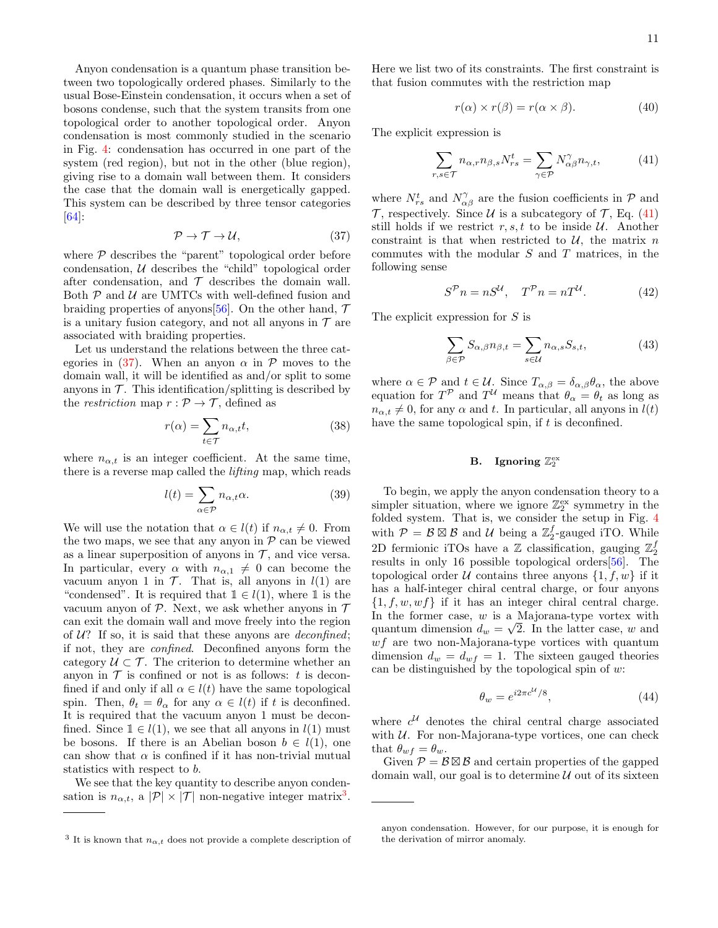Anyon condensation is a quantum phase transition between two topologically ordered phases. Similarly to the usual Bose-Einstein condensation, it occurs when a set of bosons condense, such that the system transits from one topological order to another topological order. Anyon condensation is most commonly studied in the scenario in Fig. [4:](#page-9-1) condensation has occurred in one part of the system (red region), but not in the other (blue region), giving rise to a domain wall between them. It considers the case that the domain wall is energetically gapped. This system can be described by three tensor categories [\[64\]](#page-22-42):

<span id="page-10-0"></span>
$$
\mathcal{P} \to \mathcal{T} \to \mathcal{U},\tag{37}
$$

where  $P$  describes the "parent" topological order before condensation, U describes the "child" topological order after condensation, and  $\mathcal T$  describes the domain wall. Both  $P$  and  $U$  are UMTCs with well-defined fusion and braiding properties of anyons [\[56\]](#page-22-31). On the other hand,  $\mathcal T$ is a unitary fusion category, and not all anyons in  $\mathcal T$  are associated with braiding properties.

Let us understand the relations between the three cat-egories in [\(37\)](#page-10-0). When an anyon  $\alpha$  in  $\mathcal P$  moves to the domain wall, it will be identified as and/or split to some anyons in  $\mathcal T$ . This identification/splitting is described by the *restriction* map  $r : \mathcal{P} \to \mathcal{T}$ , defined as

$$
r(\alpha) = \sum_{t \in \mathcal{T}} n_{\alpha, t} t,\tag{38}
$$

where  $n_{\alpha,t}$  is an integer coefficient. At the same time, there is a reverse map called the lifting map, which reads

$$
l(t) = \sum_{\alpha \in \mathcal{P}} n_{\alpha, t} \alpha.
$$
 (39)

We will use the notation that  $\alpha \in l(t)$  if  $n_{\alpha,t} \neq 0$ . From the two maps, we see that any anyon in  $P$  can be viewed as a linear superposition of anyons in  $\mathcal{T}$ , and vice versa. In particular, every  $\alpha$  with  $n_{\alpha,1} \neq 0$  can become the vacuum anyon 1 in  $\mathcal{T}$ . That is, all anyons in  $l(1)$  are "condensed". It is required that  $1 \in l(1)$ , where 1 is the vacuum anyon of  $P$ . Next, we ask whether anyons in  $T$ can exit the domain wall and move freely into the region of  $U$ ? If so, it is said that these anyons are *deconfined*; if not, they are confined. Deconfined anyons form the category  $U \subset \mathcal{T}$ . The criterion to determine whether an anyon in  $\mathcal T$  is confined or not is as follows: t is deconfined if and only if all  $\alpha \in l(t)$  have the same topological spin. Then,  $\theta_t = \theta_\alpha$  for any  $\alpha \in l(t)$  if t is deconfined. It is required that the vacuum anyon 1 must be deconfined. Since  $1 \in l(1)$ , we see that all anyons in  $l(1)$  must be bosons. If there is an Abelian boson  $b \in l(1)$ , one can show that  $\alpha$  is confined if it has non-trivial mutual statistics with respect to b.

We see that the key quantity to describe anyon condensation is  $n_{\alpha,t}$ , a  $|\mathcal{P}| \times |\mathcal{T}|$  non-negative integer matrix<sup>[3](#page-10-1)</sup>. Here we list two of its constraints. The first constraint is that fusion commutes with the restriction map

<span id="page-10-3"></span>
$$
r(\alpha) \times r(\beta) = r(\alpha \times \beta). \tag{40}
$$

The explicit expression is

<span id="page-10-2"></span>
$$
\sum_{r,s\in\mathcal{T}} n_{\alpha,r} n_{\beta,s} N_{rs}^t = \sum_{\gamma\in\mathcal{P}} N_{\alpha\beta}^{\gamma} n_{\gamma,t},\tag{41}
$$

where  $N_{rs}^t$  and  $N_{\alpha\beta}^{\gamma}$  are the fusion coefficients in  $\mathcal P$  and  $\mathcal T$ , respectively. Since  $\mathcal U$  is a subcategory of  $\mathcal T$ , Eq. [\(41\)](#page-10-2) still holds if we restrict  $r, s, t$  to be inside  $U$ . Another constraint is that when restricted to  $\mathcal{U}$ , the matrix n commutes with the modular  $S$  and  $T$  matrices, in the following sense

$$
S^{\mathcal{P}} n = nS^{\mathcal{U}}, \quad T^{\mathcal{P}} n = nT^{\mathcal{U}}.
$$
 (42)

The explicit expression for S is

<span id="page-10-4"></span>
$$
\sum_{\beta \in \mathcal{P}} S_{\alpha,\beta} n_{\beta,t} = \sum_{s \in \mathcal{U}} n_{\alpha,s} S_{s,t},\tag{43}
$$

where  $\alpha \in \mathcal{P}$  and  $t \in \mathcal{U}$ . Since  $T_{\alpha,\beta} = \delta_{\alpha,\beta} \theta_{\alpha}$ , the above equation for  $T^{\mathcal{P}}$  and  $T^{\mathcal{U}}$  means that  $\theta_{\alpha} = \theta_t$  as long as  $n_{\alpha,t} \neq 0$ , for any  $\alpha$  and t. In particular, all anyons in  $l(t)$ have the same topological spin, if  $t$  is deconfined.

# <span id="page-10-5"></span>B. Ignoring  $\mathbb{Z}_2^{\text{ex}}$

To begin, we apply the anyon condensation theory to a simpler situation, where we ignore  $\mathbb{Z}_2^{\text{ex}}$  symmetry in the folded system. That is, we consider the setup in Fig. [4](#page-9-1) with  $P = \mathcal{B} \boxtimes \mathcal{B}$  and  $\mathcal{U}$  being a  $\mathbb{Z}_2^f$ -gauged iTO. While 2D fermionic iTOs have a  $\mathbb Z$  classification, gauging  $\mathbb Z_2^f$ results in only 16 possible topological orders[\[56\]](#page-22-31). The topological order U contains three anyons  $\{1, f, w\}$  if it has a half-integer chiral central charge, or four anyons  $\{1, f, w, wf\}$  if it has an integer chiral central charge. In the former case,  $w$  is a Majorana-type vortex with quantum dimension  $d_w = \sqrt{2}$ . In the latter case, w and  $wf$  are two non-Majorana-type vortices with quantum dimension  $d_w = d_{wf} = 1$ . The sixteen gauged theories can be distinguished by the topological spin of  $w$ :

$$
\theta_w = e^{i2\pi c^{\mathcal{U}}/8},\tag{44}
$$

where  $c^{\mathcal{U}}$  denotes the chiral central charge associated with  $U$ . For non-Majorana-type vortices, one can check that  $\theta_{wf} = \theta_w$ .

Given  $P = \mathcal{B} \boxtimes \mathcal{B}$  and certain properties of the gapped domain wall, our goal is to determine  $\mathcal U$  out of its sixteen

<span id="page-10-1"></span><sup>&</sup>lt;sup>3</sup> It is known that  $n_{\alpha,t}$  does not provide a complete description of

anyon condensation. However, for our purpose, it is enough for the derivation of mirror anomaly.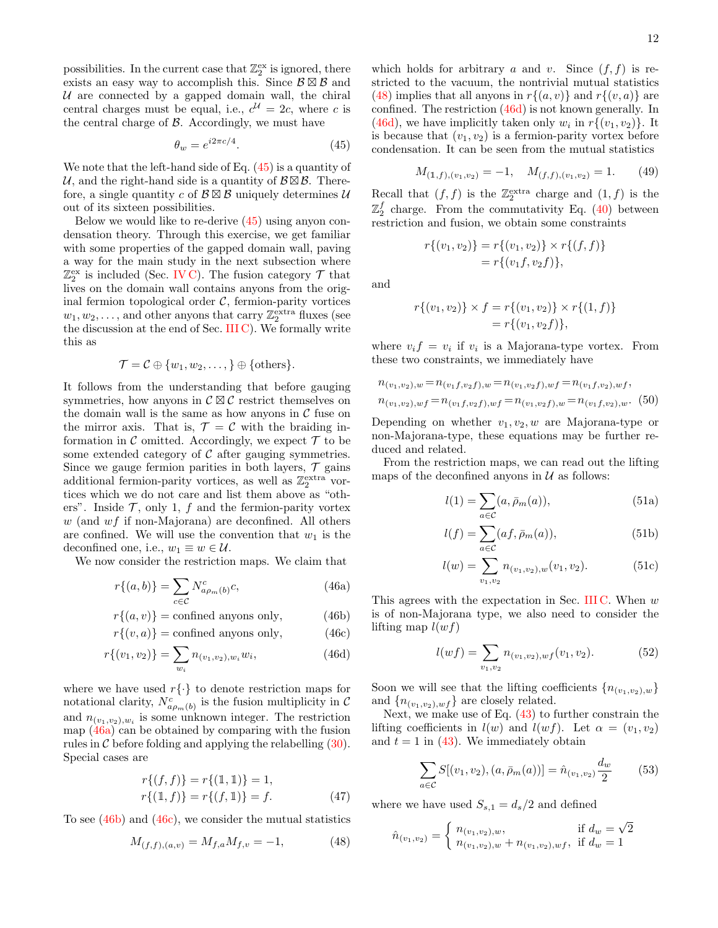possibilities. In the current case that  $\mathbb{Z}_2^{\text{ex}}$  is ignored, there exists an easy way to accomplish this. Since  $\mathcal{B} \boxtimes \mathcal{B}$  and  $U$  are connected by a gapped domain wall, the chiral central charges must be equal, i.e.,  $c^{\mathcal{U}} = 2c$ , where c is the central charge of  $\beta$ . Accordingly, we must have

<span id="page-11-0"></span>
$$
\theta_w = e^{i2\pi c/4}.\tag{45}
$$

We note that the left-hand side of Eq. [\(45\)](#page-11-0) is a quantity of U, and the right-hand side is a quantity of  $\mathcal{B} \boxtimes \mathcal{B}$ . Therefore, a single quantity c of  $\mathcal{B} \boxtimes \mathcal{B}$  uniquely determines U out of its sixteen possibilities.

Below we would like to re-derive [\(45\)](#page-11-0) using anyon condensation theory. Through this exercise, we get familiar with some properties of the gapped domain wall, paving a way for the main study in the next subsection where  $\mathbb{Z}_2^{\text{ex}}$  is included (Sec. [IV C\)](#page-12-1). The fusion category  $\mathcal T$  that lives on the domain wall contains anyons from the original fermion topological order  $C$ , fermion-parity vortices  $w_1, w_2, \ldots$ , and other anyons that carry  $\mathbb{Z}_2^{\text{extra}}$  fluxes (see the discussion at the end of Sec. [III C\)](#page-7-1). We formally write this as

<span id="page-11-9"></span>
$$
\mathcal{T} = \mathcal{C} \oplus \{w_1, w_2, \ldots, \} \oplus \{\text{others}\}.
$$

It follows from the understanding that before gauging symmetries, how anyons in  $\mathcal{C} \boxtimes \mathcal{C}$  restrict themselves on the domain wall is the same as how anyons in  $\mathcal C$  fuse on the mirror axis. That is,  $\mathcal{T} = \mathcal{C}$  with the braiding information in  $\mathcal C$  omitted. Accordingly, we expect  $\mathcal T$  to be some extended category of  $\mathcal C$  after gauging symmetries. Since we gauge fermion parities in both layers,  $\mathcal T$  gains additional fermion-parity vortices, as well as  $\mathbb{Z}_2^{\text{extra}}$  vortices which we do not care and list them above as "others". Inside  $\mathcal{T}$ , only 1,  $f$  and the fermion-parity vortex  $w$  (and  $wf$  if non-Majorana) are deconfined. All others are confined. We will use the convention that  $w_1$  is the deconfined one, i.e.,  $w_1 \equiv w \in \mathcal{U}$ .

We now consider the restriction maps. We claim that

$$
r\{(a,b)\} = \sum_{c \in \mathcal{C}} N^c_{a\rho_m(b)} c,\tag{46a}
$$

$$
r\{(a,v)\} = \text{confined anyons only},\tag{46b}
$$

$$
r\{(v, a)\} = \text{confined anyons only},\tag{46c}
$$

$$
r\{(v_1, v_2)\} = \sum_{w_i} n_{(v_1, v_2), w_i} w_i,
$$
\n(46d)

where we have used  $r\{\cdot\}$  to denote restriction maps for notational clarity,  $N_{a\rho_m(b)}^c$  is the fusion multiplicity in C and  $n_{(v_1, v_2), w_i}$  is some unknown integer. The restriction map [\(46a\)](#page-11-1) can be obtained by comparing with the fusion rules in  $\mathcal C$  before folding and applying the relabelling  $(30)$ . Special cases are

$$
r\{(f, f)\} = r\{(1, 1)\} = 1,r\{(1, f)\} = r\{(f, 1)\} = f.
$$
 (47)

To see [\(46b\)](#page-11-2) and [\(46c\)](#page-11-3), we consider the mutual statistics

<span id="page-11-4"></span>
$$
M_{(f,f),(a,v)} = M_{f,a} M_{f,v} = -1,\tag{48}
$$

which holds for arbitrary a and v. Since  $(f, f)$  is restricted to the vacuum, the nontrivial mutual statistics [\(48\)](#page-11-4) implies that all anyons in  $r{(a, v)}$  and  $r{(v, a)}$  are confined. The restriction [\(46d\)](#page-11-5) is not known generally. In [\(46d\)](#page-11-5), we have implicitly taken only  $w_i$  in  $r\{(v_1, v_2)\}\.$  It is because that  $(v_1, v_2)$  is a fermion-parity vortex before condensation. It can be seen from the mutual statistics

$$
M_{(1,f),(v_1,v_2)} = -1, \quad M_{(f,f),(v_1,v_2)} = 1. \tag{49}
$$

Recall that  $(f, f)$  is the  $\mathbb{Z}_2^{\text{extra}}$  charge and  $(1, f)$  is the  $\mathbb{Z}_2^f$  charge. From the commutativity Eq. [\(40\)](#page-10-3) between restriction and fusion, we obtain some constraints

$$
r\{(v_1, v_2)\} = r\{(v_1, v_2)\} \times r\{(f, f)\}\
$$

$$
= r\{(v_1 f, v_2 f)\},
$$

and

$$
r\{(v_1, v_2)\} \times f = r\{(v_1, v_2)\} \times r\{(1, f)\}\
$$

$$
= r\{(v_1, v_2 f)\},
$$

where  $v_i f = v_i$  if  $v_i$  is a Majorana-type vortex. From these two constraints, we immediately have

$$
\begin{aligned} n_{(v_1,v_2),w} &= n_{(v_1f,v_2f),w} = n_{(v_1,v_2f),wf} = n_{(v_1f,v_2),wf}, \\ n_{(v_1,v_2),wf} &= n_{(v_1f,v_2f),wf} = n_{(v_1,v_2f),w} = n_{(v_1f,v_2),w}. \end{aligned} \tag{50}
$$

Depending on whether  $v_1, v_2, w$  are Majorana-type or non-Majorana-type, these equations may be further reduced and related.

From the restriction maps, we can read out the lifting maps of the deconfined anyons in  $U$  as follows:

<span id="page-11-6"></span>
$$
l(1) = \sum_{a \in \mathcal{C}} (a, \bar{\rho}_m(a)), \tag{51a}
$$

$$
l(f) = \sum_{a \in \mathcal{C}} (af, \bar{\rho}_m(a)), \tag{51b}
$$

<span id="page-11-7"></span>
$$
l(w) = \sum_{v_1, v_2} n_{(v_1, v_2), w}(v_1, v_2).
$$
 (51c)

<span id="page-11-3"></span><span id="page-11-2"></span><span id="page-11-1"></span>This agrees with the expectation in Sec. [III C.](#page-7-1) When  $w$ is of non-Majorana type, we also need to consider the lifting map  $l(wf)$ 

<span id="page-11-8"></span>
$$
l(wf) = \sum_{v_1, v_2} n_{(v_1, v_2), wf}(v_1, v_2).
$$
 (52)

<span id="page-11-5"></span>Soon we will see that the lifting coefficients  $\{n_{(v_1,v_2),w}\}$ and  $\{n_{(v_1,v_2),wf}\}\$ are closely related.

Next, we make use of Eq. [\(43\)](#page-10-4) to further constrain the lifting coefficients in  $l(w)$  and  $l(wf)$ . Let  $\alpha = (v_1, v_2)$ and  $t = 1$  in [\(43\)](#page-10-4). We immediately obtain

$$
\sum_{a \in \mathcal{C}} S[(v_1, v_2), (a, \bar{\rho}_m(a))] = \hat{n}_{(v_1, v_2)} \frac{d_w}{2} \tag{53}
$$

where we have used  $S_{s,1} = d_s/2$  and defined

$$
\hat{n}_{(v_1, v_2)} = \begin{cases} n_{(v_1, v_2), w}, & \text{if } d_w = \sqrt{2} \\ n_{(v_1, v_2), w} + n_{(v_1, v_2), w} f, & \text{if } d_w = 1 \end{cases}
$$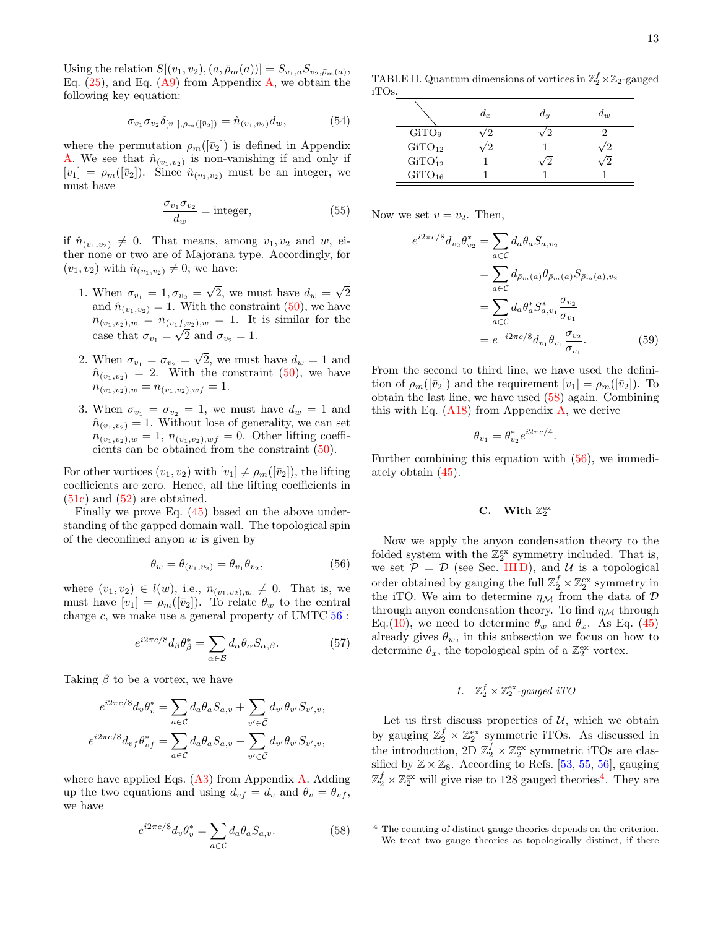Using the relation  $S[(v_1, v_2), (a, \bar{\rho}_m(a))] = S_{v_1, a} S_{v_2, \bar{\rho}_m(a)},$ Eq.  $(25)$ , and Eq.  $(A9)$  from Appendix [A,](#page-20-0) we obtain the following key equation:

$$
\sigma_{v_1} \sigma_{v_2} \delta_{[v_1], \rho_m([\bar{v}_2])} = \hat{n}_{(v_1, v_2)} d_w, \tag{54}
$$

where the permutation  $\rho_m([\bar{v}_2])$  is defined in Appendix [A.](#page-20-0) We see that  $\hat{n}_{(v_1,v_2)}$  is non-vanishing if and only if  $[v_1] = \rho_m([\bar{v}_2])$ . Since  $\hat{n}_{(v_1,v_2)}$  must be an integer, we must have

$$
\frac{\sigma_{v_1}\sigma_{v_2}}{d_w} = \text{integer},\tag{55}
$$

if  $\hat{n}_{(v_1,v_2)} \neq 0$ . That means, among  $v_1, v_2$  and  $w$ , either none or two are of Majorana type. Accordingly, for  $(v_1, v_2)$  with  $\hat{n}_{(v_1, v_2)} \neq 0$ , we have:

- 1. When  $\sigma_{v_1} = 1, \sigma_{v_2} =$ √ 2, we must have  $d_w =$ √ 2 and  $\hat{n}_{(v_1,v_2)} = 1$ . With the constraint [\(50\)](#page-11-6), we have  $n_{(v_1, v_2),w} = n_{(v_1, v_2),w} = 1$ . It is similar for the case that  $\sigma_{v_1} = \sqrt{2}$  and  $\sigma_{v_2} = 1$ .
- 2. When  $\sigma_{v_1} = \sigma_{v_2} =$ √ 2, we must have  $d_w = 1$  and  $\hat{n}_{(v_1,v_2)} = 2$ . With the constraint [\(50\)](#page-11-6), we have  $n_{(v_1,v_2),w} = n_{(v_1,v_2),wf} = 1.$
- 3. When  $\sigma_{v_1} = \sigma_{v_2} = 1$ , we must have  $d_w = 1$  and  $\hat{n}_{(v_1,v_2)} = 1$ . Without lose of generality, we can set  $n_{(v_1,v_2),w} = 1$ ,  $n_{(v_1,v_2),wf} = 0$ . Other lifting coefficients can be obtained from the constraint [\(50\)](#page-11-6).

For other vortices  $(v_1, v_2)$  with  $[v_1] \neq \rho_m([\bar{v}_2])$ , the lifting coefficients are zero. Hence, all the lifting coefficients in [\(51c\)](#page-11-7) and [\(52\)](#page-11-8) are obtained.

Finally we prove Eq. [\(45\)](#page-11-0) based on the above understanding of the gapped domain wall. The topological spin of the deconfined anyon  $w$  is given by

<span id="page-12-3"></span>
$$
\theta_w = \theta_{(v_1, v_2)} = \theta_{v_1} \theta_{v_2},\tag{56}
$$

where  $(v_1, v_2) \in l(w)$ , i.e.,  $n_{(v_1, v_2), w} \neq 0$ . That is, we must have  $[v_1] = \rho_m([\bar{v}_2])$ . To relate  $\theta_w$  to the central charge c, we make use a general property of  $UMTC[56]$  $UMTC[56]$ :

$$
e^{i2\pi c/8}d_{\beta}\theta_{\beta}^{*} = \sum_{\alpha \in \mathcal{B}} d_{\alpha}\theta_{\alpha}S_{\alpha,\beta}.
$$
 (57)

Taking  $\beta$  to be a vortex, we have

$$
e^{i2\pi c/8}d_v\theta_v^* = \sum_{a\in\mathcal{C}} d_a\theta_a S_{a,v} + \sum_{v'\in\bar{\mathcal{C}}} d_{v'}\theta_{v'}S_{v',v},
$$
  

$$
e^{i2\pi c/8}d_{vf}\theta_{vf}^* = \sum_{a\in\mathcal{C}} d_a\theta_a S_{a,v} - \sum_{v'\in\bar{\mathcal{C}}} d_{v'}\theta_{v'}S_{v',v},
$$

where have applied Eqs.  $(A3)$  from Appendix [A.](#page-20-0) Adding up the two equations and using  $d_{vf} = d_v$  and  $\theta_v = \theta_{vf}$ , we have

<span id="page-12-2"></span>
$$
e^{i2\pi c/8}d_v\theta_v^* = \sum_{a \in \mathcal{C}} d_a\theta_a S_{a,v}.\tag{58}
$$

TABLE II. Quantum dimensions of vortices in  $\mathbb{Z}_2^f \times \mathbb{Z}_2$ -gauged iTOs.

<span id="page-12-5"></span>

|                    | $d_x$ | $a_y$ | $d_w$ |
|--------------------|-------|-------|-------|
| GiTO <sub>9</sub>  |       |       |       |
| GiTO <sub>12</sub> |       |       |       |
| $GiTO'_{12}$       |       |       |       |
| $GiTO_{16}$        |       |       |       |

Now we set  $v = v_2$ . Then,

$$
e^{i2\pi c/8}d_{v_2}\theta_{v_2}^* = \sum_{a \in C} d_a\theta_a S_{a,v_2}
$$
  
= 
$$
\sum_{a \in C} d_{\bar{\rho}_m(a)}\theta_{\bar{\rho}_m(a)} S_{\bar{\rho}_m(a),v_2}
$$
  
= 
$$
\sum_{a \in C} d_a\theta_a^* S_{a,v_1}^* \frac{\sigma_{v_2}}{\sigma_{v_1}}
$$
  
= 
$$
e^{-i2\pi c/8} d_{v_1} \theta_{v_1} \frac{\sigma_{v_2}}{\sigma_{v_1}}.
$$
 (59)

From the second to third line, we have used the definition of  $\rho_m([\bar{v}_2])$  and the requirement  $[v_1] = \rho_m([\bar{v}_2])$ . To obtain the last line, we have used [\(58\)](#page-12-2) again. Combining this with Eq.  $(A18)$  from Appendix [A,](#page-20-0) we derive

$$
\theta_{v_1} = \theta_{v_2}^* e^{i2\pi c/4}.
$$

Further combining this equation with [\(56\)](#page-12-3), we immediately obtain [\(45\)](#page-11-0).

# <span id="page-12-1"></span>C. With  $\mathbb{Z}_2^{\text{ex}}$

Now we apply the anyon condensation theory to the folded system with the  $\mathbb{Z}_2^{\text{ex}}$  symmetry included. That is, we set  $P = D$  (see Sec. IIID), and U is a topological order obtained by gauging the full  $\mathbb{Z}_2^f \times \mathbb{Z}_2^{\text{ex}}$  symmetry in the iTO. We aim to determine  $\eta_{\mathcal{M}}$  from the data of  $\mathcal{D}$ through anyon condensation theory. To find  $\eta_{\mathcal{M}}$  through Eq.[\(10\)](#page-4-2), we need to determine  $\theta_w$  and  $\theta_x$ . As Eq. [\(45\)](#page-11-0) already gives  $\theta_w$ , in this subsection we focus on how to determine  $\theta_x$ , the topological spin of a  $\mathbb{Z}_2^{\text{ex}}$  vortex.

# <span id="page-12-0"></span>1.  $\mathbb{Z}_2^f \times \mathbb{Z}_2^{\text{ex}}$ -gauged iTO

Let us first discuss properties of  $U$ , which we obtain by gauging  $\mathbb{Z}_2^f \times \mathbb{Z}_2^{\text{ex}}$  symmetric iTOs. As discussed in the introduction, 2D  $\mathbb{Z}_2^f \times \mathbb{Z}_2^{\text{ex}}$  symmetric iTOs are classified by  $\mathbb{Z} \times \mathbb{Z}_8$ . According to Refs. [\[53,](#page-22-28) [55,](#page-22-30) [56\]](#page-22-31), gauging  $\mathbb{Z}_2^f \times \mathbb{Z}_2^{\text{ex}}$  will give rise to 128 gauged theories<sup>[4](#page-12-4)</sup>. They are

<span id="page-12-4"></span><sup>4</sup> The counting of distinct gauge theories depends on the criterion. We treat two gauge theories as topologically distinct, if there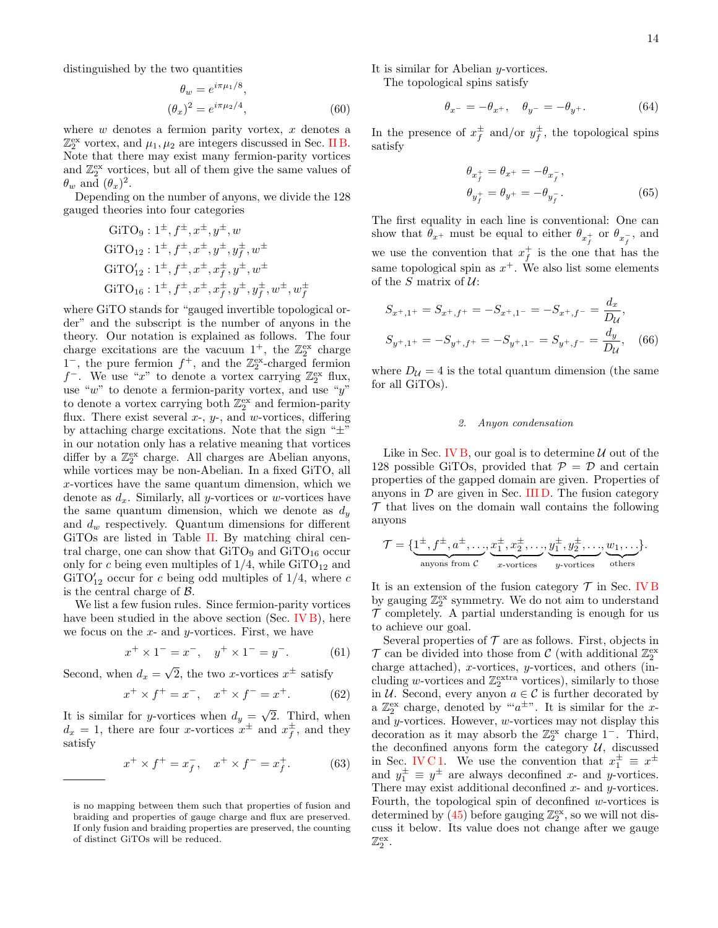distinguished by the two quantities

$$
\theta_w = e^{i\pi\mu_1/8}, \n(\theta_x)^2 = e^{i\pi\mu_2/4},
$$
\n(60)

where  $w$  denotes a fermion parity vortex,  $x$  denotes a  $\mathbb{Z}_2^{\text{ex}}$  vortex, and  $\mu_1, \mu_2$  are integers discussed in Sec. [II B.](#page-3-0) Note that there may exist many fermion-parity vortices and  $\mathbb{Z}_2^{\text{ex}}$  vortices, but all of them give the same values of  $\theta_w$  and  $(\theta_x)^2$ .

Depending on the number of anyons, we divide the 128 gauged theories into four categories

$$
GiTO9: 1±, f±, x±, y±, w
$$
  
\n
$$
GiTO12: 1±, f±, x±, y±, y±, w±
$$
  
\n
$$
GiTO12': 1±, f±, x±, x±, y±, w±
$$
  
\n
$$
GiTO16: 1±, f±, x±, x±, y±, y±, w±, w±
$$

where GiTO stands for "gauged invertible topological order" and the subscript is the number of anyons in the theory. Our notation is explained as follows. The four charge excitations are the vacuum  $1^+$ , the  $\mathbb{Z}_2^{\text{ex}}$  charge  $1^-$ , the pure fermion  $f^+$ , and the  $\mathbb{Z}_2^{\text{ex}}$ -charged fermion  $f^-$ . We use "x" to denote a vortex carrying  $\mathbb{Z}_2^{\text{ex}}$  flux, use " $w$ " to denote a fermion-parity vortex, and use " $y$ " to denote a vortex carrying both  $\mathbb{Z}_2^{\text{ex}}$  and fermion-parity flux. There exist several  $x$ -,  $y$ -, and  $w$ -vortices, differing by attaching charge excitations. Note that the sign "±" in our notation only has a relative meaning that vortices differ by a  $\mathbb{Z}_2^{\text{ex}}$  charge. All charges are Abelian anyons, while vortices may be non-Abelian. In a fixed GiTO, all x-vortices have the same quantum dimension, which we denote as  $d_x$ . Similarly, all y-vortices or w-vortices have the same quantum dimension, which we denote as  $d_y$ and  $d_w$  respectively. Quantum dimensions for different GiTOs are listed in Table [II.](#page-12-5) By matching chiral central charge, one can show that  $GiTO_9$  and  $GiTO_{16}$  occur only for c being even multiples of  $1/4$ , while  $\text{GiTO}_{12}$  and  $GITO'_{12}$  occur for c being odd multiples of  $1/4$ , where c is the central charge of B.

We list a few fusion rules. Since fermion-parity vortices have been studied in the above section (Sec. [IV B\)](#page-10-5), here we focus on the  $x$ - and  $y$ -vortices. First, we have

$$
x^{+} \times 1^{-} = x^{-}, \quad y^{+} \times 1^{-} = y^{-}.
$$
 (61)

Second, when  $d_x =$  $\overline{2}$ , the two *x*-vortices  $x^{\pm}$  satisfy

$$
x^{+} \times f^{+} = x^{-}, \quad x^{+} \times f^{-} = x^{+}.
$$
 (62)

It is similar for y-vortices when  $d_y =$ 2. Third, when  $d_x = 1$ , there are four x-vortices  $x^{\pm}$  and  $x^{\pm}$ , and they satisfy

$$
x^{+} \times f^{+} = x_{f}^{-}, \quad x^{+} \times f^{-} = x_{f}^{+}.
$$
 (63)

It is similar for Abelian y-vortices.

The topological spins satisfy

$$
\theta_{x^-} = -\theta_{x^+}, \quad \theta_{y^-} = -\theta_{y^+}.\tag{64}
$$

In the presence of  $x_f^{\pm}$  and/or  $y_f^{\pm}$ , the topological spins satisfy

$$
\theta_{x_f^+} = \theta_{x^+} = -\theta_{x_f^-}, \n\theta_{y_f^+} = \theta_{y^+} = -\theta_{y_f^-}.
$$
\n(65)

The first equality in each line is conventional: One can show that  $\theta_{x^+}$  must be equal to either  $\theta_{x^+_f}$  or  $\theta_{x^-_f}$ , and we use the convention that  $x_f^+$  is the one that has the same topological spin as  $x^+$ . We also list some elements of the S matrix of  $U$ :

$$
S_{x^+,1^+} = S_{x^+,f^+} = -S_{x^+,1^-} = -S_{x^+,f^-} = \frac{d_x}{D_u},
$$
  
\n
$$
S_{y^+,1^+} = -S_{y^+,f^+} = -S_{y^+,1^-} = S_{y^+,f^-} = \frac{d_y}{D_u},
$$
 (66)

where  $D_{\mathcal{U}} = 4$  is the total quantum dimension (the same for all GiTOs).

### <span id="page-13-1"></span>2. Anyon condensation

Like in Sec. [IV B,](#page-10-5) our goal is to determine  $U$  out of the 128 possible GiTOs, provided that  $P = D$  and certain properties of the gapped domain are given. Properties of anyons in  $\mathcal D$  are given in Sec. [III D.](#page-9-2) The fusion category  $\mathcal T$  that lives on the domain wall contains the following anyons

<span id="page-13-0"></span>
$$
\mathcal{T} = \{ \underbrace{1^{\pm}, f^{\pm}, a^{\pm}, \dots}_{\text{anyons from } C}, \underbrace{x_1^{\pm}, x_2^{\pm}, \dots}_{x\text{-vortices}}, \underbrace{y_1^{\pm}, y_2^{\pm}, \dots}_{y\text{-vortices}}, \underbrace{w_1, \dots}_{\text{others}} \}.
$$

It is an extension of the fusion category  $\mathcal T$  in Sec. [IV B](#page-10-5) by gauging  $\mathbb{Z}_2^{\text{ex}}$  symmetry. We do not aim to understand  $\mathcal T$  completely. A partial understanding is enough for us to achieve our goal.

Several properties of  $\mathcal T$  are as follows. First, objects in  ${\mathcal T}$  can be divided into those from  ${\mathcal C}$  (with additional  ${\mathbb Z}_2^{\mathrm{ex}}$ charge attached), x-vortices, y-vortices, and others (including w-vortices and  $\mathbb{Z}_2^{\text{extra}}$  vortices), similarly to those in  $U$ . Second, every anyon  $a \in \mathcal{C}$  is further decorated by a  $\mathbb{Z}_2^{\text{ex}}$  charge, denoted by "' $a^{\pm}$ ". It is similar for the xand y-vortices. However, w-vortices may not display this decoration as it may absorb the  $\mathbb{Z}_2^{\text{ex}}$  charge  $1^-$ . Third, the deconfined anyons form the category  $U$ , discussed in Sec. [IV C 1.](#page-12-0) We use the convention that  $x_1^{\pm} \equiv x^{\pm}$ and  $y_1^{\pm} \equiv y^{\pm}$  are always deconfined x- and y-vortices. There may exist additional deconfined  $x$ - and  $y$ -vortices. Fourth, the topological spin of deconfined w-vortices is determined by  $(45)$  before gauging  $\mathbb{Z}_2^{\text{ex}}$ , so we will not discuss it below. Its value does not change after we gauge  $\mathbb{Z}_2^{\mathrm{ex}}$ .

is no mapping between them such that properties of fusion and braiding and properties of gauge charge and flux are preserved. If only fusion and braiding properties are preserved, the counting of distinct GiTOs will be reduced.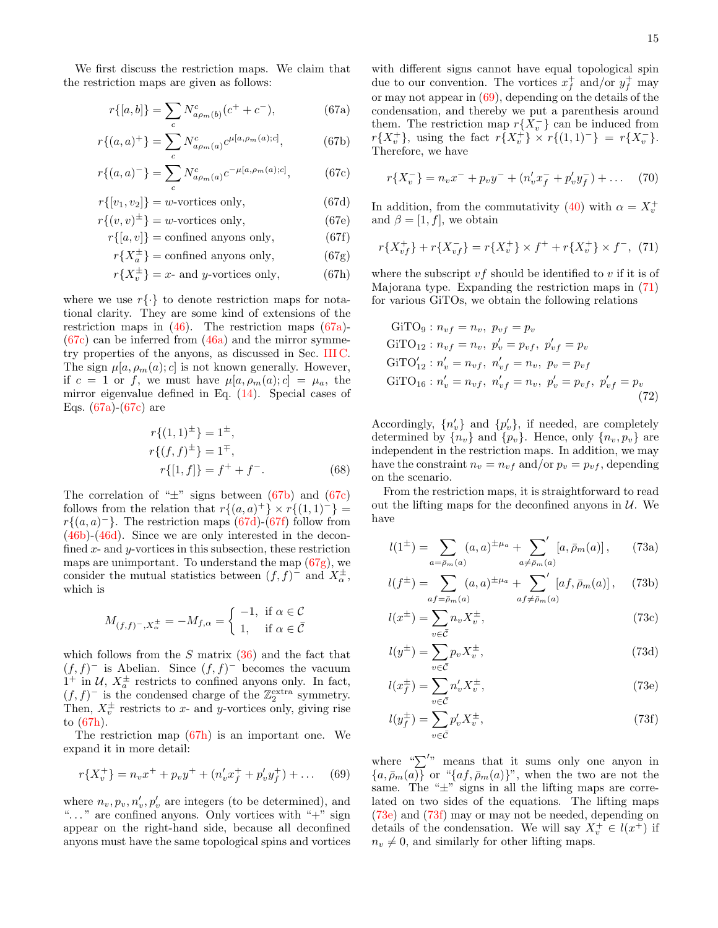We first discuss the restriction maps. We claim that the restriction maps are given as follows:

$$
r\{[a,b]\} = \sum_{c} N^{c}_{a\rho_m(b)}(c^+ + c^-),\tag{67a}
$$

$$
r\{(a,a)^{+}\} = \sum_{c} N^{c}_{a\rho_m(a)} c^{\mu[a,\rho_m(a);c]}, \qquad (67b)
$$

$$
r\{(a,a)^{-}\} = \sum_{c} N_{a\rho_m(a)}^{c} c^{-\mu[a,\rho_m(a);c]}, \qquad (67c)
$$

$$
r\{[v_1, v_2]\} = w\text{-vortices only},\tag{67d}
$$

$$
r\{(v,v)^{\pm}\} = w\text{-vortices only},\tag{67e}
$$

$$
r\{[a, v]\} = \text{confined anyons only},\tag{67f}
$$

$$
r\{X_a^{\pm}\} = \text{confined anyons only},\tag{67g}
$$

$$
r\{X_v^{\pm}\} = x\text{- and } y\text{-vortices only},\tag{67h}
$$

where we use  $r\{\cdot\}$  to denote restriction maps for notational clarity. They are some kind of extensions of the restriction maps in [\(46\)](#page-11-9). The restriction maps [\(67a\)](#page-14-1)-  $(67c)$  can be inferred from  $(46a)$  and the mirror symmetry properties of the anyons, as discussed in Sec. [III C.](#page-7-1) The sign  $\mu[a, \rho_m(a); c]$  is not known generally. However, if  $c = 1$  or f, we must have  $\mu[a, \rho_m(a); c] = \mu_a$ , the mirror eigenvalue defined in Eq. [\(14\)](#page-5-1). Special cases of Eqs.  $(67a)-(67c)$  $(67a)-(67c)$  $(67a)-(67c)$  are

$$
r\{(1,1)^{\pm}\} = 1^{\pm},
$$
  
\n
$$
r\{(f,f)^{\pm}\} = 1^{\mp},
$$
  
\n
$$
r\{[1,f]\} = f^{+} + f^{-}.
$$
 (68)

The correlation of " $\pm$ " signs between [\(67b\)](#page-14-3) and [\(67c\)](#page-14-2) follows from the relation that  $r\{(a,a)^+\}\times r\{(1,1)^-\}$  $r\{(a, a)^-\}$ . The restriction maps  $(67d)-(67f)$  $(67d)-(67f)$  $(67d)-(67f)$  follow from [\(46b\)](#page-11-2)-[\(46d\)](#page-11-5). Since we are only interested in the deconfined  $x$ - and  $y$ -vortices in this subsection, these restriction maps are unimportant. To understand the map  $(67g)$ , we consider the mutual statistics between  $(f, f)$ <sup>-</sup> and  $X_{\alpha}^{\pm}$ , which is

<span id="page-14-0"></span>
$$
M_{(f,f)^{-},X_{\alpha}^{\pm}} = -M_{f,\alpha} = \begin{cases} -1, & \text{if } \alpha \in \mathcal{C} \\ 1, & \text{if } \alpha \in \overline{\mathcal{C}} \end{cases}
$$

which follows from the  $S$  matrix  $(36)$  and the fact that  $(f, f)$ <sup>-</sup> is Abelian. Since  $(f, f)$ <sup>-</sup> becomes the vacuum  $1^+$  in U,  $X_a^{\pm}$  restricts to confined anyons only. In fact,  $(f, f)$ <sup>-</sup> is the condensed charge of the  $\mathbb{Z}_2^{\text{extra}}$  symmetry. Then,  $X_v^{\pm}$  restricts to x- and y-vortices only, giving rise to [\(67h\)](#page-14-7).

The restriction map [\(67h\)](#page-14-7) is an important one. We expand it in more detail:

$$
r\{X_v^+\} = n_v x^+ + p_v y^+ + (n'_v x_f^+ + p'_v y_f^+) + \dots \quad (69)
$$

where  $n_v, p_v, n'_v, p'_v$  are integers (to be determined), and "..." are confined anyons. Only vortices with "+" sign appear on the right-hand side, because all deconfined anyons must have the same topological spins and vortices

<span id="page-14-1"></span>with different signs cannot have equal topological spin due to our convention. The vortices  $x_f^+$  and/or  $y_f^+$  may or may not appear in  $(69)$ , depending on the details of the condensation, and thereby we put a parenthesis around them. The restriction map  $r\{X_v^-\}$  can be induced from  $r\{X_v^+\}\,$ , using the fact  $r\{X_v^+\}\times r\{(1,1)^-\} = r\{X_v^-\}.$ Therefore, we have

<span id="page-14-8"></span><span id="page-14-3"></span>
$$
r\{X_v^-\} = n_v x^- + p_v y^- + (n'_v x^-_f + p'_v y^-_f) + \dots \quad (70)
$$

<span id="page-14-5"></span><span id="page-14-4"></span><span id="page-14-2"></span>In addition, from the commutativity [\(40\)](#page-10-3) with  $\alpha = X_v^+$ and  $\beta = [1, f]$ , we obtain

<span id="page-14-6"></span>
$$
r\{X_{vf}^+\} + r\{X_{vf}^-\} = r\{X_v^+\} \times f^+ + r\{X_v^+\} \times f^-, \tag{71}
$$

<span id="page-14-7"></span>where the subscript  $\mathit{vf}$  should be identified to  $\mathit{v}$  if it is of Majorana type. Expanding the restriction maps in [\(71\)](#page-14-8) for various GiTOs, we obtain the following relations

<span id="page-14-11"></span>
$$
GiTO9 : nvf = nv, pvf = pv\n
$$
GiTO12 : nvf = nv, p'v = pvf, p'vf = pv
$$
\n
$$
GiTO12' : n'v = nvf, n'vf = nv, pv = pvf
$$
\n
$$
GiTO16 : n'v = nvf, n'vf = nv, p'v = pvf, p'vf = pv
$$
\n(72)
$$

Accordingly,  $\{n'_v\}$  and  $\{p'_v\}$ , if needed, are completely determined by  $\{n_v\}$  and  $\{p_v\}$ . Hence, only  $\{n_v, p_v\}$  are independent in the restriction maps. In addition, we may have the constraint  $n_v = n_{vf}$  and/or  $p_v = p_{vf}$ , depending on the scenario.

From the restriction maps, it is straightforward to read out the lifting maps for the deconfined anyons in  $U$ . We have

<span id="page-14-13"></span><span id="page-14-12"></span>
$$
l(1^{\pm}) = \sum_{a=\bar{p}_m(a)} (a, a)^{\pm \mu_a} + \sum_{a \neq \bar{p}_m(a)} [a, \bar{p}_m(a)], \qquad (73a)
$$

$$
l(f^{\pm}) = \sum_{af = \bar{\rho}_m(a)} (a, a)^{\pm \mu_a} + \sum_{af \neq \bar{\rho}_m(a)} [af, \bar{\rho}_m(a)], \quad (73b)
$$

<span id="page-14-14"></span>
$$
l(x^{\pm}) = \sum_{v \in \bar{\mathcal{C}}} n_v X_v^{\pm},\tag{73c}
$$

<span id="page-14-15"></span>
$$
l(y^{\pm}) = \sum_{v \in \bar{\mathcal{C}}} p_v X_v^{\pm},\tag{73d}
$$

<span id="page-14-9"></span>
$$
l(x_f^{\pm}) = \sum_{v \in \bar{C}} n_v' X_v^{\pm},\tag{73e}
$$

<span id="page-14-10"></span>
$$
l(y_f^{\pm}) = \sum_{v \in \bar{\mathcal{C}}} p_v' X_v^{\pm},\tag{73f}
$$

where " $\sum'$ " means that it sums only one anyon in  ${a, \bar{\rho}_m(a)}$  or " ${af, \bar{\rho}_m(a)}$ ", when the two are not the same. The " $\pm$ " signs in all the lifting maps are correlated on two sides of the equations. The lifting maps [\(73e\)](#page-14-9) and [\(73f\)](#page-14-10) may or may not be needed, depending on details of the condensation. We will say  $X_v^+ \in l(x^+)$  if  $n_v \neq 0$ , and similarly for other lifting maps.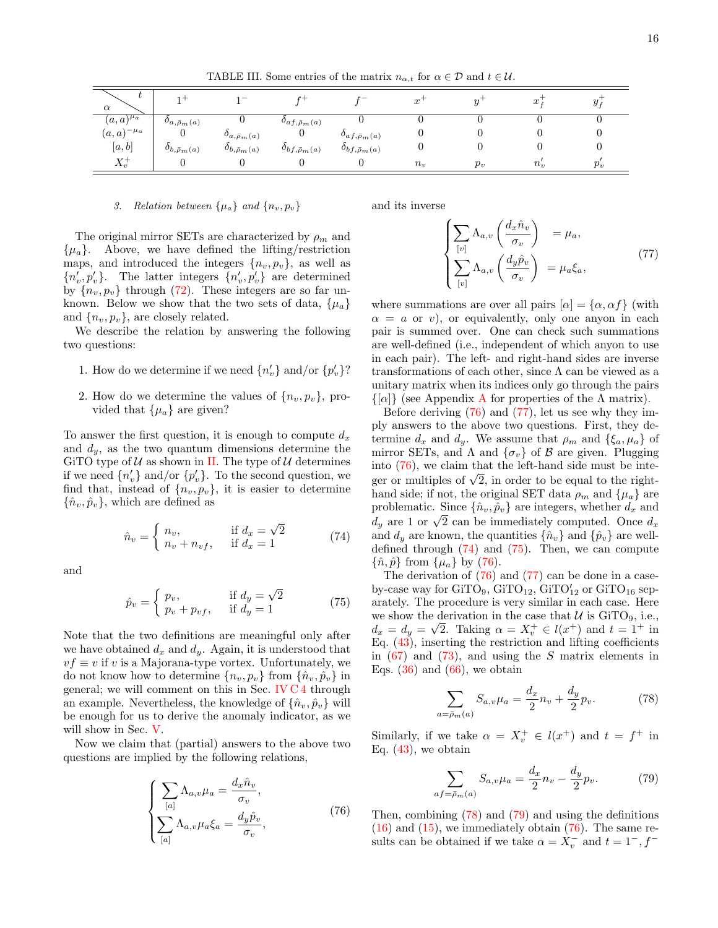TABLE III. Some entries of the matrix  $n_{\alpha,t}$  for  $\alpha \in \mathcal{D}$  and  $t \in \mathcal{U}$ .

| ι<br>$\alpha$    | -                           | $\sim$                       |                          | $\mathbf{r}$                    | $\sim$<br>v |       | $\sim$<br>w | y.    |
|------------------|-----------------------------|------------------------------|--------------------------|---------------------------------|-------------|-------|-------------|-------|
| $(a,a)^{\mu_a}$  | $\partial_{a,\bar{p}_m}(a)$ |                              | $o_{af,\bar{\rho}_m(a)}$ |                                 |             |       |             |       |
| $(a,a)^{-\mu_a}$ |                             | $\partial_{a,\bar{p}_m(a)}$  | U                        | $\partial_{af,\bar{\rho}_m(a)}$ |             |       |             |       |
| [a, b]           | $\partial_{b,\bar{p}_m}(a)$ | $\delta_{b,\bar{\rho}_m(a)}$ | $o_{bf,\bar{\rho}_m(a)}$ | $\partial_{bf,\bar{\rho}_m(a)}$ |             |       |             |       |
| $X_v^+$          |                             |                              |                          |                                 | $n_v$       | $p_v$ | $n_v$       | $p_v$ |

### 3. Relation between  $\{\mu_a\}$  and  $\{n_v, p_v\}$

The original mirror SETs are characterized by  $\rho_m$  and  $\{\mu_a\}$ . Above, we have defined the lifting/restriction maps, and introduced the integers  $\{n_v, p_v\}$ , as well as  ${n'_v, p'_v}$ . The latter integers  ${n'_v, p'_v}$  are determined by  $\{n_v, p_v\}$  through [\(72\)](#page-14-11). These integers are so far unknown. Below we show that the two sets of data,  $\{\mu_a\}$ and  $\{n_v, p_v\}$ , are closely related.

We describe the relation by answering the following two questions:

- 1. How do we determine if we need  $\{n'_{v}\}$  and/or  $\{p'_{v}\}$ ?
- 2. How do we determine the values of  $\{n_v, p_v\}$ , provided that  $\{\mu_a\}$  are given?

To answer the first question, it is enough to compute  $d_x$ and  $d_y$ , as the two quantum dimensions determine the GiTO type of  $U$  as shown in [II.](#page-12-5) The type of  $U$  determines if we need  $\{n'_v\}$  and/or  $\{p'_v\}$ . To the second question, we find that, instead of  $\{n_v, p_v\}$ , it is easier to determine  $\{\hat{n}_v, \hat{p}_v\}$ , which are defined as

<span id="page-15-0"></span>
$$
\hat{n}_v = \begin{cases} n_v, & \text{if } d_x = \sqrt{2} \\ n_v + n_{vf}, & \text{if } d_x = 1 \end{cases} \tag{74}
$$

and

<span id="page-15-1"></span>
$$
\hat{p}_v = \begin{cases} p_v, & \text{if } d_y = \sqrt{2} \\ p_v + p_{vf}, & \text{if } d_y = 1 \end{cases}
$$
\n(75)

Note that the two definitions are meaningful only after we have obtained  $d_x$  and  $d_y$ . Again, it is understood that  $vf \equiv v$  if v is a Majorana-type vortex. Unfortunately, we do not know how to determine  $\{n_v, p_v\}$  from  $\{\hat{n}_v, \hat{p}_v\}$  in general; we will comment on this in Sec. [IV C 4](#page-16-1) through an example. Nevertheless, the knowledge of  $\{\hat{n}_v, \hat{p}_v\}$  will be enough for us to derive the anomaly indicator, as we will show in Sec. [V.](#page-16-0)

Now we claim that (partial) answers to the above two questions are implied by the following relations,

$$
\begin{cases}\n\sum_{[a]} \Lambda_{a,v} \mu_a = \frac{d_x \hat{n}_v}{\sigma_v}, \\
\sum_{[a]} \Lambda_{a,v} \mu_a \xi_a = \frac{d_y \hat{p}_v}{\sigma_v},\n\end{cases}
$$
\n(76)

and its inverse

<span id="page-15-3"></span>
$$
\begin{cases}\n\sum_{[v]} \Lambda_{a,v} \left( \frac{d_x \hat{n}_v}{\sigma_v} \right) &= \mu_a, \\
\sum_{[v]} \Lambda_{a,v} \left( \frac{d_y \hat{p}_v}{\sigma_v} \right) &= \mu_a \xi_a,\n\end{cases}
$$
\n(77)

where summations are over all pairs  $[\alpha] = {\alpha, \alpha f}$  (with  $\alpha = a$  or v), or equivalently, only one anyon in each pair is summed over. One can check such summations are well-defined (i.e., independent of which anyon to use in each pair). The left- and right-hand sides are inverse transformations of each other, since  $\Lambda$  can be viewed as a unitary matrix when its indices only go through the pairs  $\{\alpha\}$  (see [A](#page-20-0)ppendix A for properties of the  $\Lambda$  matrix).

Before deriving [\(76\)](#page-15-2) and [\(77\)](#page-15-3), let us see why they imply answers to the above two questions. First, they determine  $d_x$  and  $d_y$ . We assume that  $\rho_m$  and  $\{\xi_a, \mu_a\}$  of mirror SETs, and  $\Lambda$  and  $\{\sigma_v\}$  of  $\beta$  are given. Plugging into [\(76\)](#page-15-2), we claim that the left-hand side must be intemto ( $\overline{0}$ ), we claim that the left-hand side must be integer or multiples of  $\sqrt{2}$ , in order to be equal to the righthand side; if not, the original SET data  $\rho_m$  and  $\{\mu_a\}$  are problematic. Since  $\{\hat{n}_v, \hat{p}_v\}$  are integers, whether  $d_x$  and problematic. Since  $\{u_v, p_v\}$  are integers, whether  $a_x$  and  $d_y$  are 1 or  $\sqrt{2}$  can be immediately computed. Once  $d_x$ and  $d_y$  are known, the quantities  $\{\hat{n}_v\}$  and  $\{\hat{p}_v\}$  are welldefined through [\(74\)](#page-15-0) and [\(75\)](#page-15-1). Then, we can compute  $\{\hat{n}, \hat{p}\}\$ from  $\{\mu_a\}$  by [\(76\)](#page-15-2).

The derivation of  $(76)$  and  $(77)$  can be done in a caseby-case way for  $\rm{GiTO_{9}}, \rm{GiTO_{12}}, \rm{GiTO'_{12}}$  or  $\rm{GiTO_{16}}$  separately. The procedure is very similar in each case. Here we show the derivation in the case that  $\mathcal{U}$  is GiTO<sub>9</sub>, i.e.,  $d_x = d_y = \sqrt{2}$ . Taking  $\alpha = X_v^+ \in l(x^+)$  and  $t = 1^+$  in Eq. [\(43\)](#page-10-4), inserting the restriction and lifting coefficients in  $(67)$  and  $(73)$ , and using the S matrix elements in Eqs.  $(36)$  and  $(66)$ , we obtain

<span id="page-15-4"></span>
$$
\sum_{a=\bar{p}_m(a)} S_{a,v}\mu_a = \frac{d_x}{2}n_v + \frac{d_y}{2}p_v.
$$
 (78)

Similarly, if we take  $\alpha = X_v^+ \in l(x^+)$  and  $t = f^+$  in Eq.  $(43)$ , we obtain

<span id="page-15-5"></span>
$$
\sum_{i=\bar{p}_m(a)} S_{a,v}\mu_a = \frac{d_x}{2}n_v - \frac{d_y}{2}p_v.
$$
 (79)

<span id="page-15-2"></span>Then, combining [\(78\)](#page-15-4) and [\(79\)](#page-15-5) and using the definitions  $(16)$  and  $(15)$ , we immediately obtain  $(76)$ . The same results can be obtained if we take  $\alpha = X_v^-$  and  $t = 1^-, f^-$ 

 $af$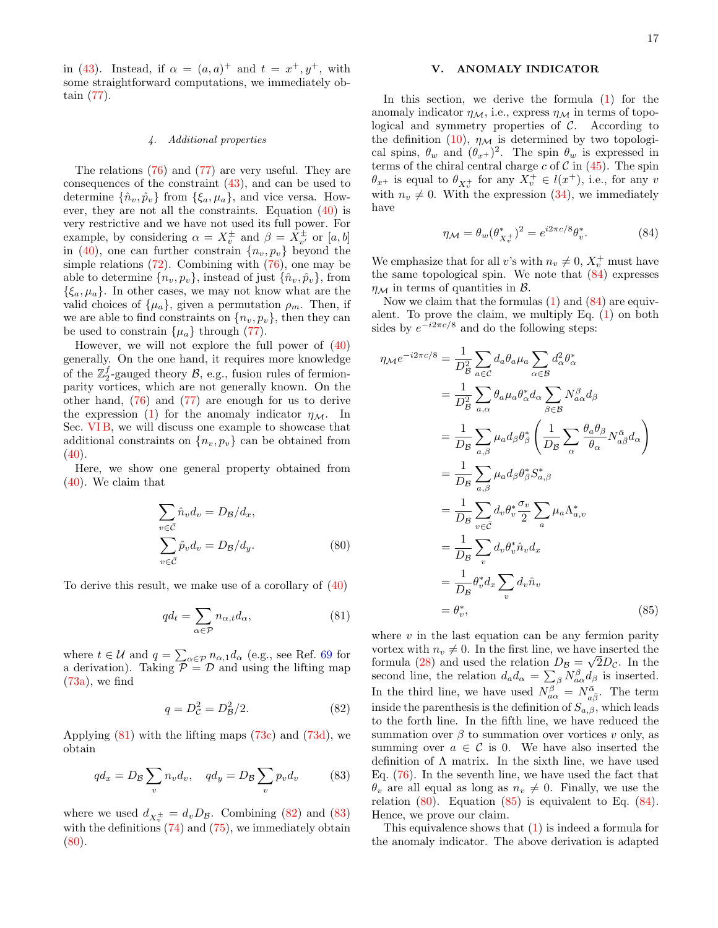in [\(43\)](#page-10-4). Instead, if  $\alpha = (a, a)^+$  and  $t = x^+, y^+,$  with some straightforward computations, we immediately obtain [\(77\)](#page-15-3).

### <span id="page-16-1"></span>4. Additional properties

The relations [\(76\)](#page-15-2) and [\(77\)](#page-15-3) are very useful. They are consequences of the constraint [\(43\)](#page-10-4), and can be used to determine  $\{\hat{n}_v, \hat{p}_v\}$  from  $\{\xi_a, \mu_a\}$ , and vice versa. However, they are not all the constraints. Equation [\(40\)](#page-10-3) is very restrictive and we have not used its full power. For example, by considering  $\alpha = X_v^{\pm}$  and  $\beta = X_{v'}^{\pm}$  or  $[a, b]$ in [\(40\)](#page-10-3), one can further constrain  $\{n_v, p_v\}$  beyond the simple relations [\(72\)](#page-14-11). Combining with [\(76\)](#page-15-2), one may be able to determine  $\{n_v, p_v\}$ , instead of just  $\{\hat{n}_v, \hat{p}_v\}$ , from  $\{\xi_a, \mu_a\}$ . In other cases, we may not know what are the valid choices of  $\{\mu_a\}$ , given a permutation  $\rho_m$ . Then, if we are able to find constraints on  $\{n_v, p_v\}$ , then they can be used to constrain  $\{\mu_a\}$  through [\(77\)](#page-15-3).

However, we will not explore the full power of [\(40\)](#page-10-3) generally. On the one hand, it requires more knowledge of the  $\mathbb{Z}_2^f$ -gauged theory  $\mathcal{B}$ , e.g., fusion rules of fermionparity vortices, which are not generally known. On the other hand, [\(76\)](#page-15-2) and [\(77\)](#page-15-3) are enough for us to derive the expression [\(1\)](#page-1-0) for the anomaly indicator  $\eta_{\mathcal{M}}$ . In Sec. [VI B,](#page-18-0) we will discuss one example to showcase that additional constraints on  $\{n_v, p_v\}$  can be obtained from  $(40).$  $(40).$ 

Here, we show one general property obtained from [\(40\)](#page-10-3). We claim that

$$
\sum_{v \in \bar{C}} \hat{n}_v d_v = D_{\mathcal{B}} / d_x,
$$
  

$$
\sum_{v \in \bar{C}} \hat{p}_v d_v = D_{\mathcal{B}} / d_y.
$$
 (80)

To derive this result, we make use of a corollary of [\(40\)](#page-10-3)

<span id="page-16-2"></span>
$$
qd_t = \sum_{\alpha \in \mathcal{P}} n_{\alpha, t} d_\alpha, \tag{81}
$$

where  $t \in \mathcal{U}$  and  $q = \sum_{\alpha \in \mathcal{P}} n_{\alpha,1} d_{\alpha}$  (e.g., see Ref. [69](#page-22-43) for a derivation). Taking  $P = D$  and using the lifting map  $(73a)$ , we find

<span id="page-16-3"></span>
$$
q = D_{\mathcal{C}}^2 = D_{\mathcal{B}}^2 / 2. \tag{82}
$$

Applying  $(81)$  with the lifting maps  $(73c)$  and  $(73d)$ , we obtain

$$
qd_x = D_B \sum_v n_v d_v, \quad qd_y = D_B \sum_v p_v d_v \tag{83}
$$

where we used  $d_{X_v^{\pm}} = d_v D_{\mathcal{B}}$ . Combining [\(82\)](#page-16-3) and [\(83\)](#page-16-4) with the definitions  $(74)$  and  $(75)$ , we immediately obtain  $(80).$  $(80).$ 

### <span id="page-16-0"></span>V. ANOMALY INDICATOR

In this section, we derive the formula  $(1)$  for the anomaly indicator  $\eta_{\mathcal{M}}$ , i.e., express  $\eta_{\mathcal{M}}$  in terms of topological and symmetry properties of  $C$ . According to the definition [\(10\)](#page-4-2),  $\eta_{\mathcal{M}}$  is determined by two topological spins,  $\theta_w$  and  $(\theta_{x+})^2$ . The spin  $\theta_w$  is expressed in terms of the chiral central charge c of  $\mathcal C$  in [\(45\)](#page-11-0). The spin  $\theta_{x+}$  is equal to  $\theta_{X_v^+}$  for any  $X_v^+ \in l(x^+),$  i.e., for any v with  $n_v \neq 0$ . With the expression [\(34\)](#page-9-4), we immediately have

<span id="page-16-6"></span>
$$
\eta_{\mathcal{M}} = \theta_w (\theta_{X_v^+}^*)^2 = e^{i2\pi c/8} \theta_v^*.
$$
 (84)

We emphasize that for all v's with  $n_v \neq 0, X_v^+$  must have the same topological spin. We note that [\(84\)](#page-16-6) expresses  $\eta_{\mathcal{M}}$  in terms of quantities in  $\mathcal{B}$ .

Now we claim that the formulas [\(1\)](#page-1-0) and [\(84\)](#page-16-6) are equivalent. To prove the claim, we multiply Eq.  $(1)$  on both sides by  $e^{-i2\pi c/8}$  and do the following steps:

$$
\eta_{\mathcal{M}}e^{-i2\pi c/8} = \frac{1}{D_B^2} \sum_{a \in \mathcal{C}} d_a \theta_a \mu_a \sum_{\alpha \in \mathcal{B}} d_{\alpha}^2 \theta_{\alpha}^*
$$
\n
$$
= \frac{1}{D_B^2} \sum_{a,\alpha} \theta_a \mu_a \theta_{\alpha}^* d_{\alpha} \sum_{\beta \in \mathcal{B}} N_{a\alpha}^{\beta} d_{\beta}
$$
\n
$$
= \frac{1}{D_B} \sum_{a,\beta} \mu_a d_{\beta} \theta_{\beta}^* \left( \frac{1}{D_B} \sum_{\alpha} \frac{\theta_a \theta_{\beta}}{\theta_{\alpha}} N_{a\overline{\beta}}^{\overline{\alpha}} d_{\alpha} \right)
$$
\n
$$
= \frac{1}{D_B} \sum_{a,\beta} \mu_a d_{\beta} \theta_{\beta}^* S_{a,\beta}^*
$$
\n
$$
= \frac{1}{D_B} \sum_{v \in \overline{\mathcal{C}}} d_v \theta_v^* \frac{\sigma_v}{2} \sum_a \mu_a \Lambda_{a,v}^*
$$
\n
$$
= \frac{1}{D_B} \sum_v d_v \theta_v^* \hat{n}_v d_x
$$
\n
$$
= \frac{1}{D_B} \theta_v^* d_x \sum_v d_v \hat{n}_v
$$
\n
$$
= \theta_v^*, \qquad (85)
$$

<span id="page-16-7"></span><span id="page-16-5"></span>where  $v$  in the last equation can be any fermion parity vortex with  $n_v \neq 0$ . In the first line, we have inserted the formula [\(28\)](#page-7-2) and used the relation  $D_{\mathcal{B}} = \sqrt{2D_{\mathcal{C}}}$ . In the second line, the relation  $d_a d_{\alpha} = \sum_{\beta} N_{a\alpha}^{\beta} d_{\beta}$  is inserted. In the third line, we have used  $N_{a\alpha}^{\beta} = N_{a\bar{\beta}}^{\bar{\alpha}}$ . The term inside the parenthesis is the definition of  $S_{a,\beta}$ , which leads to the forth line. In the fifth line, we have reduced the summation over  $\beta$  to summation over vortices v only, as summing over  $a \in \mathcal{C}$  is 0. We have also inserted the definition of  $\Lambda$  matrix. In the sixth line, we have used Eq. [\(76\)](#page-15-2). In the seventh line, we have used the fact that  $\theta_v$  are all equal as long as  $n_v \neq 0$ . Finally, we use the relation  $(80)$ . Equation  $(85)$  is equivalent to Eq.  $(84)$ . Hence, we prove our claim.

<span id="page-16-4"></span>This equivalence shows that [\(1\)](#page-1-0) is indeed a formula for the anomaly indicator. The above derivation is adapted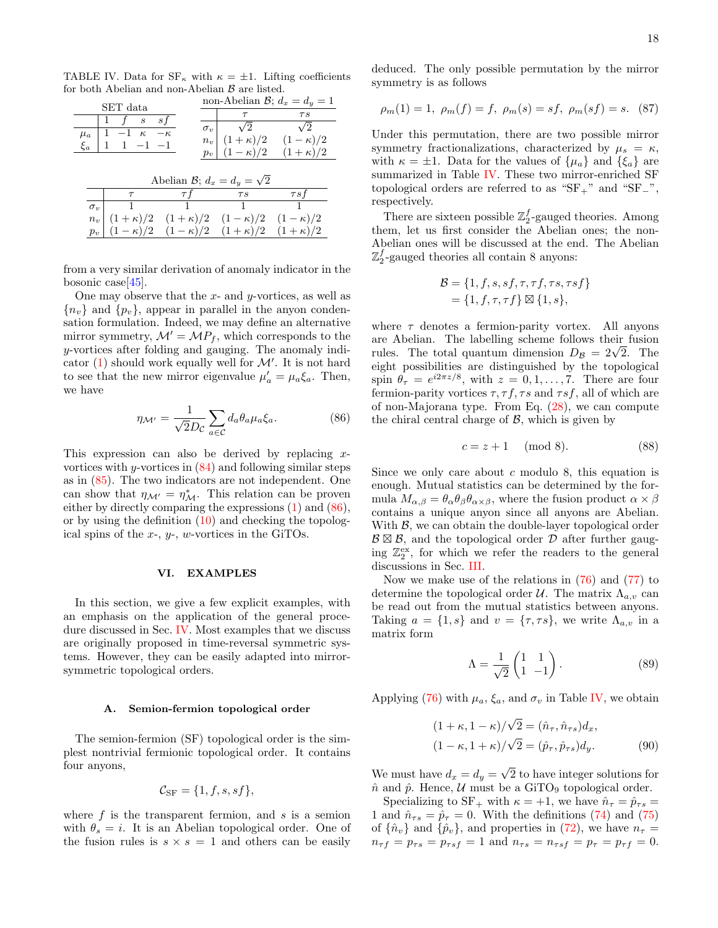TABLE IV. Data for  $SF_{\kappa}$  with  $\kappa = \pm 1$ . Lifting coefficients for both Abelian and non-Abelian  $\beta$  are listed.

<span id="page-17-2"></span>

|                                   | SET data                                                    |                                                  | non-Abelian $\mathcal{B}$ ; $d_x = d_y = 1$                                   |                                                                               |  |  |  |  |  |
|-----------------------------------|-------------------------------------------------------------|--------------------------------------------------|-------------------------------------------------------------------------------|-------------------------------------------------------------------------------|--|--|--|--|--|
| $\mu_a$<br>$\xi_a$                | $\boldsymbol{s}$<br>$1 \quad t$<br>$-1 \kappa$<br>$1 -1 -1$ | s f<br>$\sigma_v$<br>$-\kappa$<br>$n_v$<br>$p_v$ | $\tau$<br>$\sqrt{2}$<br>$(1 - \kappa)/2$                                      | $\tau s$<br>$\sqrt{2}$<br>$(1 + \kappa)/2$ $(1 - \kappa)/2$<br>$(1+\kappa)/2$ |  |  |  |  |  |
| Abelian B; $d_x = d_y = \sqrt{2}$ |                                                             |                                                  |                                                                               |                                                                               |  |  |  |  |  |
|                                   | $\tau$                                                      | $\tau t$                                         | $\tau s$                                                                      | $\tau s f$                                                                    |  |  |  |  |  |
|                                   |                                                             |                                                  |                                                                               |                                                                               |  |  |  |  |  |
| $\sigma_v$                        |                                                             | $\mathbf{1}$                                     | 1                                                                             |                                                                               |  |  |  |  |  |
| $n_v$<br>$p_v$                    |                                                             | $(1 - \kappa)/2$ $(1 - \kappa)/2$                | $(1+\kappa)/2$ $(1+\kappa)/2$ $(1-\kappa)/2$ $(1-\kappa)/2$<br>$(1+\kappa)/2$ | $(1+\kappa)/2$                                                                |  |  |  |  |  |

from a very similar derivation of anomaly indicator in the bosonic case  $|45|$ .

One may observe that the  $x$ - and  $y$ -vortices, as well as  ${n_v}$  and  ${p_v}$ , appear in parallel in the anyon condensation formulation. Indeed, we may define an alternative mirror symmetry,  $\mathcal{M}' = \mathcal{M}P_f$ , which corresponds to the y-vortices after folding and gauging. The anomaly indicator  $(1)$  should work equally well for  $\mathcal{M}'$ . It is not hard to see that the new mirror eigenvalue  $\mu'_a = \mu_a \xi_a$ . Then, we have

<span id="page-17-1"></span>
$$
\eta_{\mathcal{M}'} = \frac{1}{\sqrt{2}D_c} \sum_{a \in \mathcal{C}} d_a \theta_a \mu_a \xi_a.
$$
 (86)

This expression can also be derived by replacing  $x$ vortices with y-vortices in  $(84)$  and following similar steps as in [\(85\)](#page-16-7). The two indicators are not independent. One can show that  $\eta_{\mathcal{M}'} = \eta_{\mathcal{M}}^*$ . This relation can be proven either by directly comparing the expressions [\(1\)](#page-1-0) and [\(86\)](#page-17-1), or by using the definition  $(10)$  and checking the topological spins of the  $x$ -,  $y$ -, w-vortices in the GiTOs.

### <span id="page-17-0"></span>VI. EXAMPLES

In this section, we give a few explicit examples, with an emphasis on the application of the general procedure discussed in Sec. [IV.](#page-9-0) Most examples that we discuss are originally proposed in time-reversal symmetric systems. However, they can be easily adapted into mirrorsymmetric topological orders.

#### A. Semion-fermion topological order

The semion-fermion (SF) topological order is the simplest nontrivial fermionic topological order. It contains four anyons,

<span id="page-17-4"></span>
$$
\mathcal{C}_{\rm SF} = \{1, f, s, sf\},\
$$

where  $f$  is the transparent fermion, and  $s$  is a semion with  $\theta_s = i$ . It is an Abelian topological order. One of the fusion rules is  $s \times s = 1$  and others can be easily deduced. The only possible permutation by the mirror symmetry is as follows

$$
\rho_m(1) = 1
$$
,  $\rho_m(f) = f$ ,  $\rho_m(s) = sf$ ,  $\rho_m(sf) = s$ . (87)

Under this permutation, there are two possible mirror symmetry fractionalizations, characterized by  $\mu_s = \kappa$ , with  $\kappa = \pm 1$ . Data for the values of  $\{\mu_a\}$  and  $\{\xi_a\}$  are summarized in Table [IV.](#page-17-2) These two mirror-enriched SF topological orders are referred to as "SF<sub>+</sub>" and "SF<sub>−</sub>", respectively.

There are sixteen possible  $\mathbb{Z}_2^f$ -gauged theories. Among them, let us first consider the Abelian ones; the non-Abelian ones will be discussed at the end. The Abelian  $\mathbb{Z}_2^f$ -gauged theories all contain 8 anyons:

$$
\mathcal{B} = \{1, f, s, sf, \tau, \tau f, \tau s, \tau s f\} = \{1, f, \tau, \tau f\} \boxtimes \{1, s\},
$$

where  $\tau$  denotes a fermion-parity vortex. All anyons are Abelian. The labelling scheme follows their fusion are Abelian. The labelling scheme follows their fusion<br>rules. The total quantum dimension  $D_B = 2\sqrt{2}$ . The eight possibilities are distinguished by the topological spin  $\theta_{\tau} = e^{i2\pi z/8}$ , with  $z = 0, 1, ..., 7$ . There are four fermion-parity vortices  $\tau$ ,  $\tau f$ ,  $\tau s$  and  $\tau s f$ , all of which are of non-Majorana type. From Eq. [\(28\)](#page-7-2), we can compute the chiral central charge of  $\mathcal{B}$ , which is given by

$$
c = z + 1 \pmod{8}.\tag{88}
$$

Since we only care about  $c$  modulo 8, this equation is enough. Mutual statistics can be determined by the formula  $M_{\alpha,\beta} = \theta_\alpha \theta_\beta \theta_{\alpha \times \beta}$ , where the fusion product  $\alpha \times \beta$ contains a unique anyon since all anyons are Abelian. With  $\beta$ , we can obtain the double-layer topological order  $\mathcal{B} \boxtimes \mathcal{B}$ , and the topological order  $\mathcal{D}$  after further gauging  $\mathbb{Z}_2^{\text{ex}}$ , for which we refer the readers to the general discussions in Sec. [III.](#page-4-1)

Now we make use of the relations in [\(76\)](#page-15-2) and [\(77\)](#page-15-3) to determine the topological order  $\mathcal{U}$ . The matrix  $\Lambda_{a,v}$  can be read out from the mutual statistics between anyons. Taking  $a = \{1, s\}$  and  $v = \{\tau, \tau s\}$ , we write  $\Lambda_{a,v}$  in a matrix form

<span id="page-17-3"></span>
$$
\Lambda = \frac{1}{\sqrt{2}} \begin{pmatrix} 1 & 1 \\ 1 & -1 \end{pmatrix} . \tag{89}
$$

Applying [\(76\)](#page-15-2) with  $\mu_a$ ,  $\xi_a$ , and  $\sigma_v$  in Table [IV,](#page-17-2) we obtain

$$
(1 + \kappa, 1 - \kappa) / \sqrt{2} = (\hat{n}_{\tau}, \hat{n}_{\tau s}) d_x,
$$
  

$$
(1 - \kappa, 1 + \kappa) / \sqrt{2} = (\hat{p}_{\tau}, \hat{p}_{\tau s}) d_y.
$$
 (90)

We must have  $d_x = d_y =$ √ 2 to have integer solutions for  $\hat{n}$  and  $\hat{p}$ . Hence, U must be a GiTO<sub>9</sub> topological order.

Specializing to SF<sub>+</sub> with  $\kappa = +1$ , we have  $\hat{n}_{\tau} = \hat{p}_{\tau s}$ 1 and  $\hat{n}_{\tau s} = \hat{p}_{\tau} = 0$ . With the definitions [\(74\)](#page-15-0) and [\(75\)](#page-15-1) of  $\{\hat{n}_v\}$  and  $\{\hat{p}_v\}$ , and properties in [\(72\)](#page-14-11), we have  $n_\tau =$  $n_{\tau f} = p_{\tau s} = p_{\tau s f} = 1$  and  $n_{\tau s} = n_{\tau s f} = p_{\tau} = p_{\tau f} = 0$ .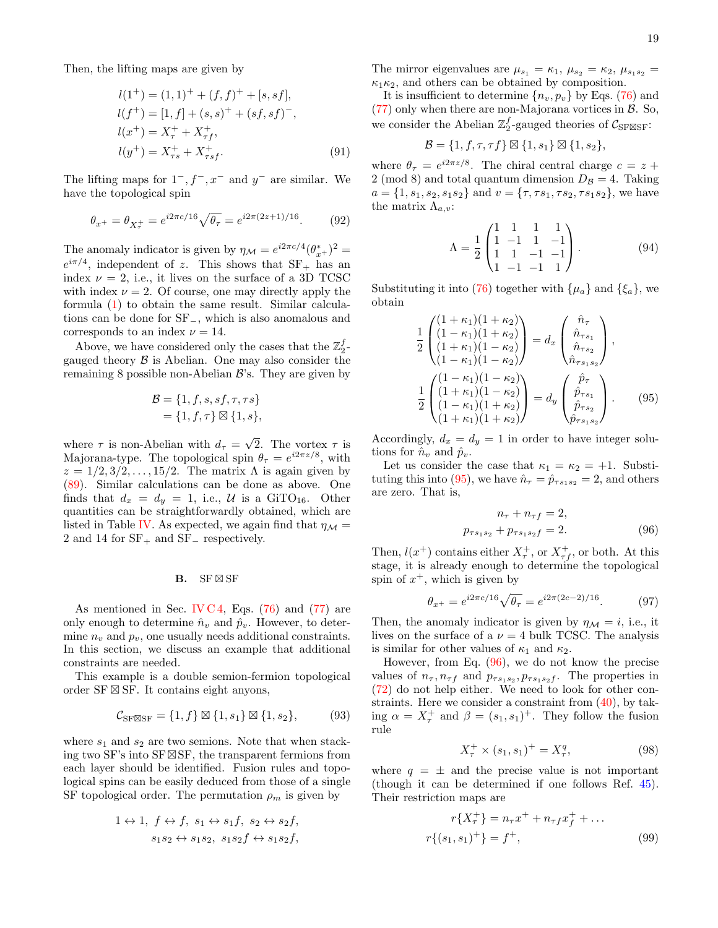Then, the lifting maps are given by

$$
l(1^{+}) = (1, 1)^{+} + (f, f)^{+} + [s, sf],
$$
  
\n
$$
l(f^{+}) = [1, f] + (s, s)^{+} + (sf, sf)^{-},
$$
  
\n
$$
l(x^{+}) = X_{\tau}^{+} + X_{\tau f}^{+},
$$
  
\n
$$
l(y^{+}) = X_{\tau s}^{+} + X_{\tau sf}^{+}.
$$
\n(91)

The lifting maps for  $1^-, f^-, x^-$  and  $y^-$  are similar. We have the topological spin

$$
\theta_{x^+} = \theta_{X_\tau^+} = e^{i2\pi c/16} \sqrt{\theta_\tau} = e^{i2\pi (2z+1)/16}.\tag{92}
$$

The anomaly indicator is given by  $\eta_{\mathcal{M}} = e^{i2\pi c/4} (\theta_{x+}^*)^2 =$  $e^{i\pi/4}$ , independent of z. This shows that  $SF_+$  has an index  $\nu = 2$ , i.e., it lives on the surface of a 3D TCSC with index  $\nu = 2$ . Of course, one may directly apply the formula [\(1\)](#page-1-0) to obtain the same result. Similar calculations can be done for SF−, which is also anomalous and corresponds to an index  $\nu = 14$ .

Above, we have considered only the cases that the  $\mathbb{Z}_2^f$ gauged theory  $\beta$  is Abelian. One may also consider the remaining 8 possible non-Abelian  $\mathcal{B}$ 's. They are given by

$$
\mathcal{B} = \{1, f, s, sf, \tau, \tau s\}
$$

$$
= \{1, f, \tau\} \boxtimes \{1, s\},
$$

where  $\tau$  is non-Abelian with  $d_{\tau} =$ √ 2. The vortex  $\tau$  is Majorana-type. The topological spin  $\theta_{\tau} = e^{i2\pi z/8}$ , with  $z = 1/2, 3/2, \ldots, 15/2$ . The matrix  $\Lambda$  is again given by [\(89\)](#page-17-3). Similar calculations can be done as above. One finds that  $d_x = d_y = 1$ , i.e., U is a GiTO<sub>16</sub>. Other quantities can be straightforwardly obtained, which are listed in Table [IV.](#page-17-2) As expected, we again find that  $\eta_{\mathcal{M}} =$ 2 and 14 for  $SF_+$  and  $SF_$  respectively.

### <span id="page-18-0"></span> $\mathbf{B}$ . SF  $\boxtimes$  SF

As mentioned in Sec. [IV C 4,](#page-16-1) Eqs.  $(76)$  and  $(77)$  are only enough to determine  $\hat{n}_v$  and  $\hat{p}_v$ . However, to determine  $n_v$  and  $p_v$ , one usually needs additional constraints. In this section, we discuss an example that additional constraints are needed.

This example is a double semion-fermion topological order SF $\boxtimes$  SF. It contains eight anyons,

$$
\mathcal{C}_{\text{SF}\boxtimes\text{SF}} = \{1, f\} \boxtimes \{1, s_1\} \boxtimes \{1, s_2\},\tag{93}
$$

where  $s_1$  and  $s_2$  are two semions. Note that when stacking two SF's into SF $\boxtimes$ SF, the transparent fermions from each layer should be identified. Fusion rules and topological spins can be easily deduced from those of a single SF topological order. The permutation  $\rho_m$  is given by

$$
1 \leftrightarrow 1, f \leftrightarrow f, s_1 \leftrightarrow s_1 f, s_2 \leftrightarrow s_2 f,
$$
  

$$
s_1 s_2 \leftrightarrow s_1 s_2, s_1 s_2 f \leftrightarrow s_1 s_2 f,
$$

The mirror eigenvalues are  $\mu_{s_1} = \kappa_1$ ,  $\mu_{s_2} = \kappa_2$ ,  $\mu_{s_1 s_2} =$  $\kappa_1 \kappa_2$ , and others can be obtained by composition.

It is insufficient to determine  $\{n_v, p_v\}$  by Eqs. [\(76\)](#page-15-2) and  $(77)$  only when there are non-Majorana vortices in  $\beta$ . So, we consider the Abelian  $\mathbb{Z}_2^f$ -gauged theories of  $\mathcal{C}_{\text{SF}\boxtimes \text{SF}}$ :

$$
\mathcal{B} = \{1, f, \tau, \tau f\} \boxtimes \{1, s_1\} \boxtimes \{1, s_2\},\
$$

where  $\theta_{\tau} = e^{i2\pi z/8}$ . The chiral central charge  $c = z +$ 2 (mod 8) and total quantum dimension  $D_{\mathcal{B}} = 4$ . Taking  $a = \{1, s_1, s_2, s_1 s_2\}$  and  $v = \{\tau, \tau s_1, \tau s_2, \tau s_1 s_2\}$ , we have the matrix  $\Lambda_{a,v}$ :

$$
\Lambda = \frac{1}{2} \begin{pmatrix} 1 & 1 & 1 & 1 \\ 1 & -1 & 1 & -1 \\ 1 & 1 & -1 & -1 \\ 1 & -1 & -1 & 1 \end{pmatrix} . \tag{94}
$$

Substituting it into [\(76\)](#page-15-2) together with  $\{\mu_a\}$  and  $\{\xi_a\}$ , we obtain

$$
\frac{1}{2} \begin{pmatrix} (1+\kappa_1)(1+\kappa_2) \\ (1-\kappa_1)(1+\kappa_2) \\ (1+\kappa_1)(1-\kappa_2) \\ (1-\kappa_1)(1-\kappa_2) \end{pmatrix} = d_x \begin{pmatrix} \hat{n}_{\tau} \\ \hat{n}_{\tau s_1} \\ \hat{n}_{\tau s_2} \\ \hat{n}_{\tau s_1 s_2} \end{pmatrix},
$$
\n
$$
\frac{1}{2} \begin{pmatrix} (1-\kappa_1)(1-\kappa_2) \\ (1+\kappa_1)(1-\kappa_2) \\ (1-\kappa_1)(1+\kappa_2) \\ (1+\kappa_1)(1+\kappa_2) \end{pmatrix} = d_y \begin{pmatrix} \hat{p}_{\tau} \\ \hat{p}_{\tau s_1} \\ \hat{p}_{\tau s_2} \\ \hat{p}_{\tau s_1 s_2} \end{pmatrix} . \tag{95}
$$

Accordingly,  $d_x = d_y = 1$  in order to have integer solutions for  $\hat{n}_v$  and  $\hat{p}_v$ .

Let us consider the case that  $\kappa_1 = \kappa_2 = +1$ . Substi-tuting this into [\(95\)](#page-18-1), we have  $\hat{n}_{\tau} = \hat{p}_{\tau s_1 s_2} = 2$ , and others are zero. That is,

<span id="page-18-2"></span><span id="page-18-1"></span>
$$
n_{\tau} + n_{\tau f} = 2,
$$
  

$$
p_{\tau s_1 s_2} + p_{\tau s_1 s_2 f} = 2.
$$
 (96)

Then,  $l(x^{+})$  contains either  $X_{\tau}^{+}$ , or  $X_{\tau f}^{+}$ , or both. At this stage, it is already enough to determine the topological spin of  $x^+$ , which is given by

$$
\theta_{x^{+}} = e^{i2\pi c/16} \sqrt{\theta_{\tau}} = e^{i2\pi (2c-2)/16}.
$$
 (97)

Then, the anomaly indicator is given by  $\eta_{\mathcal{M}} = i$ , i.e., it lives on the surface of a  $\nu=4$  bulk TCSC. The analysis is similar for other values of  $\kappa_1$  and  $\kappa_2$ .

However, from Eq.  $(96)$ , we do not know the precise values of  $n_{\tau}$ ,  $n_{\tau f}$  and  $p_{\tau s_1 s_2}$ ,  $p_{\tau s_1 s_2 f}$ . The properties in [\(72\)](#page-14-11) do not help either. We need to look for other constraints. Here we consider a constraint from [\(40\)](#page-10-3), by taking  $\alpha = X_{\tau}^{+}$  and  $\beta = (s_1, s_1)^{+}$ . They follow the fusion rule

$$
X_{\tau}^{+} \times (s_1, s_1)^{+} = X_{\tau}^{q}, \tag{98}
$$

where  $q = \pm$  and the precise value is not important (though it can be determined if one follows Ref. [45\)](#page-22-18). Their restriction maps are

$$
r\{X_{\tau}^{+}\}=n_{\tau}x^{+}+n_{\tau f}x_{f}^{+}+\dots
$$

$$
r\{(s_{1}, s_{1})^{+}\}=f^{+}, \qquad (99)
$$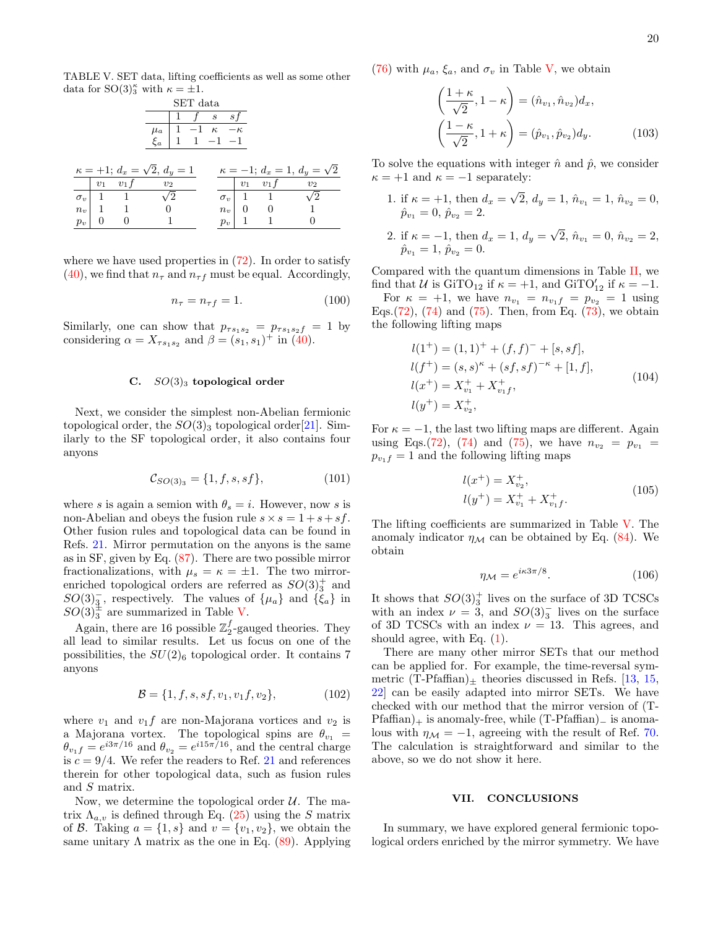TABLE V. SET data, lifting coefficients as well as some other data for  $SO(3)_{3}^{\kappa}$  with  $\kappa = \pm 1$ .

<span id="page-19-1"></span>

| SET data |  |                                            |                                                          |                                                                                                    |  |       |             |                    |                                     |
|----------|--|--------------------------------------------|----------------------------------------------------------|----------------------------------------------------------------------------------------------------|--|-------|-------------|--------------------|-------------------------------------|
|          |  |                                            |                                                          | $1 \quad f \quad s \quad sf$                                                                       |  |       |             |                    |                                     |
|          |  |                                            |                                                          | $\begin{array}{c cccc}\n\mu_a & 1 & -1 & \kappa & -\kappa \\ \xi_a & 1 & 1 & -1 & -1\n\end{array}$ |  |       |             |                    |                                     |
|          |  |                                            | $\xi_a$                                                  |                                                                                                    |  |       |             |                    |                                     |
|          |  |                                            |                                                          |                                                                                                    |  |       |             |                    |                                     |
|          |  |                                            | $\kappa = +1; d_x = \sqrt{2}, d_y = 1$                   |                                                                                                    |  |       |             |                    | $\kappa = -1$ ; $d_x = 1$ , $d_y =$ |
|          |  | $\begin{array}{ccc} v_1 & v_1 \end{array}$ | $v_2$                                                    |                                                                                                    |  |       |             | $v_1$ $v_1$ f      | v <sub>2</sub>                      |
|          |  |                                            | $\sigma_v$   1 1 $\sqrt{2}$                              |                                                                                                    |  |       |             | $\sigma_v$   1   1 | $\sqrt{2}$                          |
|          |  |                                            | $\begin{array}{c cc} \hline n_v & 1 & 1 & 0 \end{array}$ |                                                                                                    |  |       |             | $n_v$ 0 0          | $\sim$ 1                            |
| $p_v$    |  |                                            |                                                          |                                                                                                    |  | $p_v$ | $1 \quad 1$ |                    |                                     |

where we have used properties in  $(72)$ . In order to satisfy [\(40\)](#page-10-3), we find that  $n_{\tau}$  and  $n_{\tau}$  must be equal. Accordingly,

$$
n_{\tau} = n_{\tau f} = 1. \tag{100}
$$

√ 2

Similarly, one can show that  $p_{\tau s_1 s_2} = p_{\tau s_1 s_2 f} = 1$  by considering  $\alpha = X_{\tau s_1 s_2}$  and  $\beta = (s_1, s_1)^+$  in [\(40\)](#page-10-3).

### C.  $SO(3)_3$  topological order

Next, we consider the simplest non-Abelian fermionic topological order, the  $SO(3)_3$  topological order[\[21\]](#page-22-35). Similarly to the SF topological order, it also contains four anyons

$$
\mathcal{C}_{SO(3)_3} = \{1, f, s, sf\},\tag{101}
$$

where s is again a semion with  $\theta_s = i$ . However, now s is non-Abelian and obeys the fusion rule  $s \times s = 1 + s + sf$ . Other fusion rules and topological data can be found in Refs. [21.](#page-22-35) Mirror permutation on the anyons is the same as in SF, given by Eq. [\(87\)](#page-17-4). There are two possible mirror fractionalizations, with  $\mu_s = \kappa = \pm 1$ . The two mirrorenriched topological orders are referred as  $SO(3)<sup>+</sup><sub>3</sub>$  and  $SO(3)_{3}^-$ , respectively. The values of  $\{\mu_a\}$  and  $\{\xi_a\}$  in  $SO(3)$ <sup> $\pm$ </sup> are summarized in Table [V.](#page-19-1)

Again, there are 16 possible  $\mathbb{Z}_2^f$ -gauged theories. They all lead to similar results. Let us focus on one of the possibilities, the  $SU(2)_6$  topological order. It contains 7 anyons

$$
\mathcal{B} = \{1, f, s, sf, v_1, v_1 f, v_2\},\tag{102}
$$

where  $v_1$  and  $v_1f$  are non-Majorana vortices and  $v_2$  is a Majorana vortex. The topological spins are  $\theta_{v_1} =$  $\theta_{v_1f} = e^{i3\pi/16}$  and  $\theta_{v_2} = e^{i15\pi/16}$ , and the central charge is  $c = 9/4$ . We refer the readers to Ref. [21](#page-22-35) and references therein for other topological data, such as fusion rules and S matrix.

Now, we determine the topological order  $\mathcal{U}$ . The matrix  $\Lambda_{a,v}$  is defined through Eq. [\(25\)](#page-6-2) using the S matrix of  $\mathcal{B}$ . Taking  $a = \{1, s\}$  and  $v = \{v_1, v_2\}$ , we obtain the same unitary  $\Lambda$  matrix as the one in Eq. [\(89\)](#page-17-3). Applying

[\(76\)](#page-15-2) with  $\mu_a$ ,  $\xi_a$ , and  $\sigma_v$  in Table [V,](#page-19-1) we obtain

$$
\left(\frac{1+\kappa}{\sqrt{2}}, 1-\kappa\right) = (\hat{n}_{v_1}, \hat{n}_{v_2})d_x,
$$
\n
$$
\left(\frac{1-\kappa}{\sqrt{2}}, 1+\kappa\right) = (\hat{p}_{v_1}, \hat{p}_{v_2})d_y.
$$
\n(103)

To solve the equations with integer  $\hat{n}$  and  $\hat{p}$ , we consider  $\kappa = +1$  and  $\kappa = -1$  separately:

- 1. if  $\kappa = +1$ , then  $d_x =$ √  $2, d_y = 1, \, \hat{n}_{v_1} = 1, \, \hat{n}_{v_2} = 0,$  $\hat{p}_{v_1} = 0, \, \hat{p}_{v_2} = 2.$ √
- 2. if  $\kappa = -1$ , then  $d_x = 1$ ,  $d_y =$  $2, \hat{n}_{v_1} = 0, \hat{n}_{v_2} = 2,$  $\hat{p}_{v_1} = 1, \, \hat{p}_{v_2} = 0.$

Compared with the quantum dimensions in Table [II,](#page-12-5) we find that U is  $\text{GiTO}_{12}$  if  $\kappa = +1$ , and  $\text{GiTO}_{12}'$  if  $\kappa = -1$ .

For  $\kappa = +1$ , we have  $n_{v_1} = n_{v_1f} = p_{v_2} = 1$  using Eqs.[\(72\)](#page-14-11), [\(74\)](#page-15-0) and [\(75\)](#page-15-1). Then, from Eq. [\(73\)](#page-14-12), we obtain the following lifting maps

$$
l(1^+) = (1,1)^+ + (f,f)^- + [s,sf],
$$
  
\n
$$
l(f^+) = (s,s)^{\kappa} + (sf,sf)^{-\kappa} + [1,f],
$$
  
\n
$$
l(x^+) = X_{v_1}^+ + X_{v_1f}^+,
$$
  
\n
$$
l(y^+) = X_{v_2}^+,
$$
\n(104)

For  $\kappa = -1$ , the last two lifting maps are different. Again using Eqs.[\(72\)](#page-14-11), [\(74\)](#page-15-0) and [\(75\)](#page-15-1), we have  $n_{v_2} = p_{v_1}$  $p_{v_1f} = 1$  and the following lifting maps

$$
l(x^{+}) = X_{v_2}^{+},
$$
  
\n
$$
l(y^{+}) = X_{v_1}^{+} + X_{v_1f}^{+}.
$$
\n(105)

The lifting coefficients are summarized in Table [V.](#page-19-1) The anomaly indicator  $\eta_{\mathcal{M}}$  can be obtained by Eq. [\(84\)](#page-16-6). We obtain

$$
\eta_{\mathcal{M}} = e^{i\kappa 3\pi/8}.\tag{106}
$$

It shows that  $SO(3)_3^+$  lives on the surface of 3D TCSCs with an index  $\nu = 3$ , and  $SO(3)_{3}^{-}$  lives on the surface of 3D TCSCs with an index  $\nu = 13$ . This agrees, and should agree, with Eq. [\(1\)](#page-1-0).

There are many other mirror SETs that our method can be applied for. For example, the time-reversal symmetric  $(T-Pfaffian)_\pm$  theories discussed in Refs. [\[13,](#page-22-36) [15,](#page-22-37) [22\]](#page-22-19) can be easily adapted into mirror SETs. We have checked with our method that the mirror version of (T- $Pfaffian)_+$  is anomaly-free, while  $(T-Pfaffian)_-$  is anomalous with  $\eta_{\mathcal{M}} = -1$ , agreeing with the result of Ref. [70.](#page-22-44) The calculation is straightforward and similar to the above, so we do not show it here.

### <span id="page-19-0"></span>VII. CONCLUSIONS

In summary, we have explored general fermionic topological orders enriched by the mirror symmetry. We have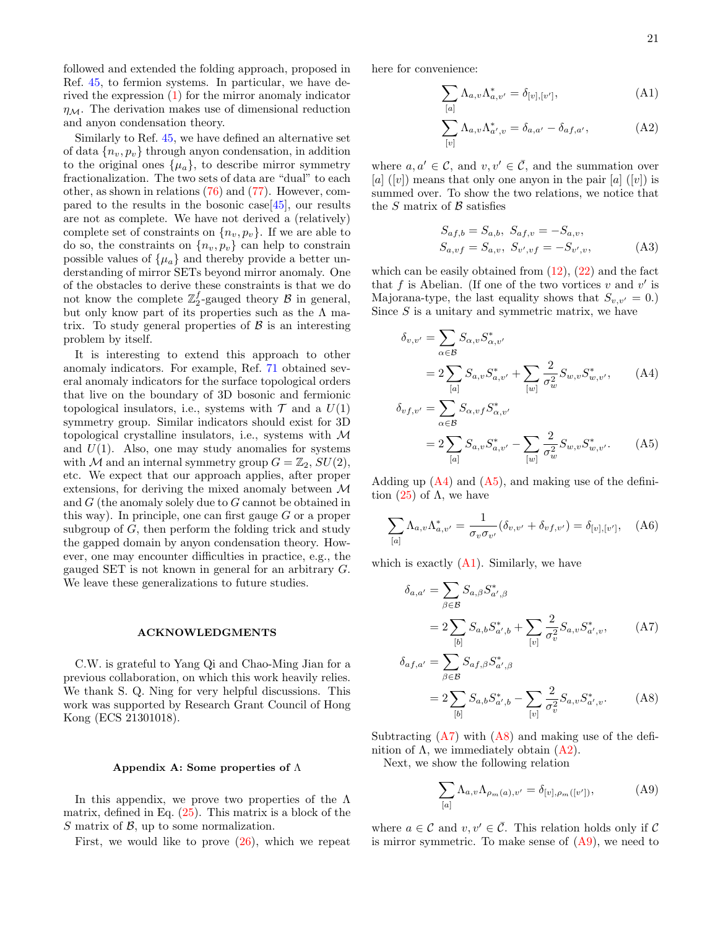followed and extended the folding approach, proposed in Ref. [45,](#page-22-18) to fermion systems. In particular, we have derived the expression [\(1\)](#page-1-0) for the mirror anomaly indicator  $\eta_{\mathcal{M}}$ . The derivation makes use of dimensional reduction and anyon condensation theory.

Similarly to Ref. [45,](#page-22-18) we have defined an alternative set of data  ${n_v, p_v}$  through anyon condensation, in addition to the original ones  $\{\mu_a\}$ , to describe mirror symmetry fractionalization. The two sets of data are "dual" to each other, as shown in relations [\(76\)](#page-15-2) and [\(77\)](#page-15-3). However, compared to the results in the bosonic case  $[45]$ , our results are not as complete. We have not derived a (relatively) complete set of constraints on  $\{n_v, p_v\}$ . If we are able to do so, the constraints on  $\{n_v, p_v\}$  can help to constrain possible values of  $\{\mu_a\}$  and thereby provide a better understanding of mirror SETs beyond mirror anomaly. One of the obstacles to derive these constraints is that we do not know the complete  $\mathbb{Z}_2^f$ -gauged theory  $\mathcal B$  in general, but only know part of its properties such as the  $\Lambda$  matrix. To study general properties of  $\beta$  is an interesting problem by itself.

It is interesting to extend this approach to other anomaly indicators. For example, Ref. [71](#page-22-45) obtained several anomaly indicators for the surface topological orders that live on the boundary of 3D bosonic and fermionic topological insulators, i.e., systems with  $\mathcal T$  and a  $U(1)$ symmetry group. Similar indicators should exist for 3D topological crystalline insulators, i.e., systems with M and  $U(1)$ . Also, one may study anomalies for systems with M and an internal symmetry group  $G = \mathbb{Z}_2$ ,  $SU(2)$ , etc. We expect that our approach applies, after proper extensions, for deriving the mixed anomaly between M and  $G$  (the anomaly solely due to  $G$  cannot be obtained in this way). In principle, one can first gauge  $G$  or a proper subgroup of G, then perform the folding trick and study the gapped domain by anyon condensation theory. However, one may encounter difficulties in practice, e.g., the gauged SET is not known in general for an arbitrary G. We leave these generalizations to future studies.

#### ACKNOWLEDGMENTS

C.W. is grateful to Yang Qi and Chao-Ming Jian for a previous collaboration, on which this work heavily relies. We thank S. Q. Ning for very helpful discussions. This work was supported by Research Grant Council of Hong Kong (ECS 21301018).

### <span id="page-20-0"></span>Appendix A: Some properties of  $\Lambda$

In this appendix, we prove two properties of the  $\Lambda$ matrix, defined in Eq. [\(25\)](#page-6-2). This matrix is a block of the  $S$  matrix of  $\beta$ , up to some normalization.

First, we would like to prove [\(26\)](#page-6-3), which we repeat

here for convenience:

<span id="page-20-5"></span>
$$
\sum_{[a]} \Lambda_{a,v} \Lambda_{a,v'}^* = \delta_{[v],[v']},\tag{A1}
$$

<span id="page-20-8"></span>
$$
\sum_{[v]} \Lambda_{a,v} \Lambda_{a',v}^* = \delta_{a,a'} - \delta_{af,a'}, \tag{A2}
$$

where  $a, a' \in \mathcal{C}$ , and  $v, v' \in \overline{\mathcal{C}}$ , and the summation over [a] ([v]) means that only one anyon in the pair  $[a]$  ([v]) is summed over. To show the two relations, we notice that the  $S$  matrix of  $\beta$  satisfies

<span id="page-20-3"></span><span id="page-20-2"></span>
$$
S_{af,b} = S_{a,b}, \ S_{af,v} = -S_{a,v},
$$
  
\n
$$
S_{a,vf} = S_{a,v}, \ S_{v',vf} = -S_{v',v},
$$
\n(A3)

which can be easily obtained from  $(12)$ ,  $(22)$  and the fact that f is Abelian. (If one of the two vortices  $v$  and  $v'$  is Majorana-type, the last equality shows that  $S_{v,v'} = 0.$ ) Since  $S$  is a unitary and symmetric matrix, we have

$$
\delta_{v,v'} = \sum_{\alpha \in \mathcal{B}} S_{\alpha,v} S_{\alpha,v'}^*
$$
\n
$$
= 2 \sum_{[a]} S_{a,v} S_{a,v'}^* + \sum_{[w]} \frac{2}{\sigma_w^2} S_{w,v} S_{w,v'}^*, \quad (A4)
$$
\n
$$
\delta_{vf,v'} = \sum_{\alpha \in \mathcal{B}} S_{\alpha,v} f S_{\alpha,v'}^*
$$
\n
$$
= 2 \sum_{[a]} S_{a,v} S_{a,v'}^* - \sum_{[w]} \frac{2}{\sigma_w^2} S_{w,v} S_{w,v'}^*.
$$
\n(A5)

Adding up  $(A4)$  and  $(A5)$ , and making use of the definition  $(25)$  of  $\Lambda$ , we have

<span id="page-20-4"></span>
$$
\sum_{[a]} \Lambda_{a,v} \Lambda_{a,v'}^* = \frac{1}{\sigma_v \sigma_{v'}} (\delta_{v,v'} + \delta_{vf,v'}) = \delta_{[v],[v']}, \quad (A6)
$$

which is exactly  $(A1)$ . Similarly, we have

<span id="page-20-6"></span>
$$
\delta_{a,a'} = \sum_{\beta \in \mathcal{B}} S_{a,\beta} S_{a',\beta}^*
$$
\n
$$
= 2 \sum_{[b]} S_{a,b} S_{a',b}^* + \sum_{[v]} \frac{2}{\sigma_v^2} S_{a,v} S_{a',v}^*, \quad (A7)
$$

$$
\delta_{af,a'} = \sum_{\beta \in \mathcal{B}} S_{af,\beta} S_{a',\beta}^*
$$
\n
$$
= 2 \sum_{[b]} S_{a,b} S_{a',b}^* - \sum_{[v]} \frac{2}{\sigma_v^2} S_{a,v} S_{a',v}^*.
$$
\n(A8)

Subtracting  $(A7)$  with  $(A8)$  and making use of the definition of  $\Lambda$ , we immediately obtain  $(A2)$ .

Next, we show the following relation

<span id="page-20-7"></span><span id="page-20-1"></span>
$$
\sum_{[a]} \Lambda_{a,v} \Lambda_{\rho_m(a),v'} = \delta_{[v],\rho_m([v'])},\tag{A9}
$$

where  $a \in \mathcal{C}$  and  $v, v' \in \overline{\mathcal{C}}$ . This relation holds only if  $\mathcal{C}$ is mirror symmetric. To make sense of  $(A9)$ , we need to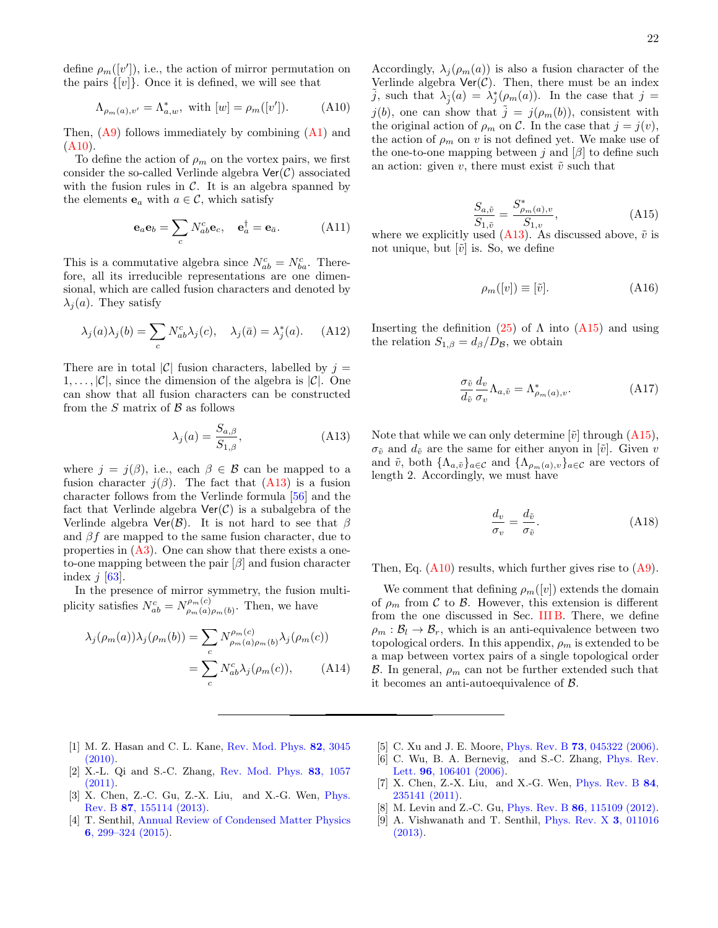define  $\rho_m([v'])$ , i.e., the action of mirror permutation on the pairs  $\{[v]\}$ . Once it is defined, we will see that

<span id="page-21-8"></span>
$$
\Lambda_{\rho_m(a),v'} = \Lambda_{a,w}^*
$$
, with  $[w] = \rho_m([v'])$ . (A10)

Then, [\(A9\)](#page-20-1) follows immediately by combining [\(A1\)](#page-20-5) and  $(A10)$ .

To define the action of  $\rho_m$  on the vortex pairs, we first consider the so-called Verlinde algebra  $\text{Ver}(\mathcal{C})$  associated with the fusion rules in  $\mathcal{C}$ . It is an algebra spanned by the elements  $\mathbf{e}_a$  with  $a \in \mathcal{C}$ , which satisfy

$$
\mathbf{e}_a \mathbf{e}_b = \sum_c N_{ab}^c \mathbf{e}_c, \quad \mathbf{e}_a^\dagger = \mathbf{e}_{\bar{a}}.
$$
 (A11)

This is a commutative algebra since  $N_{ab}^c = N_{ba}^c$ . Therefore, all its irreducible representations are one dimensional, which are called fusion characters and denoted by  $\lambda_i(a)$ . They satisfy

$$
\lambda_j(a)\lambda_j(b) = \sum_c N_{ab}^c \lambda_j(c), \quad \lambda_j(\bar{a}) = \lambda_j^*(a). \tag{A12}
$$

There are in total |C| fusion characters, labelled by  $j =$  $1, \ldots, |\mathcal{C}|$ , since the dimension of the algebra is  $|\mathcal{C}|$ . One can show that all fusion characters can be constructed from the  $S$  matrix of  $\beta$  as follows

<span id="page-21-9"></span>
$$
\lambda_j(a) = \frac{S_{a,\beta}}{S_{1,\beta}},\tag{A13}
$$

where  $j = j(\beta)$ , i.e., each  $\beta \in \mathcal{B}$  can be mapped to a fusion character  $j(\beta)$ . The fact that [\(A13\)](#page-21-9) is a fusion character follows from the Verlinde formula [\[56\]](#page-22-31) and the fact that Verlinde algebra  $\text{Ver}(\mathcal{C})$  is a subalgebra of the Verlinde algebra  $\text{Ver}(\mathcal{B})$ . It is not hard to see that  $\beta$ and  $\beta f$  are mapped to the same fusion character, due to properties in [\(A3\)](#page-20-2). One can show that there exists a oneto-one mapping between the pair  $[\beta]$  and fusion character index  $j$  [\[63\]](#page-22-41).

In the presence of mirror symmetry, the fusion multiplicity satisfies  $N_{ab}^c = N_{\rho_m(a)}^{\rho_m(c)}$  $\varphi_{m}(a)_{\rho_m}(b)$ . Then, we have

$$
\lambda_j(\rho_m(a))\lambda_j(\rho_m(b)) = \sum_c N_{\rho_m(a)\rho_m(b)}^{\rho_m(c)}\lambda_j(\rho_m(c))
$$

$$
= \sum_c N_{ab}^c\lambda_j(\rho_m(c)), \qquad (A14)
$$

Accordingly,  $\lambda_j(\rho_m(a))$  is also a fusion character of the Verlinde algebra  $\text{Ver}(\mathcal{C})$ . Then, there must be an index  $\tilde{j}$ , such that  $\lambda_{\tilde{j}}(a) = \lambda_{j}^{*}(\rho_{m}(a))$ . In the case that  $j =$  $j(b)$ , one can show that  $\tilde{j} = j(\rho_m(b))$ , consistent with the original action of  $\rho_m$  on C. In the case that  $j = j(v)$ , the action of  $\rho_m$  on v is not defined yet. We make use of the one-to-one mapping between j and  $\lbrack \beta \rbrack$  to define such an action: given  $v$ , there must exist  $\tilde{v}$  such that

<span id="page-21-10"></span>
$$
\frac{S_{a,\tilde{v}}}{S_{1,\tilde{v}}} = \frac{S_{\rho_m(a),v}^*}{S_{1,v}},
$$
\n(A15)

where we explicitly used  $(A13)$ . As discussed above,  $\tilde{v}$  is not unique, but  $[\tilde{v}]$  is. So, we define

$$
\rho_m([v]) \equiv [\tilde{v}]. \tag{A16}
$$

Inserting the definition  $(25)$  of  $\Lambda$  into  $(A15)$  and using the relation  $S_{1,\beta} = d_{\beta}/D_{\beta}$ , we obtain

$$
\frac{\sigma_{\tilde{v}}}{d_{\tilde{v}}} \frac{d_v}{\sigma_v} \Lambda_{a,\tilde{v}} = \Lambda^*_{\rho_m(a),v}.
$$
 (A17)

Note that while we can only determine  $|\tilde{v}|$  through  $(A15)$ ,  $\sigma_{\tilde{v}}$  and  $d_{\tilde{v}}$  are the same for either anyon in [ $\tilde{v}$ ]. Given v and  $\tilde{v}$ , both  $\{\Lambda_{a,\tilde{v}}\}_{a\in\mathcal{C}}$  and  $\{\Lambda_{\rho_m(a),v}\}_{a\in\mathcal{C}}$  are vectors of length 2. Accordingly, we must have

<span id="page-21-7"></span>
$$
\frac{d_v}{\sigma_v} = \frac{d_{\tilde{v}}}{\sigma_{\tilde{v}}}.\tag{A18}
$$

Then, Eq.  $(A10)$  results, which further gives rise to  $(A9)$ .

We comment that defining  $\rho_m([v])$  extends the domain of  $\rho_m$  from C to B. However, this extension is different from the one discussed in Sec. [III B.](#page-6-5) There, we define  $\rho_m : \mathcal{B}_l \to \mathcal{B}_r$ , which is an anti-equivalence between two topological orders. In this appendix,  $\rho_m$  is extended to be a map between vortex pairs of a single topological order B. In general,  $\rho_m$  can not be further extended such that it becomes an anti-autoequivalence of B.

- <span id="page-21-0"></span>[1] M. Z. Hasan and C. L. Kane, [Rev. Mod. Phys.](http://dx.doi.org/10.1103/RevModPhys.82.3045) 82, 3045 [\(2010\).](http://dx.doi.org/10.1103/RevModPhys.82.3045)
- <span id="page-21-1"></span>[2] X.-L. Qi and S.-C. Zhang, [Rev. Mod. Phys.](http://dx.doi.org/10.1103/RevModPhys.83.1057) 83, 1057  $(2011)$
- <span id="page-21-2"></span>[3] X. Chen, Z.-C. Gu, Z.-X. Liu, and X.-G. Wen, [Phys.](http://dx.doi.org/10.1103/PhysRevB.87.155114) Rev. B 87[, 155114 \(2013\).](http://dx.doi.org/10.1103/PhysRevB.87.155114)
- <span id="page-21-3"></span>[4] T. Senthil, [Annual Review of Condensed Matter Physics](http://dx.doi.org/10.1146/annurev-conmatphys-031214-014740) 6[, 299–324 \(2015\).](http://dx.doi.org/10.1146/annurev-conmatphys-031214-014740)
- <span id="page-21-4"></span>[5] C. Xu and J. E. Moore, Phys. Rev. B 73[, 045322 \(2006\).](http://dx.doi.org/10.1103/PhysRevB.73.045322) [6] C. Wu, B. A. Bernevig, and S.-C. Zhang, [Phys. Rev.](http://dx.doi.org/10.1103/PhysRevLett.96.106401)
- Lett. **96**[, 106401 \(2006\).](http://dx.doi.org/10.1103/PhysRevLett.96.106401) [7] X. Chen, Z.-X. Liu, and X.-G. Wen, [Phys. Rev. B](http://dx.doi.org/10.1103/PhysRevB.84.235141) 84,
- [235141 \(2011\).](http://dx.doi.org/10.1103/PhysRevB.84.235141)
- <span id="page-21-5"></span>[8] M. Levin and Z.-C. Gu, Phys. Rev. B 86[, 115109 \(2012\).](http://dx.doi.org/10.1103/PhysRevB.86.115109)
- <span id="page-21-6"></span>[9] A. Vishwanath and T. Senthil, [Phys. Rev. X](http://dx.doi.org/10.1103/PhysRevX.3.011016) 3, 011016 [\(2013\).](http://dx.doi.org/10.1103/PhysRevX.3.011016)